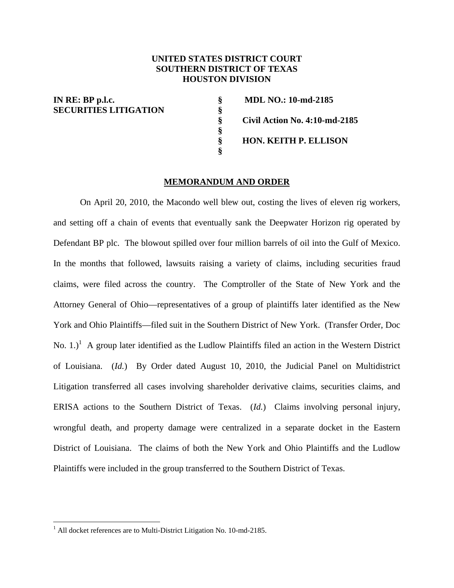# **UNITED STATES DISTRICT COURT SOUTHERN DISTRICT OF TEXAS HOUSTON DIVISION**

**§ §** 

**IN RE: BP p.l.c. SECURITIES LITIGATION** 

 **§** 

 **§** 

 **MDL NO.: 10-md-2185 § Civil Action No. 4:10-md-2185 § HON. KEITH P. ELLISON** 

#### **MEMORANDUM AND ORDER**

On April 20, 2010, the Macondo well blew out, costing the lives of eleven rig workers, and setting off a chain of events that eventually sank the Deepwater Horizon rig operated by Defendant BP plc. The blowout spilled over four million barrels of oil into the Gulf of Mexico. In the months that followed, lawsuits raising a variety of claims, including securities fraud claims, were filed across the country. The Comptroller of the State of New York and the Attorney General of Ohio—representatives of a group of plaintiffs later identified as the New York and Ohio Plaintiffs—filed suit in the Southern District of New York. (Transfer Order, Doc No. 1.)<sup>1</sup> A group later identified as the Ludlow Plaintiffs filed an action in the Western District of Louisiana. (*Id.*) By Order dated August 10, 2010, the Judicial Panel on Multidistrict Litigation transferred all cases involving shareholder derivative claims, securities claims, and ERISA actions to the Southern District of Texas. (*Id.*) Claims involving personal injury, wrongful death, and property damage were centralized in a separate docket in the Eastern District of Louisiana. The claims of both the New York and Ohio Plaintiffs and the Ludlow Plaintiffs were included in the group transferred to the Southern District of Texas.

<sup>&</sup>lt;sup>1</sup> All docket references are to Multi-District Litigation No. 10-md-2185.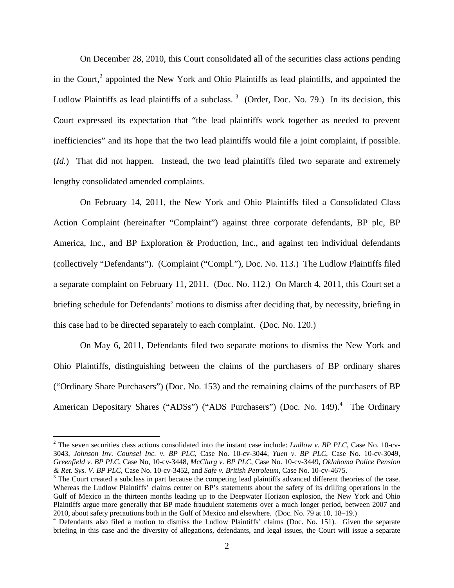On December 28, 2010, this Court consolidated all of the securities class actions pending in the Court, $^2$  appointed the New York and Ohio Plaintiffs as lead plaintiffs, and appointed the Ludlow Plaintiffs as lead plaintiffs of a subclass.<sup>3</sup> (Order, Doc. No. 79.) In its decision, this Court expressed its expectation that "the lead plaintiffs work together as needed to prevent inefficiencies" and its hope that the two lead plaintiffs would file a joint complaint, if possible. (*Id.*) That did not happen. Instead, the two lead plaintiffs filed two separate and extremely lengthy consolidated amended complaints.

On February 14, 2011, the New York and Ohio Plaintiffs filed a Consolidated Class Action Complaint (hereinafter "Complaint") against three corporate defendants, BP plc, BP America, Inc., and BP Exploration & Production, Inc., and against ten individual defendants (collectively "Defendants"). (Complaint ("Compl."), Doc. No. 113.) The Ludlow Plaintiffs filed a separate complaint on February 11, 2011. (Doc. No. 112.) On March 4, 2011, this Court set a briefing schedule for Defendants' motions to dismiss after deciding that, by necessity, briefing in this case had to be directed separately to each complaint. (Doc. No. 120.)

On May 6, 2011, Defendants filed two separate motions to dismiss the New York and Ohio Plaintiffs, distinguishing between the claims of the purchasers of BP ordinary shares ("Ordinary Share Purchasers") (Doc. No. 153) and the remaining claims of the purchasers of BP American Depositary Shares ("ADSs") ("ADS Purchasers") (Doc. No. 149).<sup>4</sup> The Ordinary

<sup>2</sup> The seven securities class actions consolidated into the instant case include: *Ludlow v. BP PLC*, Case No. 10-cv-3043, *Johnson Inv. Counsel Inc. v. BP PLC*, Case No. 10-cv-3044, *Yuen v. BP PLC*, Case No. 10-cv-3049, *Greenfield v. BP PLC*, Case No, 10-cv-3448, *McClurg v. BP PLC*, Case No. 10-cv-3449, *Oklahoma Police Pension & Ret. Sys. V. BP PLC*, Case No. 10-cv-3452, and *Safe v. British Petroleum*, Case No. 10-cv-4675. 3

<sup>&</sup>lt;sup>3</sup> The Court created a subclass in part because the competing lead plaintiffs advanced different theories of the case. Whereas the Ludlow Plaintiffs' claims center on BP's statements about the safety of its drilling operations in the Gulf of Mexico in the thirteen months leading up to the Deepwater Horizon explosion, the New York and Ohio Plaintiffs argue more generally that BP made fraudulent statements over a much longer period, between 2007 and 2010, about safety precautions both in the Gulf of Mexico and elsewhere. (Doc. No. 79 at 10, 18–19.)

<sup>&</sup>lt;sup>4</sup> Defendants also filed a motion to dismiss the Ludlow Plaintiffs' claims (Doc. No. 151). Given the separate briefing in this case and the diversity of allegations, defendants, and legal issues, the Court will issue a separate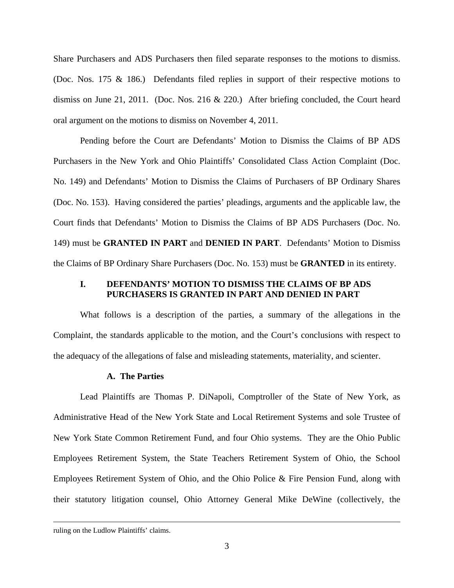Share Purchasers and ADS Purchasers then filed separate responses to the motions to dismiss. (Doc. Nos. 175 & 186.) Defendants filed replies in support of their respective motions to dismiss on June 21, 2011. (Doc. Nos. 216 & 220.) After briefing concluded, the Court heard oral argument on the motions to dismiss on November 4, 2011.

Pending before the Court are Defendants' Motion to Dismiss the Claims of BP ADS Purchasers in the New York and Ohio Plaintiffs' Consolidated Class Action Complaint (Doc. No. 149) and Defendants' Motion to Dismiss the Claims of Purchasers of BP Ordinary Shares (Doc. No. 153). Having considered the parties' pleadings, arguments and the applicable law, the Court finds that Defendants' Motion to Dismiss the Claims of BP ADS Purchasers (Doc. No. 149) must be **GRANTED IN PART** and **DENIED IN PART**. Defendants' Motion to Dismiss the Claims of BP Ordinary Share Purchasers (Doc. No. 153) must be **GRANTED** in its entirety.

### **I. DEFENDANTS' MOTION TO DISMISS THE CLAIMS OF BP ADS PURCHASERS IS GRANTED IN PART AND DENIED IN PART**

What follows is a description of the parties, a summary of the allegations in the Complaint, the standards applicable to the motion, and the Court's conclusions with respect to the adequacy of the allegations of false and misleading statements, materiality, and scienter.

#### **A. The Parties**

Lead Plaintiffs are Thomas P. DiNapoli, Comptroller of the State of New York, as Administrative Head of the New York State and Local Retirement Systems and sole Trustee of New York State Common Retirement Fund, and four Ohio systems. They are the Ohio Public Employees Retirement System, the State Teachers Retirement System of Ohio, the School Employees Retirement System of Ohio, and the Ohio Police & Fire Pension Fund, along with their statutory litigation counsel, Ohio Attorney General Mike DeWine (collectively, the

ruling on the Ludlow Plaintiffs' claims.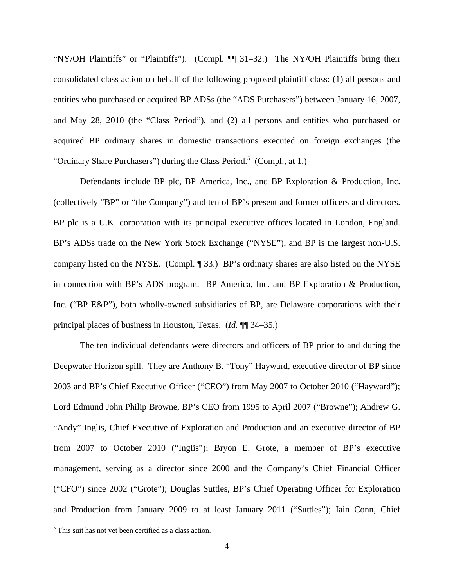"NY/OH Plaintiffs" or "Plaintiffs"). (Compl. ¶¶ 31–32.) The NY/OH Plaintiffs bring their consolidated class action on behalf of the following proposed plaintiff class: (1) all persons and entities who purchased or acquired BP ADSs (the "ADS Purchasers") between January 16, 2007, and May 28, 2010 (the "Class Period"), and (2) all persons and entities who purchased or acquired BP ordinary shares in domestic transactions executed on foreign exchanges (the "Ordinary Share Purchasers") during the Class Period.<sup>5</sup> (Compl., at 1.)

Defendants include BP plc, BP America, Inc., and BP Exploration & Production, Inc. (collectively "BP" or "the Company") and ten of BP's present and former officers and directors. BP plc is a U.K. corporation with its principal executive offices located in London, England. BP's ADSs trade on the New York Stock Exchange ("NYSE"), and BP is the largest non-U.S. company listed on the NYSE. (Compl. ¶ 33.) BP's ordinary shares are also listed on the NYSE in connection with BP's ADS program. BP America, Inc. and BP Exploration & Production, Inc. ("BP E&P"), both wholly-owned subsidiaries of BP, are Delaware corporations with their principal places of business in Houston, Texas. (*Id.* ¶¶ 34–35.)

The ten individual defendants were directors and officers of BP prior to and during the Deepwater Horizon spill. They are Anthony B. "Tony" Hayward, executive director of BP since 2003 and BP's Chief Executive Officer ("CEO") from May 2007 to October 2010 ("Hayward"); Lord Edmund John Philip Browne, BP's CEO from 1995 to April 2007 ("Browne"); Andrew G. "Andy" Inglis, Chief Executive of Exploration and Production and an executive director of BP from 2007 to October 2010 ("Inglis"); Bryon E. Grote, a member of BP's executive management, serving as a director since 2000 and the Company's Chief Financial Officer ("CFO") since 2002 ("Grote"); Douglas Suttles, BP's Chief Operating Officer for Exploration and Production from January 2009 to at least January 2011 ("Suttles"); Iain Conn, Chief

<sup>&</sup>lt;sup>5</sup> This suit has not yet been certified as a class action.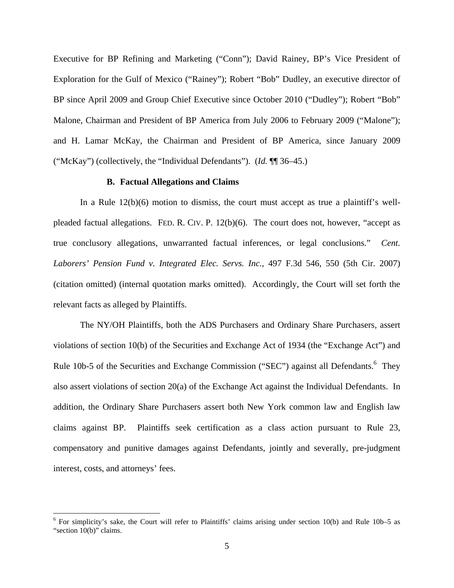Executive for BP Refining and Marketing ("Conn"); David Rainey, BP's Vice President of Exploration for the Gulf of Mexico ("Rainey"); Robert "Bob" Dudley, an executive director of BP since April 2009 and Group Chief Executive since October 2010 ("Dudley"); Robert "Bob" Malone, Chairman and President of BP America from July 2006 to February 2009 ("Malone"); and H. Lamar McKay, the Chairman and President of BP America, since January 2009 ("McKay") (collectively, the "Individual Defendants"). (*Id.* ¶¶ 36–45.)

#### **B. Factual Allegations and Claims**

 In a Rule 12(b)(6) motion to dismiss, the court must accept as true a plaintiff's wellpleaded factual allegations. FED. R. CIV. P. 12(b)(6). The court does not, however, "accept as true conclusory allegations, unwarranted factual inferences, or legal conclusions." *Cent. Laborers' Pension Fund v. Integrated Elec. Servs. Inc.*, 497 F.3d 546, 550 (5th Cir. 2007) (citation omitted) (internal quotation marks omitted). Accordingly, the Court will set forth the relevant facts as alleged by Plaintiffs.

The NY/OH Plaintiffs, both the ADS Purchasers and Ordinary Share Purchasers, assert violations of section 10(b) of the Securities and Exchange Act of 1934 (the "Exchange Act") and Rule 10b-5 of the Securities and Exchange Commission ("SEC") against all Defendants.<sup>6</sup> They also assert violations of section 20(a) of the Exchange Act against the Individual Defendants. In addition, the Ordinary Share Purchasers assert both New York common law and English law claims against BP. Plaintiffs seek certification as a class action pursuant to Rule 23, compensatory and punitive damages against Defendants, jointly and severally, pre-judgment interest, costs, and attorneys' fees.

1

<sup>&</sup>lt;sup>6</sup> For simplicity's sake, the Court will refer to Plaintiffs' claims arising under section 10(b) and Rule 10b–5 as "section 10(b)" claims.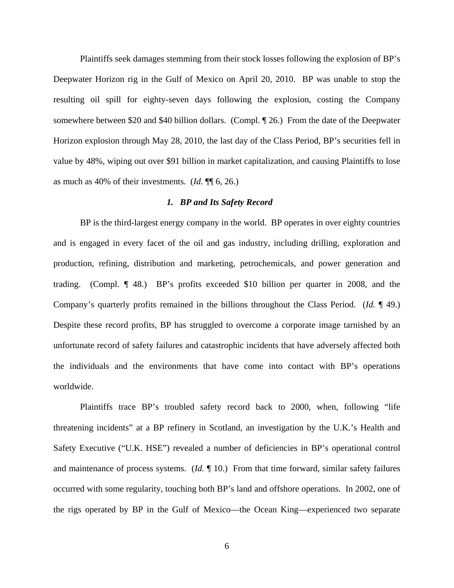Plaintiffs seek damages stemming from their stock losses following the explosion of BP's Deepwater Horizon rig in the Gulf of Mexico on April 20, 2010. BP was unable to stop the resulting oil spill for eighty-seven days following the explosion, costing the Company somewhere between \$20 and \$40 billion dollars. (Compl. ¶ 26.) From the date of the Deepwater Horizon explosion through May 28, 2010, the last day of the Class Period, BP's securities fell in value by 48%, wiping out over \$91 billion in market capitalization, and causing Plaintiffs to lose as much as 40% of their investments. (*Id.* ¶¶ 6, 26.)

### *1. BP and Its Safety Record*

BP is the third-largest energy company in the world. BP operates in over eighty countries and is engaged in every facet of the oil and gas industry, including drilling, exploration and production, refining, distribution and marketing, petrochemicals, and power generation and trading. (Compl. ¶ 48.) BP's profits exceeded \$10 billion per quarter in 2008, and the Company's quarterly profits remained in the billions throughout the Class Period. (*Id.* ¶ 49.) Despite these record profits, BP has struggled to overcome a corporate image tarnished by an unfortunate record of safety failures and catastrophic incidents that have adversely affected both the individuals and the environments that have come into contact with BP's operations worldwide.

Plaintiffs trace BP's troubled safety record back to 2000, when, following "life threatening incidents" at a BP refinery in Scotland, an investigation by the U.K.'s Health and Safety Executive ("U.K. HSE") revealed a number of deficiencies in BP's operational control and maintenance of process systems. (*Id.* ¶ 10.) From that time forward, similar safety failures occurred with some regularity, touching both BP's land and offshore operations. In 2002, one of the rigs operated by BP in the Gulf of Mexico—the Ocean King—experienced two separate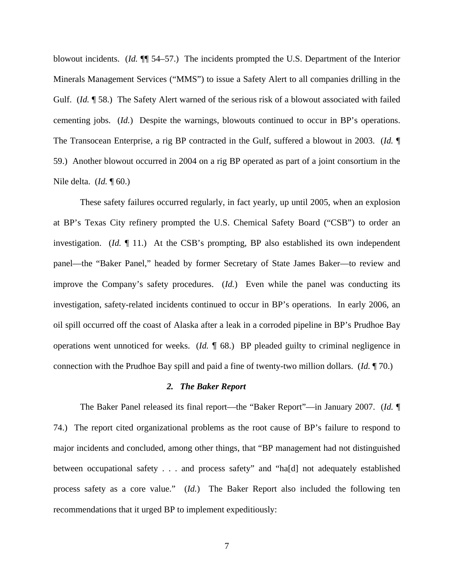blowout incidents. (*Id.* ¶¶ 54–57.) The incidents prompted the U.S. Department of the Interior Minerals Management Services ("MMS") to issue a Safety Alert to all companies drilling in the Gulf. (*Id.* 158.) The Safety Alert warned of the serious risk of a blowout associated with failed cementing jobs. (*Id.*) Despite the warnings, blowouts continued to occur in BP's operations. The Transocean Enterprise, a rig BP contracted in the Gulf, suffered a blowout in 2003. (*Id.* ¶ 59.) Another blowout occurred in 2004 on a rig BP operated as part of a joint consortium in the Nile delta. (*Id.* ¶ 60.)

These safety failures occurred regularly, in fact yearly, up until 2005, when an explosion at BP's Texas City refinery prompted the U.S. Chemical Safety Board ("CSB") to order an investigation. (*Id.* ¶ 11.) At the CSB's prompting, BP also established its own independent panel—the "Baker Panel," headed by former Secretary of State James Baker—to review and improve the Company's safety procedures. (*Id.*) Even while the panel was conducting its investigation, safety-related incidents continued to occur in BP's operations. In early 2006, an oil spill occurred off the coast of Alaska after a leak in a corroded pipeline in BP's Prudhoe Bay operations went unnoticed for weeks. (*Id.* ¶ 68.) BP pleaded guilty to criminal negligence in connection with the Prudhoe Bay spill and paid a fine of twenty-two million dollars. (*Id.* ¶ 70.)

#### *2. The Baker Report*

The Baker Panel released its final report—the "Baker Report"—in January 2007. (*Id.* ¶ 74.) The report cited organizational problems as the root cause of BP's failure to respond to major incidents and concluded, among other things, that "BP management had not distinguished between occupational safety . . . and process safety" and "ha[d] not adequately established process safety as a core value." (*Id.*) The Baker Report also included the following ten recommendations that it urged BP to implement expeditiously: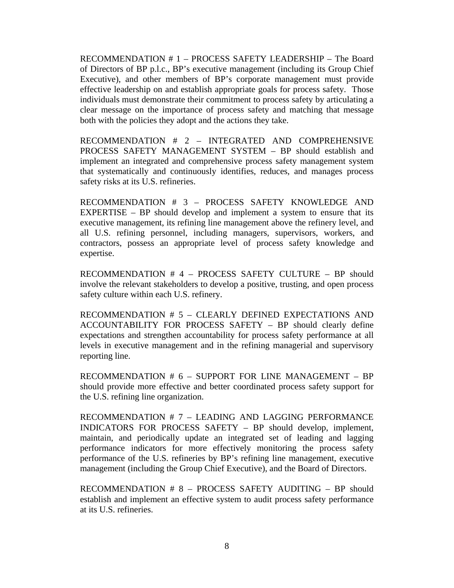RECOMMENDATION # 1 – PROCESS SAFETY LEADERSHIP – The Board of Directors of BP p.l.c., BP's executive management (including its Group Chief Executive), and other members of BP's corporate management must provide effective leadership on and establish appropriate goals for process safety. Those individuals must demonstrate their commitment to process safety by articulating a clear message on the importance of process safety and matching that message both with the policies they adopt and the actions they take.

RECOMMENDATION # 2 – INTEGRATED AND COMPREHENSIVE PROCESS SAFETY MANAGEMENT SYSTEM – BP should establish and implement an integrated and comprehensive process safety management system that systematically and continuously identifies, reduces, and manages process safety risks at its U.S. refineries.

RECOMMENDATION # 3 – PROCESS SAFETY KNOWLEDGE AND EXPERTISE – BP should develop and implement a system to ensure that its executive management, its refining line management above the refinery level, and all U.S. refining personnel, including managers, supervisors, workers, and contractors, possess an appropriate level of process safety knowledge and expertise.

RECOMMENDATION # 4 – PROCESS SAFETY CULTURE – BP should involve the relevant stakeholders to develop a positive, trusting, and open process safety culture within each U.S. refinery.

RECOMMENDATION # 5 – CLEARLY DEFINED EXPECTATIONS AND ACCOUNTABILITY FOR PROCESS SAFETY – BP should clearly define expectations and strengthen accountability for process safety performance at all levels in executive management and in the refining managerial and supervisory reporting line.

RECOMMENDATION # 6 – SUPPORT FOR LINE MANAGEMENT – BP should provide more effective and better coordinated process safety support for the U.S. refining line organization.

RECOMMENDATION # 7 – LEADING AND LAGGING PERFORMANCE INDICATORS FOR PROCESS SAFETY – BP should develop, implement, maintain, and periodically update an integrated set of leading and lagging performance indicators for more effectively monitoring the process safety performance of the U.S. refineries by BP's refining line management, executive management (including the Group Chief Executive), and the Board of Directors.

RECOMMENDATION # 8 – PROCESS SAFETY AUDITING – BP should establish and implement an effective system to audit process safety performance at its U.S. refineries.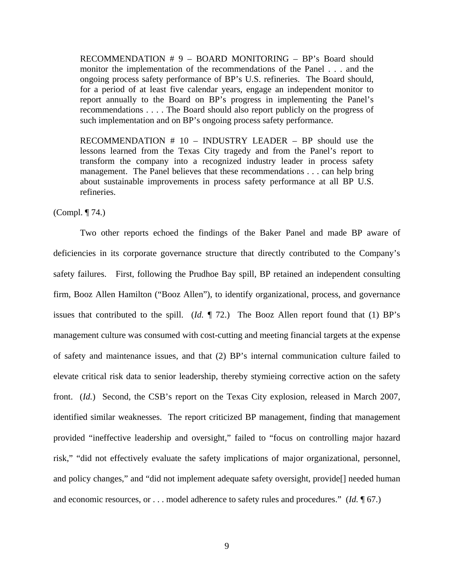RECOMMENDATION # 9 – BOARD MONITORING – BP's Board should monitor the implementation of the recommendations of the Panel . . . and the ongoing process safety performance of BP's U.S. refineries. The Board should, for a period of at least five calendar years, engage an independent monitor to report annually to the Board on BP's progress in implementing the Panel's recommendations . . . . The Board should also report publicly on the progress of such implementation and on BP's ongoing process safety performance.

RECOMMENDATION # 10 – INDUSTRY LEADER – BP should use the lessons learned from the Texas City tragedy and from the Panel's report to transform the company into a recognized industry leader in process safety management. The Panel believes that these recommendations . . . can help bring about sustainable improvements in process safety performance at all BP U.S. refineries.

## (Compl. ¶ 74.)

Two other reports echoed the findings of the Baker Panel and made BP aware of deficiencies in its corporate governance structure that directly contributed to the Company's safety failures. First, following the Prudhoe Bay spill, BP retained an independent consulting firm, Booz Allen Hamilton ("Booz Allen"), to identify organizational, process, and governance issues that contributed to the spill. (*Id.* ¶ 72.) The Booz Allen report found that (1) BP's management culture was consumed with cost-cutting and meeting financial targets at the expense of safety and maintenance issues, and that (2) BP's internal communication culture failed to elevate critical risk data to senior leadership, thereby stymieing corrective action on the safety front. (*Id.*) Second, the CSB's report on the Texas City explosion, released in March 2007, identified similar weaknesses. The report criticized BP management, finding that management provided "ineffective leadership and oversight," failed to "focus on controlling major hazard risk," "did not effectively evaluate the safety implications of major organizational, personnel, and policy changes," and "did not implement adequate safety oversight, provide<sup>[]</sup> needed human and economic resources, or . . . model adherence to safety rules and procedures." (*Id.* ¶ 67.)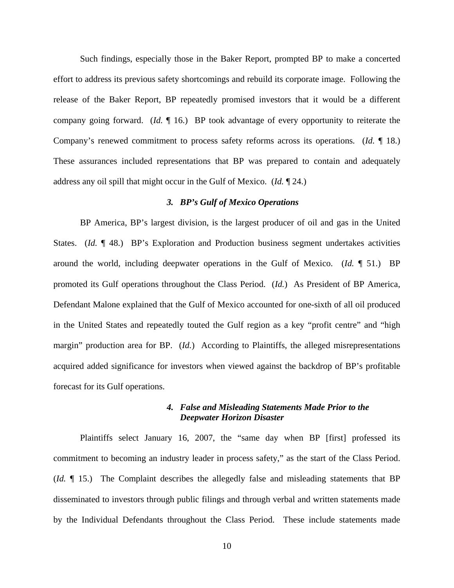Such findings, especially those in the Baker Report, prompted BP to make a concerted effort to address its previous safety shortcomings and rebuild its corporate image. Following the release of the Baker Report, BP repeatedly promised investors that it would be a different company going forward. (*Id.* ¶ 16.) BP took advantage of every opportunity to reiterate the Company's renewed commitment to process safety reforms across its operations. (*Id.* ¶ 18.) These assurances included representations that BP was prepared to contain and adequately address any oil spill that might occur in the Gulf of Mexico. (*Id.* ¶ 24.)

### *3. BP's Gulf of Mexico Operations*

BP America, BP's largest division, is the largest producer of oil and gas in the United States. (*Id.* 148.) BP's Exploration and Production business segment undertakes activities around the world, including deepwater operations in the Gulf of Mexico. (*Id.* ¶ 51.) BP promoted its Gulf operations throughout the Class Period. (*Id.*) As President of BP America, Defendant Malone explained that the Gulf of Mexico accounted for one-sixth of all oil produced in the United States and repeatedly touted the Gulf region as a key "profit centre" and "high margin" production area for BP. (*Id.*) According to Plaintiffs, the alleged misrepresentations acquired added significance for investors when viewed against the backdrop of BP's profitable forecast for its Gulf operations.

# *4. False and Misleading Statements Made Prior to the Deepwater Horizon Disaster*

Plaintiffs select January 16, 2007, the "same day when BP [first] professed its commitment to becoming an industry leader in process safety," as the start of the Class Period. (*Id.* ¶ 15.) The Complaint describes the allegedly false and misleading statements that BP disseminated to investors through public filings and through verbal and written statements made by the Individual Defendants throughout the Class Period. These include statements made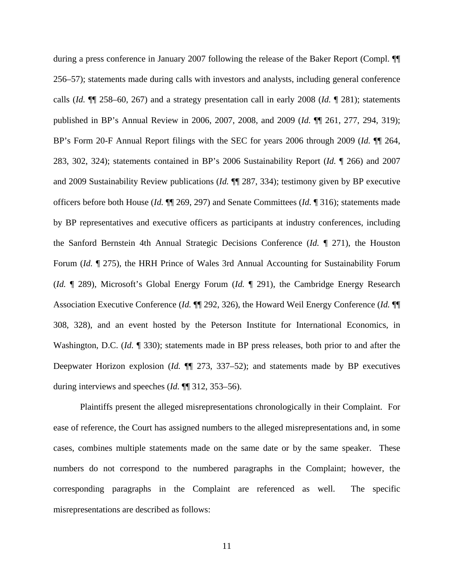during a press conference in January 2007 following the release of the Baker Report (Compl. ¶¶ 256–57); statements made during calls with investors and analysts, including general conference calls (*Id.* ¶¶ 258–60, 267) and a strategy presentation call in early 2008 (*Id.* ¶ 281); statements published in BP's Annual Review in 2006, 2007, 2008, and 2009 (*Id.* ¶¶ 261, 277, 294, 319); BP's Form 20-F Annual Report filings with the SEC for years 2006 through 2009 (*Id.* ¶¶ 264, 283, 302, 324); statements contained in BP's 2006 Sustainability Report (*Id.* ¶ 266) and 2007 and 2009 Sustainability Review publications (*Id.* ¶¶ 287, 334); testimony given by BP executive officers before both House (*Id.* ¶¶ 269, 297) and Senate Committees (*Id.* ¶ 316); statements made by BP representatives and executive officers as participants at industry conferences, including the Sanford Bernstein 4th Annual Strategic Decisions Conference (*Id.* ¶ 271), the Houston Forum (*Id.* ¶ 275), the HRH Prince of Wales 3rd Annual Accounting for Sustainability Forum (*Id.* ¶ 289), Microsoft's Global Energy Forum (*Id.* ¶ 291), the Cambridge Energy Research Association Executive Conference (*Id.* ¶¶ 292, 326), the Howard Weil Energy Conference (*Id.* ¶¶ 308, 328), and an event hosted by the Peterson Institute for International Economics, in Washington, D.C. (*Id.* 1 330); statements made in BP press releases, both prior to and after the Deepwater Horizon explosion (*Id.* ¶¶ 273, 337–52); and statements made by BP executives during interviews and speeches (*Id.* ¶¶ 312, 353–56).

Plaintiffs present the alleged misrepresentations chronologically in their Complaint. For ease of reference, the Court has assigned numbers to the alleged misrepresentations and, in some cases, combines multiple statements made on the same date or by the same speaker. These numbers do not correspond to the numbered paragraphs in the Complaint; however, the corresponding paragraphs in the Complaint are referenced as well. The specific misrepresentations are described as follows: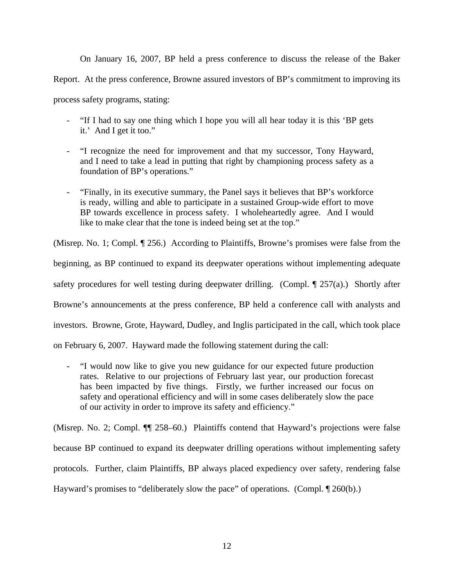On January 16, 2007, BP held a press conference to discuss the release of the Baker Report. At the press conference, Browne assured investors of BP's commitment to improving its process safety programs, stating:

- "If I had to say one thing which I hope you will all hear today it is this 'BP gets it.' And I get it too."
- "I recognize the need for improvement and that my successor, Tony Hayward, and I need to take a lead in putting that right by championing process safety as a foundation of BP's operations."
- "Finally, in its executive summary, the Panel says it believes that BP's workforce is ready, willing and able to participate in a sustained Group-wide effort to move BP towards excellence in process safety. I wholeheartedly agree. And I would like to make clear that the tone is indeed being set at the top."

(Misrep. No. 1; Compl. ¶ 256.) According to Plaintiffs, Browne's promises were false from the

beginning, as BP continued to expand its deepwater operations without implementing adequate

safety procedures for well testing during deepwater drilling. (Compl. ¶ 257(a).) Shortly after

Browne's announcements at the press conference, BP held a conference call with analysts and

investors. Browne, Grote, Hayward, Dudley, and Inglis participated in the call, which took place

on February 6, 2007. Hayward made the following statement during the call:

- "I would now like to give you new guidance for our expected future production rates. Relative to our projections of February last year, our production forecast has been impacted by five things. Firstly, we further increased our focus on safety and operational efficiency and will in some cases deliberately slow the pace of our activity in order to improve its safety and efficiency."

(Misrep. No. 2; Compl. ¶¶ 258–60.) Plaintiffs contend that Hayward's projections were false because BP continued to expand its deepwater drilling operations without implementing safety protocols. Further, claim Plaintiffs, BP always placed expediency over safety, rendering false Hayward's promises to "deliberately slow the pace" of operations. (Compl. ¶ 260(b).)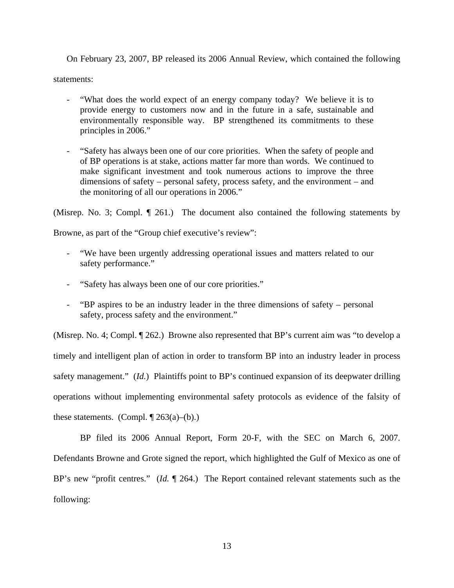On February 23, 2007, BP released its 2006 Annual Review, which contained the following statements:

- "What does the world expect of an energy company today? We believe it is to provide energy to customers now and in the future in a safe, sustainable and environmentally responsible way. BP strengthened its commitments to these principles in 2006."
- "Safety has always been one of our core priorities. When the safety of people and of BP operations is at stake, actions matter far more than words. We continued to make significant investment and took numerous actions to improve the three dimensions of safety – personal safety, process safety, and the environment – and the monitoring of all our operations in 2006."

(Misrep. No. 3; Compl. ¶ 261.) The document also contained the following statements by

Browne, as part of the "Group chief executive's review":

- "We have been urgently addressing operational issues and matters related to our safety performance."
- "Safety has always been one of our core priorities."
- "BP aspires to be an industry leader in the three dimensions of safety personal safety, process safety and the environment."

(Misrep. No. 4; Compl. ¶ 262.) Browne also represented that BP's current aim was "to develop a timely and intelligent plan of action in order to transform BP into an industry leader in process safety management." (*Id.*) Plaintiffs point to BP's continued expansion of its deepwater drilling operations without implementing environmental safety protocols as evidence of the falsity of these statements. (Compl.  $\P$  263(a)–(b).)

 BP filed its 2006 Annual Report, Form 20-F, with the SEC on March 6, 2007. Defendants Browne and Grote signed the report, which highlighted the Gulf of Mexico as one of BP's new "profit centres." (*Id.* ¶ 264.) The Report contained relevant statements such as the following: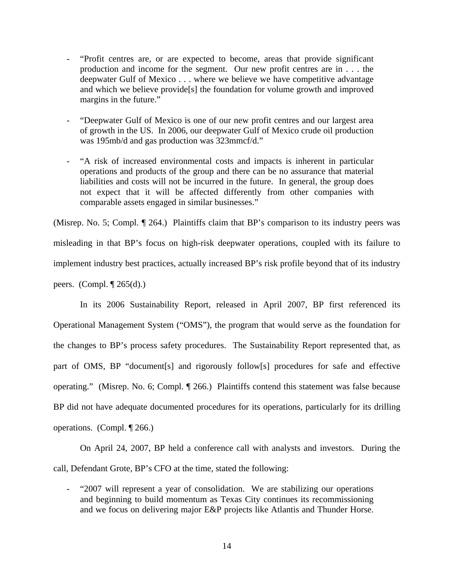- "Profit centres are, or are expected to become, areas that provide significant production and income for the segment. Our new profit centres are in . . . the deepwater Gulf of Mexico . . . where we believe we have competitive advantage and which we believe provide[s] the foundation for volume growth and improved margins in the future."
- "Deepwater Gulf of Mexico is one of our new profit centres and our largest area of growth in the US. In 2006, our deepwater Gulf of Mexico crude oil production was 195mb/d and gas production was 323mmcf/d."
- "A risk of increased environmental costs and impacts is inherent in particular operations and products of the group and there can be no assurance that material liabilities and costs will not be incurred in the future. In general, the group does not expect that it will be affected differently from other companies with comparable assets engaged in similar businesses."

(Misrep. No. 5; Compl. ¶ 264.) Plaintiffs claim that BP's comparison to its industry peers was misleading in that BP's focus on high-risk deepwater operations, coupled with its failure to implement industry best practices, actually increased BP's risk profile beyond that of its industry peers. (Compl.  $\P$  265(d).)

In its 2006 Sustainability Report, released in April 2007, BP first referenced its Operational Management System ("OMS"), the program that would serve as the foundation for the changes to BP's process safety procedures. The Sustainability Report represented that, as part of OMS, BP "document[s] and rigorously follow[s] procedures for safe and effective operating." (Misrep. No. 6; Compl. ¶ 266.) Plaintiffs contend this statement was false because BP did not have adequate documented procedures for its operations, particularly for its drilling operations. (Compl. ¶ 266.)

On April 24, 2007, BP held a conference call with analysts and investors. During the call, Defendant Grote, BP's CFO at the time, stated the following:

- "2007 will represent a year of consolidation. We are stabilizing our operations and beginning to build momentum as Texas City continues its recommissioning and we focus on delivering major E&P projects like Atlantis and Thunder Horse.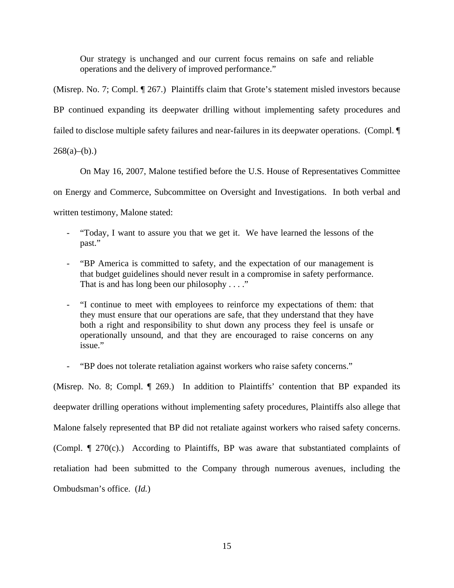Our strategy is unchanged and our current focus remains on safe and reliable operations and the delivery of improved performance."

(Misrep. No. 7; Compl. ¶ 267.) Plaintiffs claim that Grote's statement misled investors because BP continued expanding its deepwater drilling without implementing safety procedures and failed to disclose multiple safety failures and near-failures in its deepwater operations. (Compl. ¶

 $268(a)–(b).$ 

On May 16, 2007, Malone testified before the U.S. House of Representatives Committee

on Energy and Commerce, Subcommittee on Oversight and Investigations. In both verbal and

written testimony, Malone stated:

- "Today, I want to assure you that we get it. We have learned the lessons of the past."
- "BP America is committed to safety, and the expectation of our management is that budget guidelines should never result in a compromise in safety performance. That is and has long been our philosophy  $\dots$ ."
- "I continue to meet with employees to reinforce my expectations of them: that they must ensure that our operations are safe, that they understand that they have both a right and responsibility to shut down any process they feel is unsafe or operationally unsound, and that they are encouraged to raise concerns on any issue."
- "BP does not tolerate retaliation against workers who raise safety concerns."

(Misrep. No. 8; Compl. ¶ 269.) In addition to Plaintiffs' contention that BP expanded its deepwater drilling operations without implementing safety procedures, Plaintiffs also allege that Malone falsely represented that BP did not retaliate against workers who raised safety concerns. (Compl. *¶* 270(c).) According to Plaintiffs, BP was aware that substantiated complaints of retaliation had been submitted to the Company through numerous avenues, including the Ombudsman's office. (*Id.*)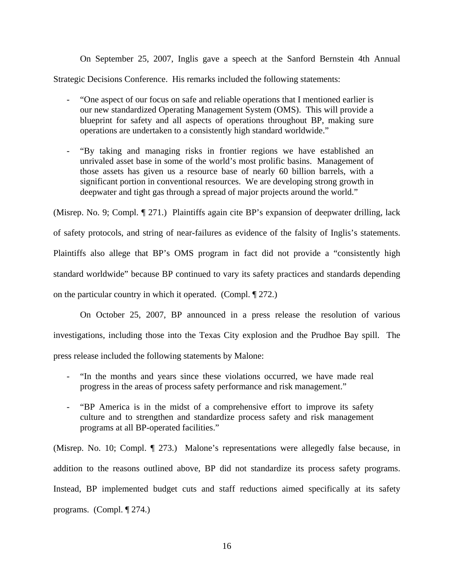On September 25, 2007, Inglis gave a speech at the Sanford Bernstein 4th Annual

Strategic Decisions Conference. His remarks included the following statements:

- "One aspect of our focus on safe and reliable operations that I mentioned earlier is our new standardized Operating Management System (OMS). This will provide a blueprint for safety and all aspects of operations throughout BP, making sure operations are undertaken to a consistently high standard worldwide."
- "By taking and managing risks in frontier regions we have established an unrivaled asset base in some of the world's most prolific basins. Management of those assets has given us a resource base of nearly 60 billion barrels, with a significant portion in conventional resources. We are developing strong growth in deepwater and tight gas through a spread of major projects around the world."

(Misrep. No. 9; Compl. ¶ 271.) Plaintiffs again cite BP's expansion of deepwater drilling, lack

of safety protocols, and string of near-failures as evidence of the falsity of Inglis's statements.

Plaintiffs also allege that BP's OMS program in fact did not provide a "consistently high

standard worldwide" because BP continued to vary its safety practices and standards depending

on the particular country in which it operated. (Compl. ¶ 272.)

 On October 25, 2007, BP announced in a press release the resolution of various investigations, including those into the Texas City explosion and the Prudhoe Bay spill. The press release included the following statements by Malone:

- "In the months and years since these violations occurred, we have made real progress in the areas of process safety performance and risk management."
- "BP America is in the midst of a comprehensive effort to improve its safety culture and to strengthen and standardize process safety and risk management programs at all BP-operated facilities."

(Misrep. No. 10; Compl. ¶ 273.) Malone's representations were allegedly false because, in addition to the reasons outlined above, BP did not standardize its process safety programs. Instead, BP implemented budget cuts and staff reductions aimed specifically at its safety programs. (Compl. ¶ 274.)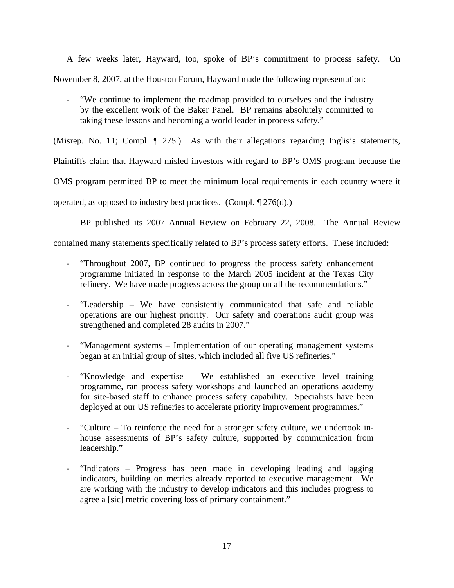A few weeks later, Hayward, too, spoke of BP's commitment to process safety. On November 8, 2007, at the Houston Forum, Hayward made the following representation:

"We continue to implement the roadmap provided to ourselves and the industry by the excellent work of the Baker Panel. BP remains absolutely committed to taking these lessons and becoming a world leader in process safety."

(Misrep. No. 11; Compl. ¶ 275.) As with their allegations regarding Inglis's statements,

Plaintiffs claim that Hayward misled investors with regard to BP's OMS program because the

OMS program permitted BP to meet the minimum local requirements in each country where it

operated, as opposed to industry best practices. (Compl. ¶ 276(d).)

BP published its 2007 Annual Review on February 22, 2008. The Annual Review

contained many statements specifically related to BP's process safety efforts. These included:

- "Throughout 2007, BP continued to progress the process safety enhancement programme initiated in response to the March 2005 incident at the Texas City refinery. We have made progress across the group on all the recommendations."
- "Leadership We have consistently communicated that safe and reliable operations are our highest priority. Our safety and operations audit group was strengthened and completed 28 audits in 2007."
- "Management systems Implementation of our operating management systems began at an initial group of sites, which included all five US refineries."
- "Knowledge and expertise We established an executive level training programme, ran process safety workshops and launched an operations academy for site-based staff to enhance process safety capability. Specialists have been deployed at our US refineries to accelerate priority improvement programmes."
- "Culture To reinforce the need for a stronger safety culture, we undertook inhouse assessments of BP's safety culture, supported by communication from leadership."
- "Indicators Progress has been made in developing leading and lagging indicators, building on metrics already reported to executive management. We are working with the industry to develop indicators and this includes progress to agree a [sic] metric covering loss of primary containment."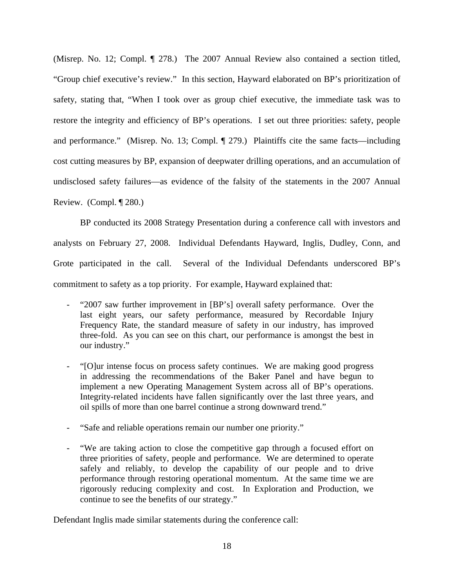(Misrep. No. 12; Compl. ¶ 278.) The 2007 Annual Review also contained a section titled, "Group chief executive's review." In this section, Hayward elaborated on BP's prioritization of safety, stating that, "When I took over as group chief executive, the immediate task was to restore the integrity and efficiency of BP's operations. I set out three priorities: safety, people and performance." (Misrep. No. 13; Compl. ¶ 279.) Plaintiffs cite the same facts—including cost cutting measures by BP, expansion of deepwater drilling operations, and an accumulation of undisclosed safety failures—as evidence of the falsity of the statements in the 2007 Annual Review. (Compl. ¶ 280.)

 BP conducted its 2008 Strategy Presentation during a conference call with investors and analysts on February 27, 2008. Individual Defendants Hayward, Inglis, Dudley, Conn, and Grote participated in the call. Several of the Individual Defendants underscored BP's commitment to safety as a top priority. For example, Hayward explained that:

- "2007 saw further improvement in [BP's] overall safety performance. Over the last eight years, our safety performance, measured by Recordable Injury Frequency Rate, the standard measure of safety in our industry, has improved three-fold. As you can see on this chart, our performance is amongst the best in our industry."
- "[O]ur intense focus on process safety continues. We are making good progress in addressing the recommendations of the Baker Panel and have begun to implement a new Operating Management System across all of BP's operations. Integrity-related incidents have fallen significantly over the last three years, and oil spills of more than one barrel continue a strong downward trend."
- "Safe and reliable operations remain our number one priority."
- "We are taking action to close the competitive gap through a focused effort on three priorities of safety, people and performance. We are determined to operate safely and reliably, to develop the capability of our people and to drive performance through restoring operational momentum. At the same time we are rigorously reducing complexity and cost. In Exploration and Production, we continue to see the benefits of our strategy."

Defendant Inglis made similar statements during the conference call: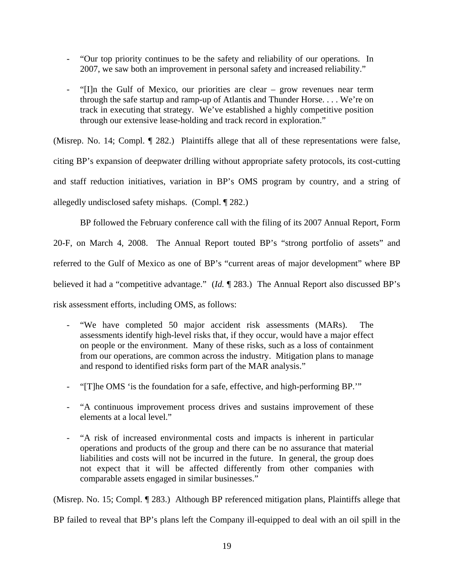- "Our top priority continues to be the safety and reliability of our operations. In 2007, we saw both an improvement in personal safety and increased reliability."
- "[I]n the Gulf of Mexico, our priorities are clear grow revenues near term through the safe startup and ramp-up of Atlantis and Thunder Horse. . . . We're on track in executing that strategy. We've established a highly competitive position through our extensive lease-holding and track record in exploration."

(Misrep. No. 14; Compl. ¶ 282.) Plaintiffs allege that all of these representations were false, citing BP's expansion of deepwater drilling without appropriate safety protocols, its cost-cutting

and staff reduction initiatives, variation in BP's OMS program by country, and a string of

allegedly undisclosed safety mishaps. (Compl. ¶ 282.)

 BP followed the February conference call with the filing of its 2007 Annual Report, Form 20-F, on March 4, 2008. The Annual Report touted BP's "strong portfolio of assets" and referred to the Gulf of Mexico as one of BP's "current areas of major development" where BP believed it had a "competitive advantage." (*Id.* ¶ 283.) The Annual Report also discussed BP's risk assessment efforts, including OMS, as follows:

- "We have completed 50 major accident risk assessments (MARs). The assessments identify high-level risks that, if they occur, would have a major effect on people or the environment. Many of these risks, such as a loss of containment from our operations, are common across the industry. Mitigation plans to manage and respond to identified risks form part of the MAR analysis."
- "[T]he OMS 'is the foundation for a safe, effective, and high-performing BP.'"
- "A continuous improvement process drives and sustains improvement of these elements at a local level."
- "A risk of increased environmental costs and impacts is inherent in particular operations and products of the group and there can be no assurance that material liabilities and costs will not be incurred in the future. In general, the group does not expect that it will be affected differently from other companies with comparable assets engaged in similar businesses."

(Misrep. No. 15; Compl. ¶ 283.) Although BP referenced mitigation plans, Plaintiffs allege that

BP failed to reveal that BP's plans left the Company ill-equipped to deal with an oil spill in the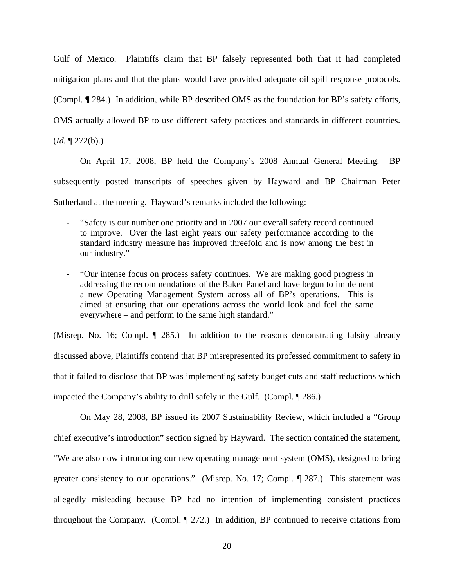Gulf of Mexico. Plaintiffs claim that BP falsely represented both that it had completed mitigation plans and that the plans would have provided adequate oil spill response protocols. (Compl. ¶ 284.) In addition, while BP described OMS as the foundation for BP's safety efforts, OMS actually allowed BP to use different safety practices and standards in different countries.  $(Id. \P 272(b).)$ 

 On April 17, 2008, BP held the Company's 2008 Annual General Meeting. BP subsequently posted transcripts of speeches given by Hayward and BP Chairman Peter Sutherland at the meeting. Hayward's remarks included the following:

- "Safety is our number one priority and in 2007 our overall safety record continued to improve. Over the last eight years our safety performance according to the standard industry measure has improved threefold and is now among the best in our industry."
- "Our intense focus on process safety continues. We are making good progress in addressing the recommendations of the Baker Panel and have begun to implement a new Operating Management System across all of BP's operations. This is aimed at ensuring that our operations across the world look and feel the same everywhere – and perform to the same high standard."

(Misrep. No. 16; Compl. ¶ 285.) In addition to the reasons demonstrating falsity already discussed above, Plaintiffs contend that BP misrepresented its professed commitment to safety in that it failed to disclose that BP was implementing safety budget cuts and staff reductions which impacted the Company's ability to drill safely in the Gulf. (Compl. ¶ 286.)

 On May 28, 2008, BP issued its 2007 Sustainability Review, which included a "Group chief executive's introduction" section signed by Hayward. The section contained the statement, "We are also now introducing our new operating management system (OMS), designed to bring greater consistency to our operations." (Misrep. No. 17; Compl. ¶ 287.) This statement was allegedly misleading because BP had no intention of implementing consistent practices throughout the Company. (Compl. ¶ 272.) In addition, BP continued to receive citations from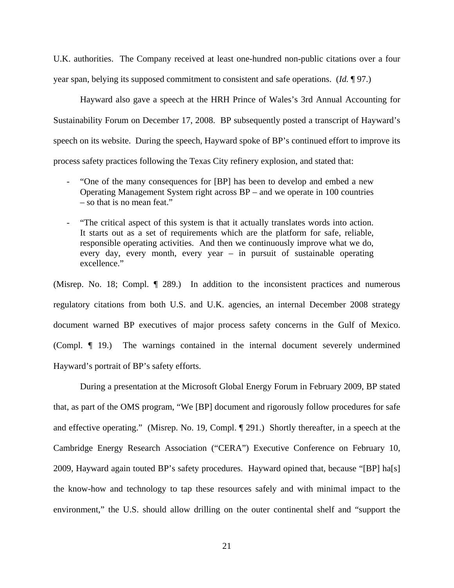U.K. authorities. The Company received at least one-hundred non-public citations over a four year span, belying its supposed commitment to consistent and safe operations. (*Id.* ¶ 97.)

 Hayward also gave a speech at the HRH Prince of Wales's 3rd Annual Accounting for Sustainability Forum on December 17, 2008. BP subsequently posted a transcript of Hayward's speech on its website. During the speech, Hayward spoke of BP's continued effort to improve its process safety practices following the Texas City refinery explosion, and stated that:

- "One of the many consequences for [BP] has been to develop and embed a new Operating Management System right across BP – and we operate in 100 countries – so that is no mean feat."
- "The critical aspect of this system is that it actually translates words into action. It starts out as a set of requirements which are the platform for safe, reliable, responsible operating activities. And then we continuously improve what we do, every day, every month, every year – in pursuit of sustainable operating excellence."

(Misrep. No. 18; Compl. ¶ 289.) In addition to the inconsistent practices and numerous regulatory citations from both U.S. and U.K. agencies, an internal December 2008 strategy document warned BP executives of major process safety concerns in the Gulf of Mexico. (Compl. ¶ 19.) The warnings contained in the internal document severely undermined Hayward's portrait of BP's safety efforts.

During a presentation at the Microsoft Global Energy Forum in February 2009, BP stated that, as part of the OMS program, "We [BP] document and rigorously follow procedures for safe and effective operating." (Misrep. No. 19, Compl. ¶ 291.) Shortly thereafter, in a speech at the Cambridge Energy Research Association ("CERA") Executive Conference on February 10, 2009, Hayward again touted BP's safety procedures. Hayward opined that, because "[BP] ha[s] the know-how and technology to tap these resources safely and with minimal impact to the environment," the U.S. should allow drilling on the outer continental shelf and "support the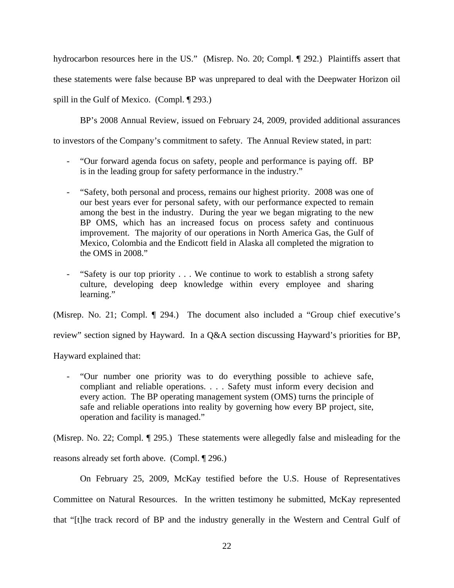hydrocarbon resources here in the US." (Misrep. No. 20; Compl. 1922.) Plaintiffs assert that these statements were false because BP was unprepared to deal with the Deepwater Horizon oil spill in the Gulf of Mexico. (Compl. ¶ 293.)

BP's 2008 Annual Review, issued on February 24, 2009, provided additional assurances

to investors of the Company's commitment to safety. The Annual Review stated, in part:

- "Our forward agenda focus on safety, people and performance is paying off. BP is in the leading group for safety performance in the industry."
- "Safety, both personal and process, remains our highest priority. 2008 was one of our best years ever for personal safety, with our performance expected to remain among the best in the industry. During the year we began migrating to the new BP OMS, which has an increased focus on process safety and continuous improvement. The majority of our operations in North America Gas, the Gulf of Mexico, Colombia and the Endicott field in Alaska all completed the migration to the OMS in 2008."
- "Safety is our top priority . . . We continue to work to establish a strong safety culture, developing deep knowledge within every employee and sharing learning."

(Misrep. No. 21; Compl. ¶ 294.) The document also included a "Group chief executive's

review" section signed by Hayward. In a Q&A section discussing Hayward's priorities for BP,

Hayward explained that:

- "Our number one priority was to do everything possible to achieve safe, compliant and reliable operations. . . . Safety must inform every decision and every action. The BP operating management system (OMS) turns the principle of safe and reliable operations into reality by governing how every BP project, site, operation and facility is managed."

(Misrep. No. 22; Compl. ¶ 295.) These statements were allegedly false and misleading for the reasons already set forth above. (Compl. ¶ 296.)

 On February 25, 2009, McKay testified before the U.S. House of Representatives Committee on Natural Resources. In the written testimony he submitted, McKay represented that "[t]he track record of BP and the industry generally in the Western and Central Gulf of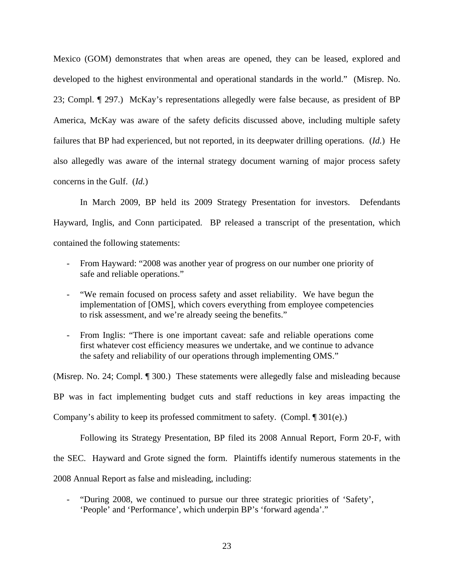Mexico (GOM) demonstrates that when areas are opened, they can be leased, explored and developed to the highest environmental and operational standards in the world." (Misrep. No. 23; Compl. ¶ 297.) McKay's representations allegedly were false because, as president of BP America, McKay was aware of the safety deficits discussed above, including multiple safety failures that BP had experienced, but not reported, in its deepwater drilling operations. (*Id.*) He also allegedly was aware of the internal strategy document warning of major process safety concerns in the Gulf. (*Id.*)

 In March 2009, BP held its 2009 Strategy Presentation for investors. Defendants Hayward, Inglis, and Conn participated. BP released a transcript of the presentation, which contained the following statements:

- From Hayward: "2008 was another year of progress on our number one priority of safe and reliable operations."
- "We remain focused on process safety and asset reliability. We have begun the implementation of [OMS], which covers everything from employee competencies to risk assessment, and we're already seeing the benefits."
- From Inglis: "There is one important caveat: safe and reliable operations come first whatever cost efficiency measures we undertake, and we continue to advance the safety and reliability of our operations through implementing OMS."

(Misrep. No. 24; Compl. ¶ 300.) These statements were allegedly false and misleading because BP was in fact implementing budget cuts and staff reductions in key areas impacting the Company's ability to keep its professed commitment to safety. (Compl. ¶ 301(e).)

Following its Strategy Presentation, BP filed its 2008 Annual Report, Form 20-F, with the SEC. Hayward and Grote signed the form. Plaintiffs identify numerous statements in the 2008 Annual Report as false and misleading, including:

"During 2008, we continued to pursue our three strategic priorities of 'Safety', 'People' and 'Performance', which underpin BP's 'forward agenda'."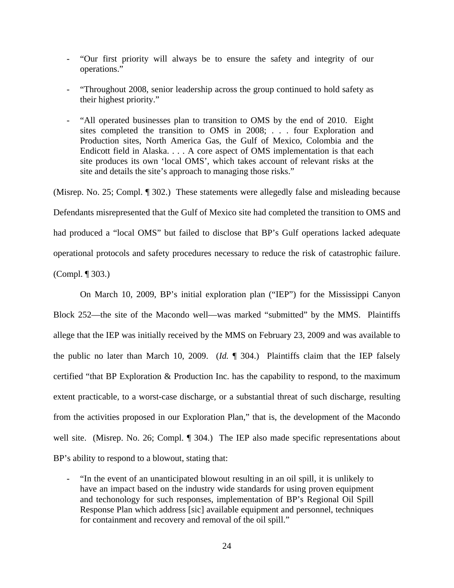- "Our first priority will always be to ensure the safety and integrity of our operations."
- "Throughout 2008, senior leadership across the group continued to hold safety as their highest priority."
- "All operated businesses plan to transition to OMS by the end of 2010. Eight sites completed the transition to OMS in 2008; . . . four Exploration and Production sites, North America Gas, the Gulf of Mexico, Colombia and the Endicott field in Alaska. . . . A core aspect of OMS implementation is that each site produces its own 'local OMS', which takes account of relevant risks at the site and details the site's approach to managing those risks."

(Misrep. No. 25; Compl. ¶ 302.) These statements were allegedly false and misleading because Defendants misrepresented that the Gulf of Mexico site had completed the transition to OMS and had produced a "local OMS" but failed to disclose that BP's Gulf operations lacked adequate operational protocols and safety procedures necessary to reduce the risk of catastrophic failure. (Compl. ¶ 303.)

 On March 10, 2009, BP's initial exploration plan ("IEP") for the Mississippi Canyon Block 252—the site of the Macondo well—was marked "submitted" by the MMS. Plaintiffs allege that the IEP was initially received by the MMS on February 23, 2009 and was available to the public no later than March 10, 2009. (*Id.* ¶ 304.) Plaintiffs claim that the IEP falsely certified "that BP Exploration & Production Inc. has the capability to respond, to the maximum extent practicable, to a worst-case discharge, or a substantial threat of such discharge, resulting from the activities proposed in our Exploration Plan," that is, the development of the Macondo well site. (Misrep. No. 26; Compl. ¶ 304.) The IEP also made specific representations about BP's ability to respond to a blowout, stating that:

- "In the event of an unanticipated blowout resulting in an oil spill, it is unlikely to have an impact based on the industry wide standards for using proven equipment and techonology for such responses, implementation of BP's Regional Oil Spill Response Plan which address [sic] available equipment and personnel, techniques for containment and recovery and removal of the oil spill."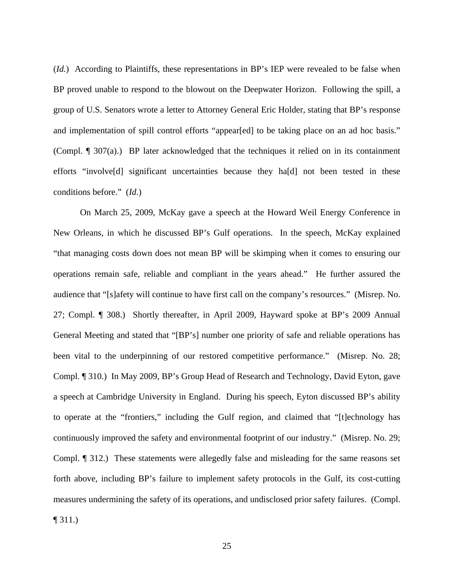(*Id.*) According to Plaintiffs, these representations in BP's IEP were revealed to be false when BP proved unable to respond to the blowout on the Deepwater Horizon. Following the spill, a group of U.S. Senators wrote a letter to Attorney General Eric Holder, stating that BP's response and implementation of spill control efforts "appear[ed] to be taking place on an ad hoc basis." (Compl. ¶ 307(a).) BP later acknowledged that the techniques it relied on in its containment efforts "involve[d] significant uncertainties because they ha[d] not been tested in these conditions before." (*Id.*)

 On March 25, 2009, McKay gave a speech at the Howard Weil Energy Conference in New Orleans, in which he discussed BP's Gulf operations. In the speech, McKay explained "that managing costs down does not mean BP will be skimping when it comes to ensuring our operations remain safe, reliable and compliant in the years ahead." He further assured the audience that "[s]afety will continue to have first call on the company's resources." (Misrep. No. 27; Compl. ¶ 308.) Shortly thereafter, in April 2009, Hayward spoke at BP's 2009 Annual General Meeting and stated that "[BP's] number one priority of safe and reliable operations has been vital to the underpinning of our restored competitive performance." (Misrep. No. 28; Compl. ¶ 310.) In May 2009, BP's Group Head of Research and Technology, David Eyton, gave a speech at Cambridge University in England. During his speech, Eyton discussed BP's ability to operate at the "frontiers," including the Gulf region, and claimed that "[t]echnology has continuously improved the safety and environmental footprint of our industry." (Misrep. No. 29; Compl. ¶ 312.) These statements were allegedly false and misleading for the same reasons set forth above, including BP's failure to implement safety protocols in the Gulf, its cost-cutting measures undermining the safety of its operations, and undisclosed prior safety failures. (Compl. ¶ 311.)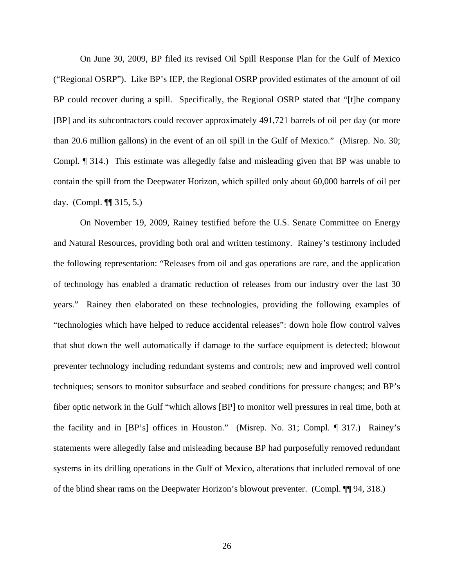On June 30, 2009, BP filed its revised Oil Spill Response Plan for the Gulf of Mexico ("Regional OSRP"). Like BP's IEP, the Regional OSRP provided estimates of the amount of oil BP could recover during a spill. Specifically, the Regional OSRP stated that "[t]he company [BP] and its subcontractors could recover approximately 491,721 barrels of oil per day (or more than 20.6 million gallons) in the event of an oil spill in the Gulf of Mexico." (Misrep. No. 30; Compl. ¶ 314.) This estimate was allegedly false and misleading given that BP was unable to contain the spill from the Deepwater Horizon, which spilled only about 60,000 barrels of oil per day. (Compl. ¶¶ 315, 5.)

 On November 19, 2009, Rainey testified before the U.S. Senate Committee on Energy and Natural Resources, providing both oral and written testimony. Rainey's testimony included the following representation: "Releases from oil and gas operations are rare, and the application of technology has enabled a dramatic reduction of releases from our industry over the last 30 years." Rainey then elaborated on these technologies, providing the following examples of "technologies which have helped to reduce accidental releases": down hole flow control valves that shut down the well automatically if damage to the surface equipment is detected; blowout preventer technology including redundant systems and controls; new and improved well control techniques; sensors to monitor subsurface and seabed conditions for pressure changes; and BP's fiber optic network in the Gulf "which allows [BP] to monitor well pressures in real time, both at the facility and in [BP's] offices in Houston." (Misrep. No. 31; Compl. ¶ 317.) Rainey's statements were allegedly false and misleading because BP had purposefully removed redundant systems in its drilling operations in the Gulf of Mexico, alterations that included removal of one of the blind shear rams on the Deepwater Horizon's blowout preventer. (Compl. ¶¶ 94, 318.)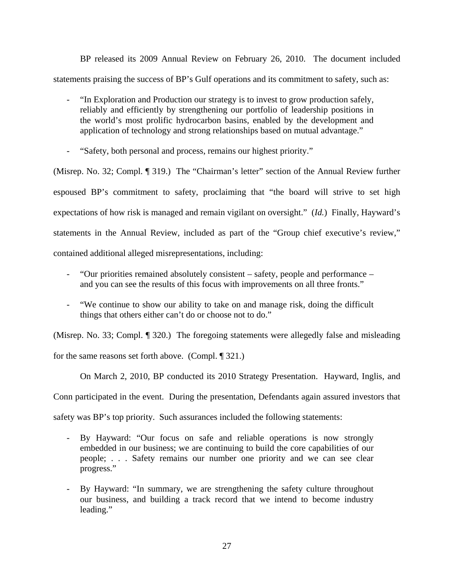BP released its 2009 Annual Review on February 26, 2010. The document included statements praising the success of BP's Gulf operations and its commitment to safety, such as:

- "In Exploration and Production our strategy is to invest to grow production safely, reliably and efficiently by strengthening our portfolio of leadership positions in the world's most prolific hydrocarbon basins, enabled by the development and application of technology and strong relationships based on mutual advantage."
- "Safety, both personal and process, remains our highest priority."

(Misrep. No. 32; Compl. ¶ 319.) The "Chairman's letter" section of the Annual Review further espoused BP's commitment to safety, proclaiming that "the board will strive to set high expectations of how risk is managed and remain vigilant on oversight." (*Id.*)Finally, Hayward's statements in the Annual Review, included as part of the "Group chief executive's review," contained additional alleged misrepresentations, including:

- "Our priorities remained absolutely consistent safety, people and performance and you can see the results of this focus with improvements on all three fronts."
- "We continue to show our ability to take on and manage risk, doing the difficult things that others either can't do or choose not to do."

(Misrep. No. 33; Compl. ¶ 320.) The foregoing statements were allegedly false and misleading for the same reasons set forth above. (Compl. ¶ 321.)

 On March 2, 2010, BP conducted its 2010 Strategy Presentation. Hayward, Inglis, and Conn participated in the event. During the presentation, Defendants again assured investors that safety was BP's top priority. Such assurances included the following statements:

- By Hayward: "Our focus on safe and reliable operations is now strongly embedded in our business; we are continuing to build the core capabilities of our people; . . . Safety remains our number one priority and we can see clear progress."
- By Hayward: "In summary, we are strengthening the safety culture throughout our business, and building a track record that we intend to become industry leading."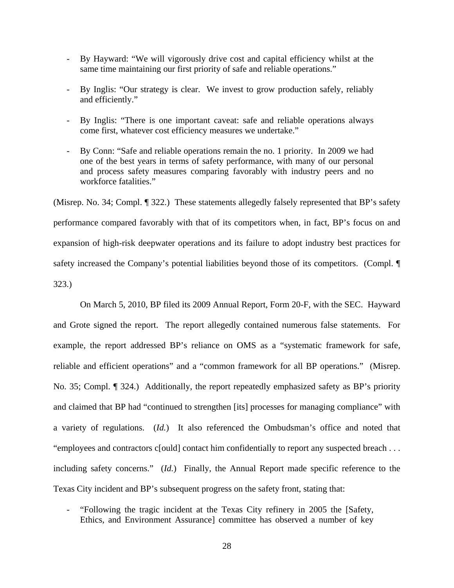- By Hayward: "We will vigorously drive cost and capital efficiency whilst at the same time maintaining our first priority of safe and reliable operations."
- By Inglis: "Our strategy is clear. We invest to grow production safely, reliably and efficiently."
- By Inglis: "There is one important caveat: safe and reliable operations always come first, whatever cost efficiency measures we undertake."
- By Conn: "Safe and reliable operations remain the no. 1 priority. In 2009 we had one of the best years in terms of safety performance, with many of our personal and process safety measures comparing favorably with industry peers and no workforce fatalities."

(Misrep. No. 34; Compl. ¶ 322.) These statements allegedly falsely represented that BP's safety performance compared favorably with that of its competitors when, in fact, BP's focus on and expansion of high-risk deepwater operations and its failure to adopt industry best practices for safety increased the Company's potential liabilities beyond those of its competitors. (Compl.  $\P$ 323.)

On March 5, 2010, BP filed its 2009 Annual Report, Form 20-F, with the SEC. Hayward and Grote signed the report. The report allegedly contained numerous false statements. For example, the report addressed BP's reliance on OMS as a "systematic framework for safe, reliable and efficient operations" and a "common framework for all BP operations." (Misrep. No. 35; Compl. ¶ 324.) Additionally, the report repeatedly emphasized safety as BP's priority and claimed that BP had "continued to strengthen [its] processes for managing compliance" with a variety of regulations. (*Id.*) It also referenced the Ombudsman's office and noted that "employees and contractors c[ould] contact him confidentially to report any suspected breach . . . including safety concerns." (*Id.*) Finally, the Annual Report made specific reference to the Texas City incident and BP's subsequent progress on the safety front, stating that:

- "Following the tragic incident at the Texas City refinery in 2005 the [Safety, Ethics, and Environment Assurance] committee has observed a number of key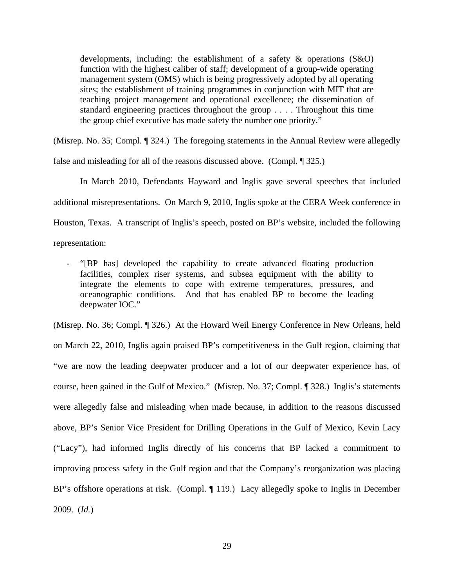developments, including: the establishment of a safety & operations (S&O) function with the highest caliber of staff; development of a group-wide operating management system (OMS) which is being progressively adopted by all operating sites; the establishment of training programmes in conjunction with MIT that are teaching project management and operational excellence; the dissemination of standard engineering practices throughout the group . . . . Throughout this time the group chief executive has made safety the number one priority."

(Misrep. No. 35; Compl. ¶ 324.) The foregoing statements in the Annual Review were allegedly

false and misleading for all of the reasons discussed above. (Compl. ¶ 325.)

 In March 2010, Defendants Hayward and Inglis gave several speeches that included additional misrepresentations. On March 9, 2010, Inglis spoke at the CERA Week conference in Houston, Texas. A transcript of Inglis's speech, posted on BP's website, included the following

representation:

- "[BP has] developed the capability to create advanced floating production facilities, complex riser systems, and subsea equipment with the ability to integrate the elements to cope with extreme temperatures, pressures, and oceanographic conditions. And that has enabled BP to become the leading deepwater IOC."

(Misrep. No. 36; Compl. ¶ 326.) At the Howard Weil Energy Conference in New Orleans, held on March 22, 2010, Inglis again praised BP's competitiveness in the Gulf region, claiming that "we are now the leading deepwater producer and a lot of our deepwater experience has, of course, been gained in the Gulf of Mexico." (Misrep. No. 37; Compl. ¶ 328.) Inglis's statements were allegedly false and misleading when made because, in addition to the reasons discussed above, BP's Senior Vice President for Drilling Operations in the Gulf of Mexico, Kevin Lacy ("Lacy"), had informed Inglis directly of his concerns that BP lacked a commitment to improving process safety in the Gulf region and that the Company's reorganization was placing BP's offshore operations at risk. (Compl. ¶ 119.) Lacy allegedly spoke to Inglis in December 2009. (*Id.*)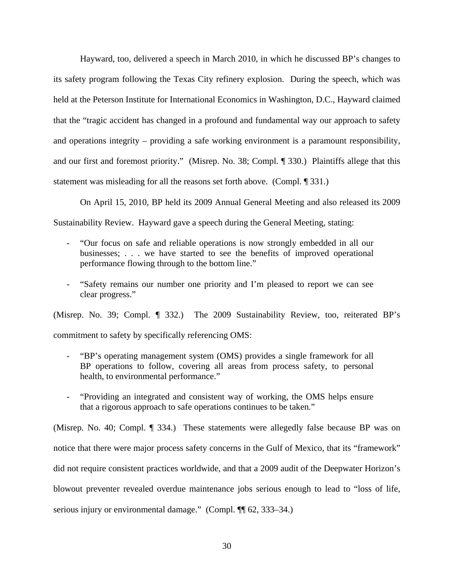Hayward, too, delivered a speech in March 2010, in which he discussed BP's changes to its safety program following the Texas City refinery explosion. During the speech, which was held at the Peterson Institute for International Economics in Washington, D.C., Hayward claimed that the "tragic accident has changed in a profound and fundamental way our approach to safety and operations integrity – providing a safe working environment is a paramount responsibility, and our first and foremost priority." (Misrep. No. 38; Compl. ¶ 330.) Plaintiffs allege that this statement was misleading for all the reasons set forth above. (Compl. ¶ 331.)

 On April 15, 2010, BP held its 2009 Annual General Meeting and also released its 2009 Sustainability Review. Hayward gave a speech during the General Meeting, stating:

- "Our focus on safe and reliable operations is now strongly embedded in all our businesses; . . . we have started to see the benefits of improved operational performance flowing through to the bottom line."
- "Safety remains our number one priority and I'm pleased to report we can see clear progress."

(Misrep. No. 39; Compl. ¶ 332.) The 2009 Sustainability Review, too, reiterated BP's commitment to safety by specifically referencing OMS:

- "BP's operating management system (OMS) provides a single framework for all BP operations to follow, covering all areas from process safety, to personal health, to environmental performance."
- "Providing an integrated and consistent way of working, the OMS helps ensure that a rigorous approach to safe operations continues to be taken."

(Misrep. No. 40; Compl. ¶ 334.) These statements were allegedly false because BP was on notice that there were major process safety concerns in the Gulf of Mexico, that its "framework" did not require consistent practices worldwide, and that a 2009 audit of the Deepwater Horizon's blowout preventer revealed overdue maintenance jobs serious enough to lead to "loss of life, serious injury or environmental damage." (Compl. ¶¶ 62, 333–34.)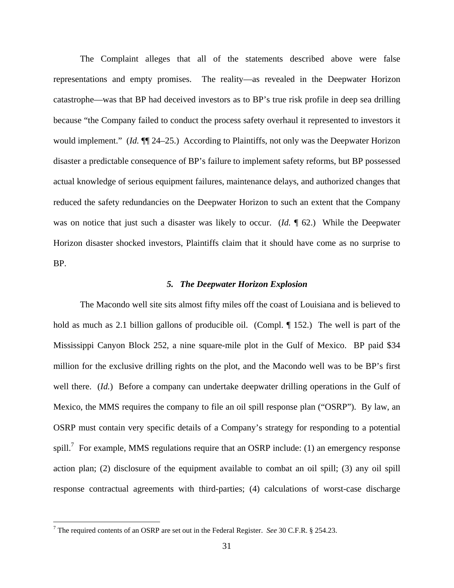The Complaint alleges that all of the statements described above were false representations and empty promises. The reality—as revealed in the Deepwater Horizon catastrophe—was that BP had deceived investors as to BP's true risk profile in deep sea drilling because "the Company failed to conduct the process safety overhaul it represented to investors it would implement." (*Id.*  $\P$ <sup> $\uparrow$ </sup> 24–25.) According to Plaintiffs, not only was the Deepwater Horizon disaster a predictable consequence of BP's failure to implement safety reforms, but BP possessed actual knowledge of serious equipment failures, maintenance delays, and authorized changes that reduced the safety redundancies on the Deepwater Horizon to such an extent that the Company was on notice that just such a disaster was likely to occur. (*Id.* ¶ 62.) While the Deepwater Horizon disaster shocked investors, Plaintiffs claim that it should have come as no surprise to BP.

#### *5. The Deepwater Horizon Explosion*

The Macondo well site sits almost fifty miles off the coast of Louisiana and is believed to hold as much as 2.1 billion gallons of producible oil. (Compl. 152.) The well is part of the Mississippi Canyon Block 252, a nine square-mile plot in the Gulf of Mexico. BP paid \$34 million for the exclusive drilling rights on the plot, and the Macondo well was to be BP's first well there. (*Id.*) Before a company can undertake deepwater drilling operations in the Gulf of Mexico, the MMS requires the company to file an oil spill response plan ("OSRP"). By law, an OSRP must contain very specific details of a Company's strategy for responding to a potential spill.<sup>7</sup> For example, MMS regulations require that an OSRP include: (1) an emergency response action plan; (2) disclosure of the equipment available to combat an oil spill; (3) any oil spill response contractual agreements with third-parties; (4) calculations of worst-case discharge

<sup>7</sup> The required contents of an OSRP are set out in the Federal Register. *See* 30 C.F.R. § 254.23.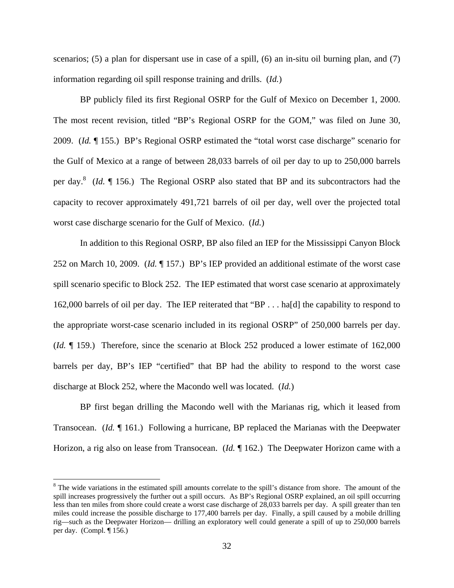scenarios; (5) a plan for dispersant use in case of a spill, (6) an in-situ oil burning plan, and (7) information regarding oil spill response training and drills. (*Id.*)

BP publicly filed its first Regional OSRP for the Gulf of Mexico on December 1, 2000. The most recent revision, titled "BP's Regional OSRP for the GOM," was filed on June 30, 2009. (*Id.* ¶ 155.) BP's Regional OSRP estimated the "total worst case discharge" scenario for the Gulf of Mexico at a range of between 28,033 barrels of oil per day to up to 250,000 barrels per day.8 (*Id.* ¶ 156.) The Regional OSRP also stated that BP and its subcontractors had the capacity to recover approximately 491,721 barrels of oil per day, well over the projected total worst case discharge scenario for the Gulf of Mexico. (*Id.*)

In addition to this Regional OSRP, BP also filed an IEP for the Mississippi Canyon Block 252 on March 10, 2009. (*Id.* ¶ 157.) BP's IEP provided an additional estimate of the worst case spill scenario specific to Block 252. The IEP estimated that worst case scenario at approximately 162,000 barrels of oil per day. The IEP reiterated that "BP . . . ha[d] the capability to respond to the appropriate worst-case scenario included in its regional OSRP" of 250,000 barrels per day. (*Id.* ¶ 159.) Therefore, since the scenario at Block 252 produced a lower estimate of 162,000 barrels per day, BP's IEP "certified" that BP had the ability to respond to the worst case discharge at Block 252, where the Macondo well was located. (*Id.*)

BP first began drilling the Macondo well with the Marianas rig, which it leased from Transocean. (*Id.* ¶ 161.) Following a hurricane, BP replaced the Marianas with the Deepwater Horizon, a rig also on lease from Transocean. (*Id.* 162.) The Deepwater Horizon came with a

1

 $8$  The wide variations in the estimated spill amounts correlate to the spill's distance from shore. The amount of the spill increases progressively the further out a spill occurs. As BP's Regional OSRP explained, an oil spill occurring less than ten miles from shore could create a worst case discharge of 28,033 barrels per day. A spill greater than ten miles could increase the possible discharge to 177,400 barrels per day. Finally, a spill caused by a mobile drilling rig—such as the Deepwater Horizon— drilling an exploratory well could generate a spill of up to 250,000 barrels per day. (Compl. ¶ 156.)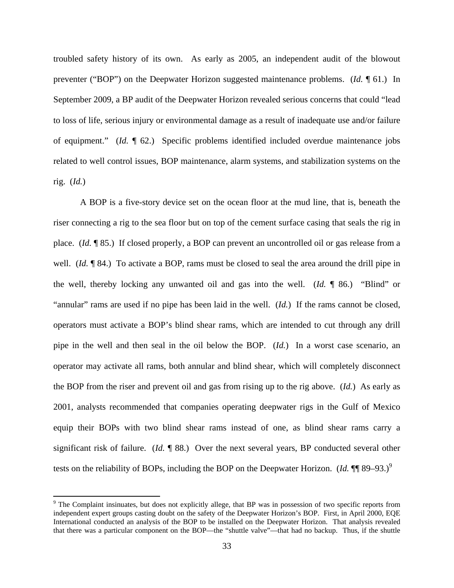troubled safety history of its own. As early as 2005, an independent audit of the blowout preventer ("BOP") on the Deepwater Horizon suggested maintenance problems. (*Id.* ¶ 61.) In September 2009, a BP audit of the Deepwater Horizon revealed serious concerns that could "lead to loss of life, serious injury or environmental damage as a result of inadequate use and/or failure of equipment." (*Id.* ¶ 62.) Specific problems identified included overdue maintenance jobs related to well control issues, BOP maintenance, alarm systems, and stabilization systems on the rig. (*Id.*)

A BOP is a five-story device set on the ocean floor at the mud line, that is, beneath the riser connecting a rig to the sea floor but on top of the cement surface casing that seals the rig in place. (*Id.* ¶ 85.) If closed properly, a BOP can prevent an uncontrolled oil or gas release from a well. (*Id.* **¶** 84.) To activate a BOP, rams must be closed to seal the area around the drill pipe in the well, thereby locking any unwanted oil and gas into the well. (*Id.* ¶ 86.) "Blind" or "annular" rams are used if no pipe has been laid in the well. (*Id.*) If the rams cannot be closed, operators must activate a BOP's blind shear rams, which are intended to cut through any drill pipe in the well and then seal in the oil below the BOP. (*Id.*) In a worst case scenario, an operator may activate all rams, both annular and blind shear, which will completely disconnect the BOP from the riser and prevent oil and gas from rising up to the rig above. (*Id.*) As early as 2001, analysts recommended that companies operating deepwater rigs in the Gulf of Mexico equip their BOPs with two blind shear rams instead of one, as blind shear rams carry a significant risk of failure. (*Id.* ¶ 88.) Over the next several years, BP conducted several other tests on the reliability of BOPs, including the BOP on the Deepwater Horizon. (*Id.* ¶¶ 89–93.)<sup>9</sup>

<sup>&</sup>lt;sup>9</sup> The Complaint insinuates, but does not explicitly allege, that BP was in possession of two specific reports from independent expert groups casting doubt on the safety of the Deepwater Horizon's BOP. First, in April 2000, EQE International conducted an analysis of the BOP to be installed on the Deepwater Horizon. That analysis revealed that there was a particular component on the BOP—the "shuttle valve"—that had no backup. Thus, if the shuttle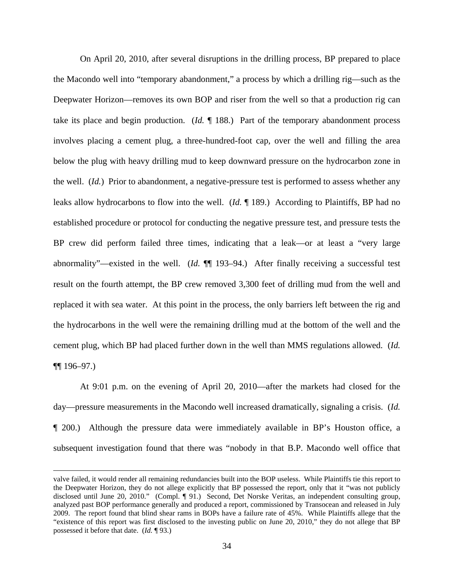On April 20, 2010, after several disruptions in the drilling process, BP prepared to place the Macondo well into "temporary abandonment," a process by which a drilling rig—such as the Deepwater Horizon—removes its own BOP and riser from the well so that a production rig can take its place and begin production. (*Id.* ¶ 188.) Part of the temporary abandonment process involves placing a cement plug, a three-hundred-foot cap, over the well and filling the area below the plug with heavy drilling mud to keep downward pressure on the hydrocarbon zone in the well. (*Id.*) Prior to abandonment, a negative-pressure test is performed to assess whether any leaks allow hydrocarbons to flow into the well. (*Id.* ¶ 189.) According to Plaintiffs, BP had no established procedure or protocol for conducting the negative pressure test, and pressure tests the BP crew did perform failed three times, indicating that a leak—or at least a "very large abnormality"—existed in the well. (*Id.* ¶¶ 193–94.) After finally receiving a successful test result on the fourth attempt, the BP crew removed 3,300 feet of drilling mud from the well and replaced it with sea water. At this point in the process, the only barriers left between the rig and the hydrocarbons in the well were the remaining drilling mud at the bottom of the well and the cement plug, which BP had placed further down in the well than MMS regulations allowed. (*Id.*   $\P$ [196–97.)

At 9:01 p.m. on the evening of April 20, 2010—after the markets had closed for the day—pressure measurements in the Macondo well increased dramatically, signaling a crisis. (*Id.*  ¶ 200.) Although the pressure data were immediately available in BP's Houston office, a subsequent investigation found that there was "nobody in that B.P. Macondo well office that

1

valve failed, it would render all remaining redundancies built into the BOP useless. While Plaintiffs tie this report to the Deepwater Horizon, they do not allege explicitly that BP possessed the report, only that it "was not publicly disclosed until June 20, 2010." (Compl. ¶ 91.) Second, Det Norske Veritas, an independent consulting group, analyzed past BOP performance generally and produced a report, commissioned by Transocean and released in July 2009. The report found that blind shear rams in BOPs have a failure rate of 45%. While Plaintiffs allege that the "existence of this report was first disclosed to the investing public on June 20, 2010," they do not allege that BP possessed it before that date. (*Id.* ¶ 93.)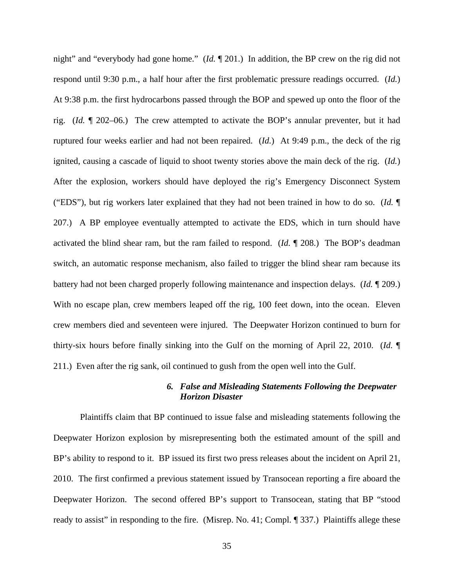night" and "everybody had gone home." (*Id.* ¶ 201.) In addition, the BP crew on the rig did not respond until 9:30 p.m., a half hour after the first problematic pressure readings occurred. (*Id.*) At 9:38 p.m. the first hydrocarbons passed through the BOP and spewed up onto the floor of the rig. (*Id.* ¶ 202–06.) The crew attempted to activate the BOP's annular preventer, but it had ruptured four weeks earlier and had not been repaired. (*Id.*) At 9:49 p.m., the deck of the rig ignited, causing a cascade of liquid to shoot twenty stories above the main deck of the rig. (*Id.*) After the explosion, workers should have deployed the rig's Emergency Disconnect System ("EDS"), but rig workers later explained that they had not been trained in how to do so. (*Id.* ¶ 207.) A BP employee eventually attempted to activate the EDS, which in turn should have activated the blind shear ram, but the ram failed to respond. (*Id.* ¶ 208.) The BOP's deadman switch, an automatic response mechanism, also failed to trigger the blind shear ram because its battery had not been charged properly following maintenance and inspection delays. (*Id.* ¶ 209.) With no escape plan, crew members leaped off the rig, 100 feet down, into the ocean. Eleven crew members died and seventeen were injured. The Deepwater Horizon continued to burn for thirty-six hours before finally sinking into the Gulf on the morning of April 22, 2010. (*Id.* ¶ 211.) Even after the rig sank, oil continued to gush from the open well into the Gulf.

## *6. False and Misleading Statements Following the Deepwater Horizon Disaster*

Plaintiffs claim that BP continued to issue false and misleading statements following the Deepwater Horizon explosion by misrepresenting both the estimated amount of the spill and BP's ability to respond to it. BP issued its first two press releases about the incident on April 21, 2010. The first confirmed a previous statement issued by Transocean reporting a fire aboard the Deepwater Horizon. The second offered BP's support to Transocean, stating that BP "stood ready to assist" in responding to the fire. (Misrep. No. 41; Compl. ¶ 337.) Plaintiffs allege these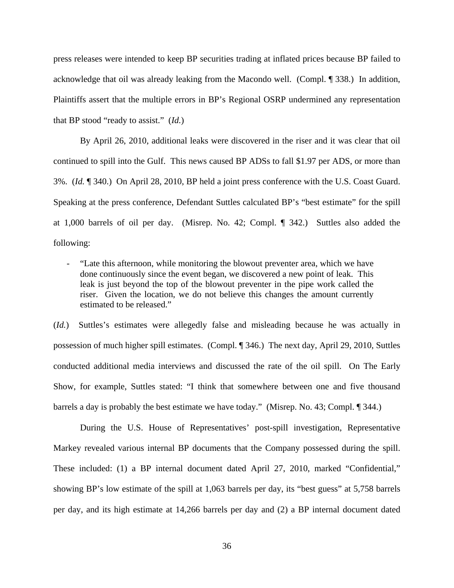press releases were intended to keep BP securities trading at inflated prices because BP failed to acknowledge that oil was already leaking from the Macondo well. (Compl. ¶ 338.) In addition, Plaintiffs assert that the multiple errors in BP's Regional OSRP undermined any representation that BP stood "ready to assist." (*Id.*)

By April 26, 2010, additional leaks were discovered in the riser and it was clear that oil continued to spill into the Gulf. This news caused BP ADSs to fall \$1.97 per ADS, or more than 3%. (*Id.* ¶ 340.) On April 28, 2010, BP held a joint press conference with the U.S. Coast Guard. Speaking at the press conference, Defendant Suttles calculated BP's "best estimate" for the spill at 1,000 barrels of oil per day. (Misrep. No. 42; Compl. ¶ 342.) Suttles also added the following:

- "Late this afternoon, while monitoring the blowout preventer area, which we have done continuously since the event began, we discovered a new point of leak. This leak is just beyond the top of the blowout preventer in the pipe work called the riser. Given the location, we do not believe this changes the amount currently estimated to be released."

(*Id.*) Suttles's estimates were allegedly false and misleading because he was actually in possession of much higher spill estimates. (Compl. ¶ 346.) The next day, April 29, 2010, Suttles conducted additional media interviews and discussed the rate of the oil spill. On The Early Show, for example, Suttles stated: "I think that somewhere between one and five thousand barrels a day is probably the best estimate we have today." (Misrep. No. 43; Compl. ¶ 344.)

During the U.S. House of Representatives' post-spill investigation, Representative Markey revealed various internal BP documents that the Company possessed during the spill. These included: (1) a BP internal document dated April 27, 2010, marked "Confidential," showing BP's low estimate of the spill at 1,063 barrels per day, its "best guess" at 5,758 barrels per day, and its high estimate at 14,266 barrels per day and (2) a BP internal document dated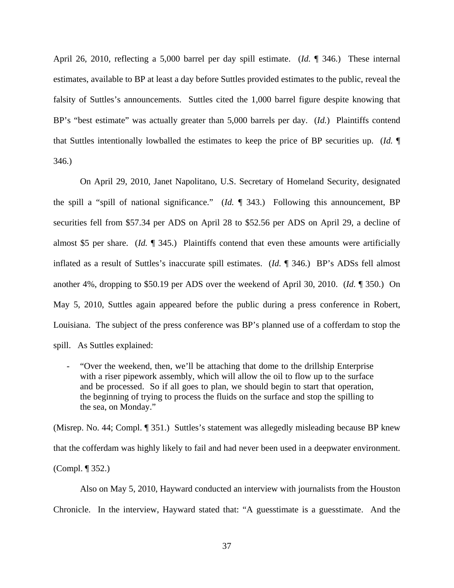April 26, 2010, reflecting a 5,000 barrel per day spill estimate. (*Id.* ¶ 346.)These internal estimates, available to BP at least a day before Suttles provided estimates to the public, reveal the falsity of Suttles's announcements. Suttles cited the 1,000 barrel figure despite knowing that BP's "best estimate" was actually greater than 5,000 barrels per day. (*Id.*) Plaintiffs contend that Suttles intentionally lowballed the estimates to keep the price of BP securities up. (*Id.* ¶ 346.)

 On April 29, 2010, Janet Napolitano, U.S. Secretary of Homeland Security, designated the spill a "spill of national significance." (*Id.* ¶ 343.) Following this announcement, BP securities fell from \$57.34 per ADS on April 28 to \$52.56 per ADS on April 29, a decline of almost \$5 per share. (*Id.* ¶ 345.) Plaintiffs contend that even these amounts were artificially inflated as a result of Suttles's inaccurate spill estimates. (*Id.* ¶ 346.) BP's ADSs fell almost another 4%, dropping to \$50.19 per ADS over the weekend of April 30, 2010. (*Id.* ¶ 350.) On May 5, 2010, Suttles again appeared before the public during a press conference in Robert, Louisiana. The subject of the press conference was BP's planned use of a cofferdam to stop the spill. As Suttles explained:

- "Over the weekend, then, we'll be attaching that dome to the drillship Enterprise with a riser pipework assembly, which will allow the oil to flow up to the surface and be processed. So if all goes to plan, we should begin to start that operation, the beginning of trying to process the fluids on the surface and stop the spilling to the sea, on Monday."

(Misrep. No. 44; Compl. ¶ 351.) Suttles's statement was allegedly misleading because BP knew that the cofferdam was highly likely to fail and had never been used in a deepwater environment. (Compl. ¶ 352.)

 Also on May 5, 2010, Hayward conducted an interview with journalists from the Houston Chronicle. In the interview, Hayward stated that: "A guesstimate is a guesstimate. And the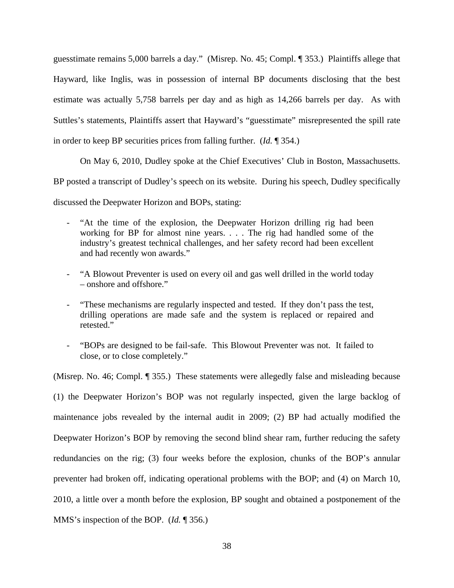guesstimate remains 5,000 barrels a day." (Misrep. No. 45; Compl. ¶ 353.) Plaintiffs allege that Hayward, like Inglis, was in possession of internal BP documents disclosing that the best estimate was actually 5,758 barrels per day and as high as 14,266 barrels per day. As with Suttles's statements, Plaintiffs assert that Hayward's "guesstimate" misrepresented the spill rate in order to keep BP securities prices from falling further. (*Id.* ¶ 354.)

On May 6, 2010, Dudley spoke at the Chief Executives' Club in Boston, Massachusetts.

BP posted a transcript of Dudley's speech on its website. During his speech, Dudley specifically

discussed the Deepwater Horizon and BOPs, stating:

- "At the time of the explosion, the Deepwater Horizon drilling rig had been working for BP for almost nine years. . . . The rig had handled some of the industry's greatest technical challenges, and her safety record had been excellent and had recently won awards."
- "A Blowout Preventer is used on every oil and gas well drilled in the world today – onshore and offshore."
- "These mechanisms are regularly inspected and tested. If they don't pass the test, drilling operations are made safe and the system is replaced or repaired and retested."
- "BOPs are designed to be fail-safe. This Blowout Preventer was not. It failed to close, or to close completely."

(Misrep. No. 46; Compl. ¶ 355.) These statements were allegedly false and misleading because (1) the Deepwater Horizon's BOP was not regularly inspected, given the large backlog of maintenance jobs revealed by the internal audit in 2009; (2) BP had actually modified the Deepwater Horizon's BOP by removing the second blind shear ram, further reducing the safety redundancies on the rig; (3) four weeks before the explosion, chunks of the BOP's annular preventer had broken off, indicating operational problems with the BOP; and (4) on March 10, 2010, a little over a month before the explosion, BP sought and obtained a postponement of the MMS's inspection of the BOP. (*Id.* ¶ 356.)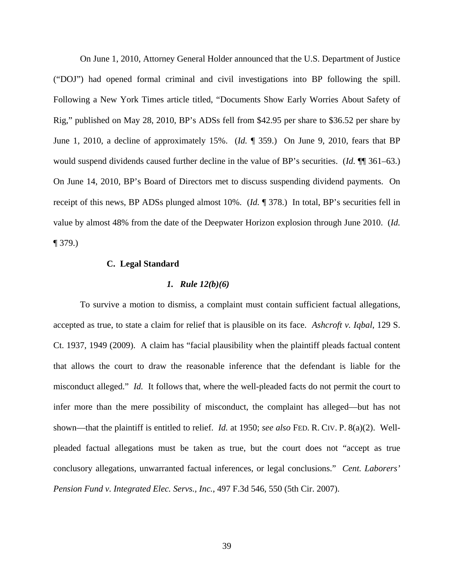On June 1, 2010, Attorney General Holder announced that the U.S. Department of Justice ("DOJ") had opened formal criminal and civil investigations into BP following the spill. Following a New York Times article titled, "Documents Show Early Worries About Safety of Rig," published on May 28, 2010, BP's ADSs fell from \$42.95 per share to \$36.52 per share by June 1, 2010, a decline of approximately 15%. (*Id.* ¶ 359.) On June 9, 2010, fears that BP would suspend dividends caused further decline in the value of BP's securities. (*Id.* ¶¶ 361–63.) On June 14, 2010, BP's Board of Directors met to discuss suspending dividend payments. On receipt of this news, BP ADSs plunged almost 10%. (*Id.* ¶ 378.) In total, BP's securities fell in value by almost 48% from the date of the Deepwater Horizon explosion through June 2010. (*Id.*  ¶ 379.)

## **C. Legal Standard**

#### *1. Rule 12(b)(6)*

To survive a motion to dismiss, a complaint must contain sufficient factual allegations, accepted as true, to state a claim for relief that is plausible on its face. *Ashcroft v. Iqbal*, 129 S. Ct. 1937, 1949 (2009). A claim has "facial plausibility when the plaintiff pleads factual content that allows the court to draw the reasonable inference that the defendant is liable for the misconduct alleged." *Id.* It follows that, where the well-pleaded facts do not permit the court to infer more than the mere possibility of misconduct, the complaint has alleged—but has not shown—that the plaintiff is entitled to relief. *Id.* at 1950; *see also* FED. R. CIV. P. 8(a)(2). Wellpleaded factual allegations must be taken as true, but the court does not "accept as true conclusory allegations, unwarranted factual inferences, or legal conclusions." *Cent. Laborers' Pension Fund v. Integrated Elec. Servs., Inc.*, 497 F.3d 546, 550 (5th Cir. 2007).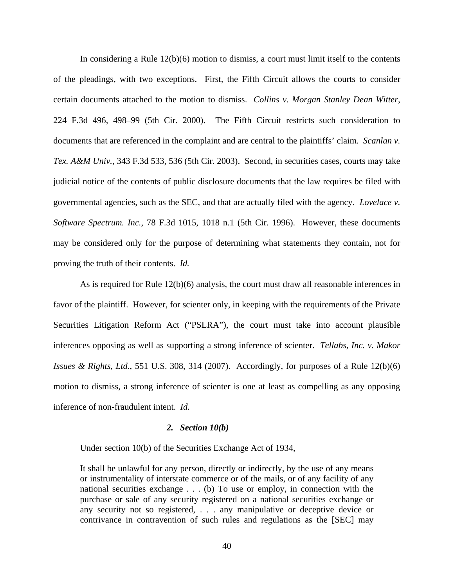In considering a Rule  $12(b)(6)$  motion to dismiss, a court must limit itself to the contents of the pleadings, with two exceptions. First, the Fifth Circuit allows the courts to consider certain documents attached to the motion to dismiss. *Collins v. Morgan Stanley Dean Witter*, 224 F.3d 496, 498–99 (5th Cir. 2000). The Fifth Circuit restricts such consideration to documents that are referenced in the complaint and are central to the plaintiffs' claim. *Scanlan v. Tex. A&M Univ.*, 343 F.3d 533, 536 (5th Cir. 2003). Second, in securities cases, courts may take judicial notice of the contents of public disclosure documents that the law requires be filed with governmental agencies, such as the SEC, and that are actually filed with the agency. *Lovelace v. Software Spectrum. Inc.*, 78 F.3d 1015, 1018 n.1 (5th Cir. 1996). However, these documents may be considered only for the purpose of determining what statements they contain, not for proving the truth of their contents. *Id.* 

As is required for Rule 12(b)(6) analysis, the court must draw all reasonable inferences in favor of the plaintiff. However, for scienter only, in keeping with the requirements of the Private Securities Litigation Reform Act ("PSLRA"), the court must take into account plausible inferences opposing as well as supporting a strong inference of scienter. *Tellabs, Inc. v. Makor Issues & Rights, Ltd.*, 551 U.S. 308, 314 (2007). Accordingly, for purposes of a Rule 12(b)(6) motion to dismiss, a strong inference of scienter is one at least as compelling as any opposing inference of non-fraudulent intent. *Id.* 

#### *2. Section 10(b)*

Under section 10(b) of the Securities Exchange Act of 1934,

It shall be unlawful for any person, directly or indirectly, by the use of any means or instrumentality of interstate commerce or of the mails, or of any facility of any national securities exchange . . . (b) To use or employ, in connection with the purchase or sale of any security registered on a national securities exchange or any security not so registered, . . . any manipulative or deceptive device or contrivance in contravention of such rules and regulations as the [SEC] may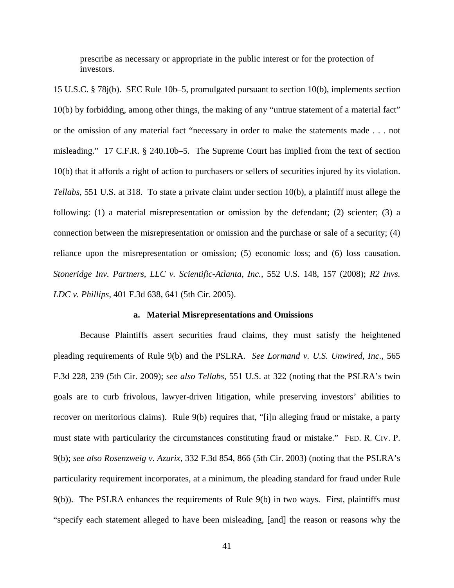prescribe as necessary or appropriate in the public interest or for the protection of investors.

15 U.S.C. § 78j(b). SEC Rule 10b–5, promulgated pursuant to section 10(b), implements section 10(b) by forbidding, among other things, the making of any "untrue statement of a material fact" or the omission of any material fact "necessary in order to make the statements made . . . not misleading." 17 C.F.R. § 240.10b–5. The Supreme Court has implied from the text of section 10(b) that it affords a right of action to purchasers or sellers of securities injured by its violation. *Tellabs*, 551 U.S. at 318. To state a private claim under section 10(b), a plaintiff must allege the following: (1) a material misrepresentation or omission by the defendant; (2) scienter; (3) a connection between the misrepresentation or omission and the purchase or sale of a security; (4) reliance upon the misrepresentation or omission; (5) economic loss; and (6) loss causation. *Stoneridge Inv. Partners, LLC v. Scientific-Atlanta, Inc.*, 552 U.S. 148, 157 (2008); *R2 Invs. LDC v. Phillips*, 401 F.3d 638, 641 (5th Cir. 2005).

### **a. Material Misrepresentations and Omissions**

Because Plaintiffs assert securities fraud claims, they must satisfy the heightened pleading requirements of Rule 9(b) and the PSLRA. *See Lormand v. U.S. Unwired, Inc.*, 565 F.3d 228, 239 (5th Cir. 2009); s*ee also Tellabs*, 551 U.S. at 322 (noting that the PSLRA's twin goals are to curb frivolous, lawyer-driven litigation, while preserving investors' abilities to recover on meritorious claims). Rule 9(b) requires that, "[i]n alleging fraud or mistake, a party must state with particularity the circumstances constituting fraud or mistake." FED. R. CIV. P. 9(b); *see also Rosenzweig v. Azurix*, 332 F.3d 854, 866 (5th Cir. 2003) (noting that the PSLRA's particularity requirement incorporates, at a minimum, the pleading standard for fraud under Rule 9(b)). The PSLRA enhances the requirements of Rule 9(b) in two ways. First, plaintiffs must "specify each statement alleged to have been misleading, [and] the reason or reasons why the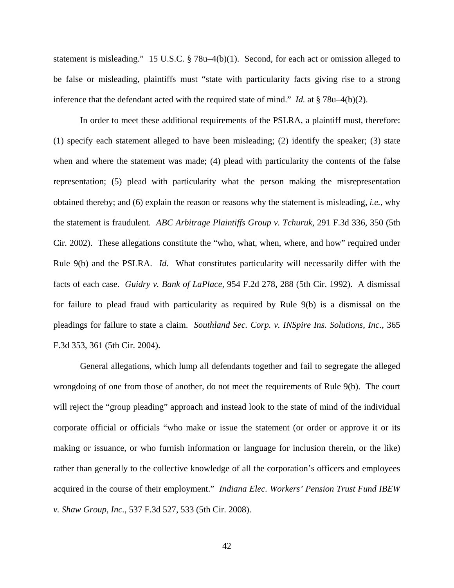statement is misleading." 15 U.S.C. § 78u–4(b)(1). Second, for each act or omission alleged to be false or misleading, plaintiffs must "state with particularity facts giving rise to a strong inference that the defendant acted with the required state of mind." *Id.* at § 78u–4(b)(2).

In order to meet these additional requirements of the PSLRA, a plaintiff must, therefore: (1) specify each statement alleged to have been misleading; (2) identify the speaker; (3) state when and where the statement was made; (4) plead with particularity the contents of the false representation; (5) plead with particularity what the person making the misrepresentation obtained thereby; and (6) explain the reason or reasons why the statement is misleading, *i.e.*, why the statement is fraudulent. *ABC Arbitrage Plaintiffs Group v. Tchuruk*, 291 F.3d 336, 350 (5th Cir. 2002). These allegations constitute the "who, what, when, where, and how" required under Rule 9(b) and the PSLRA. *Id.* What constitutes particularity will necessarily differ with the facts of each case. *Guidry v. Bank of LaPlace*, 954 F.2d 278, 288 (5th Cir. 1992). A dismissal for failure to plead fraud with particularity as required by Rule 9(b) is a dismissal on the pleadings for failure to state a claim. *Southland Sec. Corp. v. INSpire Ins. Solutions, Inc.*, 365 F.3d 353, 361 (5th Cir. 2004).

General allegations, which lump all defendants together and fail to segregate the alleged wrongdoing of one from those of another, do not meet the requirements of Rule 9(b). The court will reject the "group pleading" approach and instead look to the state of mind of the individual corporate official or officials "who make or issue the statement (or order or approve it or its making or issuance, or who furnish information or language for inclusion therein, or the like) rather than generally to the collective knowledge of all the corporation's officers and employees acquired in the course of their employment." *Indiana Elec. Workers' Pension Trust Fund IBEW v. Shaw Group, Inc.*, 537 F.3d 527, 533 (5th Cir. 2008).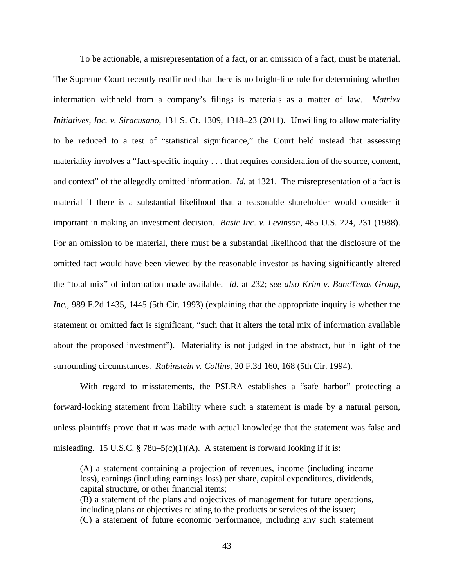To be actionable, a misrepresentation of a fact, or an omission of a fact, must be material. The Supreme Court recently reaffirmed that there is no bright-line rule for determining whether information withheld from a company's filings is materials as a matter of law. *Matrixx Initiatives, Inc. v. Siracusano*, 131 S. Ct. 1309, 1318–23 (2011). Unwilling to allow materiality to be reduced to a test of "statistical significance," the Court held instead that assessing materiality involves a "fact-specific inquiry . . . that requires consideration of the source, content, and context" of the allegedly omitted information. *Id.* at 1321. The misrepresentation of a fact is material if there is a substantial likelihood that a reasonable shareholder would consider it important in making an investment decision. *Basic Inc. v. Levinson*, 485 U.S. 224, 231 (1988). For an omission to be material, there must be a substantial likelihood that the disclosure of the omitted fact would have been viewed by the reasonable investor as having significantly altered the "total mix" of information made available. *Id.* at 232; *see also Krim v. BancTexas Group, Inc.*, 989 F.2d 1435, 1445 (5th Cir. 1993) (explaining that the appropriate inquiry is whether the statement or omitted fact is significant, "such that it alters the total mix of information available about the proposed investment"). Materiality is not judged in the abstract, but in light of the surrounding circumstances. *Rubinstein v. Collins*, 20 F.3d 160, 168 (5th Cir. 1994).

With regard to misstatements, the PSLRA establishes a "safe harbor" protecting a forward-looking statement from liability where such a statement is made by a natural person, unless plaintiffs prove that it was made with actual knowledge that the statement was false and misleading. 15 U.S.C. § 78u–5(c)(1)(A). A statement is forward looking if it is:

(A) a statement containing a projection of revenues, income (including income loss), earnings (including earnings loss) per share, capital expenditures, dividends, capital structure, or other financial items;

(B) a statement of the plans and objectives of management for future operations, including plans or objectives relating to the products or services of the issuer; (C) a statement of future economic performance, including any such statement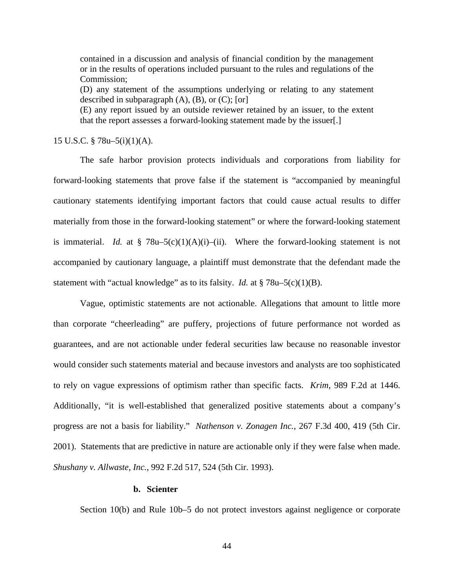contained in a discussion and analysis of financial condition by the management or in the results of operations included pursuant to the rules and regulations of the Commission;

(D) any statement of the assumptions underlying or relating to any statement described in subparagraph  $(A)$ ,  $(B)$ , or  $(C)$ ; [or]

(E) any report issued by an outside reviewer retained by an issuer, to the extent that the report assesses a forward-looking statement made by the issuer[.]

15 U.S.C. § 78u–5(i)(1)(A).

The safe harbor provision protects individuals and corporations from liability for forward-looking statements that prove false if the statement is "accompanied by meaningful cautionary statements identifying important factors that could cause actual results to differ materially from those in the forward-looking statement" or where the forward-looking statement is immaterial. *Id.* at  $\frac{8}{9}$  78u–5(c)(1)(A)(i)–(ii). Where the forward-looking statement is not accompanied by cautionary language, a plaintiff must demonstrate that the defendant made the statement with "actual knowledge" as to its falsity. *Id.* at § 78u–5(c)(1)(B).

Vague, optimistic statements are not actionable. Allegations that amount to little more than corporate "cheerleading" are puffery, projections of future performance not worded as guarantees, and are not actionable under federal securities law because no reasonable investor would consider such statements material and because investors and analysts are too sophisticated to rely on vague expressions of optimism rather than specific facts. *Krim*, 989 F.2d at 1446. Additionally, "it is well-established that generalized positive statements about a company's progress are not a basis for liability." *Nathenson v. Zonagen Inc.*, 267 F.3d 400, 419 (5th Cir. 2001). Statements that are predictive in nature are actionable only if they were false when made. *Shushany v. Allwaste, Inc.*, 992 F.2d 517, 524 (5th Cir. 1993).

## **b. Scienter**

Section 10(b) and Rule 10b–5 do not protect investors against negligence or corporate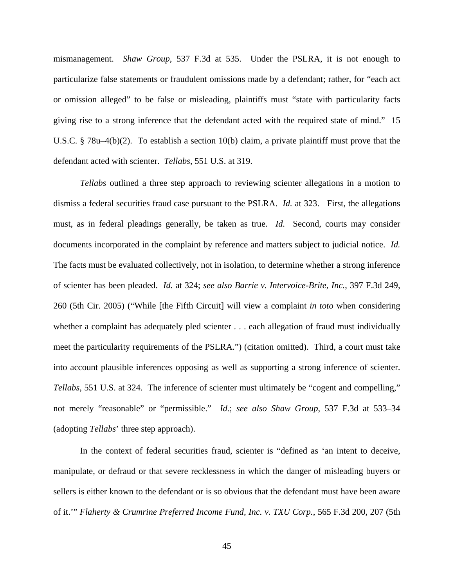mismanagement. *Shaw Group*, 537 F.3d at 535. Under the PSLRA, it is not enough to particularize false statements or fraudulent omissions made by a defendant; rather, for "each act or omission alleged" to be false or misleading, plaintiffs must "state with particularity facts giving rise to a strong inference that the defendant acted with the required state of mind." 15 U.S.C. § 78u–4(b)(2). To establish a section 10(b) claim, a private plaintiff must prove that the defendant acted with scienter. *Tellabs*, 551 U.S. at 319.

*Tellabs* outlined a three step approach to reviewing scienter allegations in a motion to dismiss a federal securities fraud case pursuant to the PSLRA. *Id.* at 323. First, the allegations must, as in federal pleadings generally, be taken as true. *Id.* Second, courts may consider documents incorporated in the complaint by reference and matters subject to judicial notice. *Id.* The facts must be evaluated collectively, not in isolation, to determine whether a strong inference of scienter has been pleaded. *Id.* at 324; *see also Barrie v. Intervoice-Brite, Inc.*, 397 F.3d 249, 260 (5th Cir. 2005) ("While [the Fifth Circuit] will view a complaint *in toto* when considering whether a complaint has adequately pled scienter . . . each allegation of fraud must individually meet the particularity requirements of the PSLRA.") (citation omitted). Third, a court must take into account plausible inferences opposing as well as supporting a strong inference of scienter. *Tellabs*, 551 U.S. at 324. The inference of scienter must ultimately be "cogent and compelling," not merely "reasonable" or "permissible." *Id.*; *see also Shaw Group*, 537 F.3d at 533–34 (adopting *Tellabs*' three step approach).

In the context of federal securities fraud, scienter is "defined as 'an intent to deceive, manipulate, or defraud or that severe recklessness in which the danger of misleading buyers or sellers is either known to the defendant or is so obvious that the defendant must have been aware of it.'" *Flaherty & Crumrine Preferred Income Fund, Inc. v. TXU Corp.*, 565 F.3d 200, 207 (5th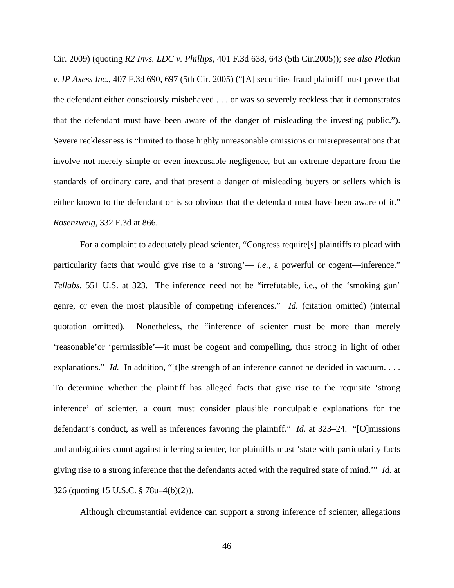Cir. 2009) (quoting *R2 Invs. LDC v. Phillips*, 401 F.3d 638, 643 (5th Cir.2005)); *see also Plotkin v. IP Axess Inc.*, 407 F.3d 690, 697 (5th Cir. 2005) ("[A] securities fraud plaintiff must prove that the defendant either consciously misbehaved . . . or was so severely reckless that it demonstrates that the defendant must have been aware of the danger of misleading the investing public."). Severe recklessness is "limited to those highly unreasonable omissions or misrepresentations that involve not merely simple or even inexcusable negligence, but an extreme departure from the standards of ordinary care, and that present a danger of misleading buyers or sellers which is either known to the defendant or is so obvious that the defendant must have been aware of it." *Rosenzweig*, 332 F.3d at 866.

For a complaint to adequately plead scienter, "Congress require[s] plaintiffs to plead with particularity facts that would give rise to a 'strong'— *i.e.,* a powerful or cogent—inference." *Tellabs,* 551 U.S. at 323. The inference need not be "irrefutable, i.e., of the 'smoking gun' genre, or even the most plausible of competing inferences." *Id.* (citation omitted) (internal quotation omitted). Nonetheless, the "inference of scienter must be more than merely 'reasonable'or 'permissible'—it must be cogent and compelling, thus strong in light of other explanations." *Id.* In addition, "[t]he strength of an inference cannot be decided in vacuum... To determine whether the plaintiff has alleged facts that give rise to the requisite 'strong inference' of scienter, a court must consider plausible nonculpable explanations for the defendant's conduct, as well as inferences favoring the plaintiff." *Id.* at 323–24. "[O]missions and ambiguities count against inferring scienter, for plaintiffs must 'state with particularity facts giving rise to a strong inference that the defendants acted with the required state of mind.'" *Id.* at 326 (quoting 15 U.S.C. § 78u–4(b)(2)).

Although circumstantial evidence can support a strong inference of scienter, allegations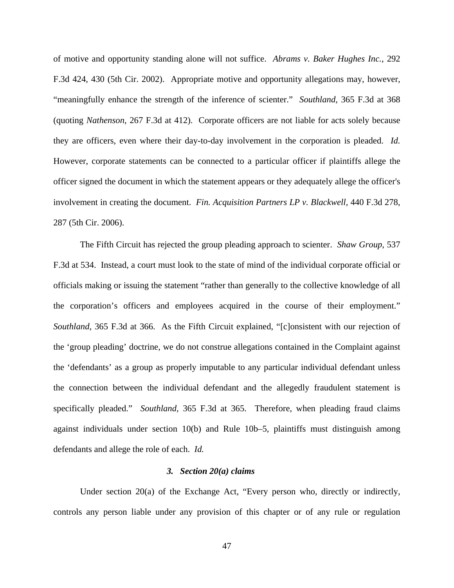of motive and opportunity standing alone will not suffice. *Abrams v. Baker Hughes Inc.*, 292 F.3d 424, 430 (5th Cir. 2002). Appropriate motive and opportunity allegations may, however, "meaningfully enhance the strength of the inference of scienter." *Southland*, 365 F.3d at 368 (quoting *Nathenson*, 267 F.3d at 412). Corporate officers are not liable for acts solely because they are officers, even where their day-to-day involvement in the corporation is pleaded. *Id.* However, corporate statements can be connected to a particular officer if plaintiffs allege the officer signed the document in which the statement appears or they adequately allege the officer's involvement in creating the document. *Fin. Acquisition Partners LP v. Blackwell*, 440 F.3d 278, 287 (5th Cir. 2006).

The Fifth Circuit has rejected the group pleading approach to scienter. *Shaw Group*, 537 F.3d at 534. Instead, a court must look to the state of mind of the individual corporate official or officials making or issuing the statement "rather than generally to the collective knowledge of all the corporation's officers and employees acquired in the course of their employment." *Southland*, 365 F.3d at 366. As the Fifth Circuit explained, "[c]onsistent with our rejection of the 'group pleading' doctrine, we do not construe allegations contained in the Complaint against the 'defendants' as a group as properly imputable to any particular individual defendant unless the connection between the individual defendant and the allegedly fraudulent statement is specifically pleaded." *Southland,* 365 F.3d at 365. Therefore, when pleading fraud claims against individuals under section 10(b) and Rule 10b–5, plaintiffs must distinguish among defendants and allege the role of each. *Id.* 

### *3. Section 20(a) claims*

Under section 20(a) of the Exchange Act, "Every person who, directly or indirectly, controls any person liable under any provision of this chapter or of any rule or regulation

47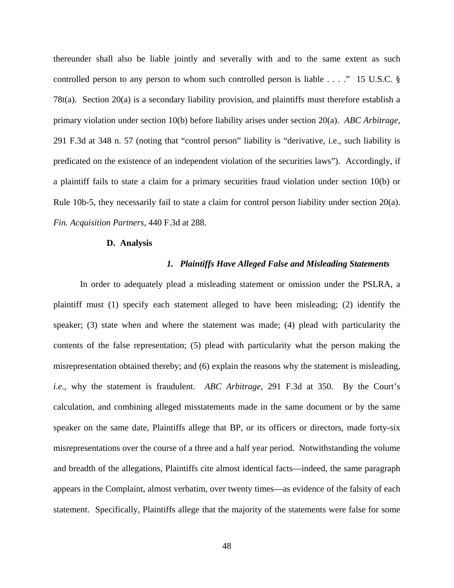thereunder shall also be liable jointly and severally with and to the same extent as such controlled person to any person to whom such controlled person is liable . . . ." 15 U.S.C. § 78t(a). Section 20(a) is a secondary liability provision, and plaintiffs must therefore establish a primary violation under section 10(b) before liability arises under section 20(a). *ABC Arbitrage*, 291 F.3d at 348 n. 57 (noting that "control person" liability is "derivative, i.e., such liability is predicated on the existence of an independent violation of the securities laws"). Accordingly, if a plaintiff fails to state a claim for a primary securities fraud violation under section 10(b) or Rule 10b-5, they necessarily fail to state a claim for control person liability under section 20(a). *Fin. Acquisition Partners*, 440 F.3d at 288.

#### **D. Analysis**

#### *1. Plaintiffs Have Alleged False and Misleading Statements*

In order to adequately plead a misleading statement or omission under the PSLRA, a plaintiff must (1) specify each statement alleged to have been misleading; (2) identify the speaker; (3) state when and where the statement was made; (4) plead with particularity the contents of the false representation; (5) plead with particularity what the person making the misrepresentation obtained thereby; and (6) explain the reasons why the statement is misleading, *i.e.*, why the statement is fraudulent. *ABC Arbitrage*, 291 F.3d at 350. By the Court's calculation, and combining alleged misstatements made in the same document or by the same speaker on the same date, Plaintiffs allege that BP, or its officers or directors, made forty-six misrepresentations over the course of a three and a half year period. Notwithstanding the volume and breadth of the allegations, Plaintiffs cite almost identical facts—indeed, the same paragraph appears in the Complaint, almost verbatim, over twenty times—as evidence of the falsity of each statement. Specifically, Plaintiffs allege that the majority of the statements were false for some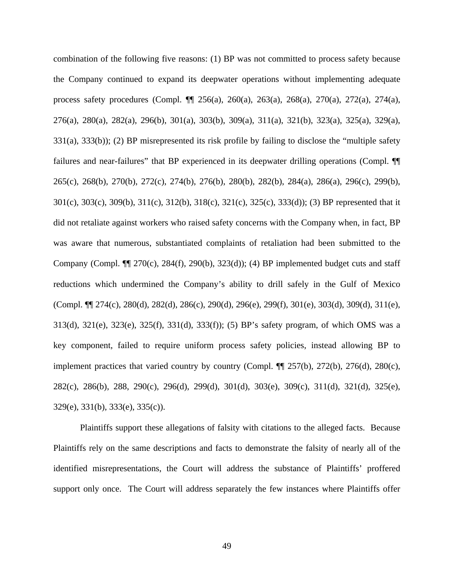combination of the following five reasons: (1) BP was not committed to process safety because the Company continued to expand its deepwater operations without implementing adequate process safety procedures (Compl. ¶¶ 256(a), 260(a), 263(a), 268(a), 270(a), 272(a), 274(a), 276(a), 280(a), 282(a), 296(b), 301(a), 303(b), 309(a), 311(a), 321(b), 323(a), 325(a), 329(a), 331(a), 333(b)); (2) BP misrepresented its risk profile by failing to disclose the "multiple safety failures and near-failures" that BP experienced in its deepwater drilling operations (Compl.  $\P$ 265(c), 268(b), 270(b), 272(c), 274(b), 276(b), 280(b), 282(b), 284(a), 286(a), 296(c), 299(b), 301(c), 303(c), 309(b), 311(c), 312(b), 318(c), 321(c), 325(c), 333(d)); (3) BP represented that it did not retaliate against workers who raised safety concerns with the Company when, in fact, BP was aware that numerous, substantiated complaints of retaliation had been submitted to the Company (Compl.  $\P$  $[270(c), 284(f), 290(b), 323(d))$ ; (4) BP implemented budget cuts and staff reductions which undermined the Company's ability to drill safely in the Gulf of Mexico (Compl. ¶¶ 274(c), 280(d), 282(d), 286(c), 290(d), 296(e), 299(f), 301(e), 303(d), 309(d), 311(e), 313(d), 321(e), 323(e), 325(f), 331(d), 333(f)); (5) BP's safety program, of which OMS was a key component, failed to require uniform process safety policies, instead allowing BP to implement practices that varied country by country (Compl. ¶¶ 257(b), 272(b), 276(d), 280(c), 282(c), 286(b), 288, 290(c), 296(d), 299(d), 301(d), 303(e), 309(c), 311(d), 321(d), 325(e), 329(e), 331(b), 333(e), 335(c)).

Plaintiffs support these allegations of falsity with citations to the alleged facts. Because Plaintiffs rely on the same descriptions and facts to demonstrate the falsity of nearly all of the identified misrepresentations, the Court will address the substance of Plaintiffs' proffered support only once. The Court will address separately the few instances where Plaintiffs offer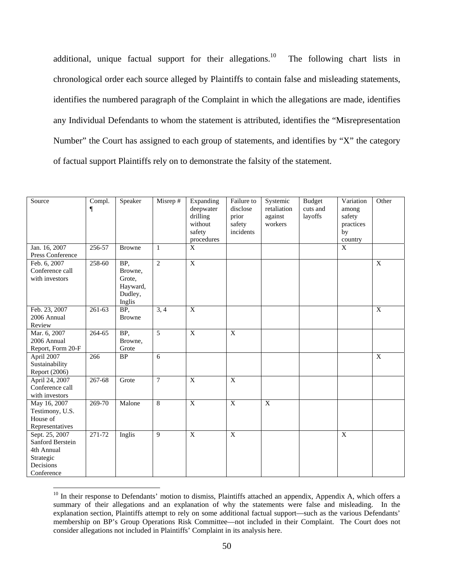additional, unique factual support for their allegations.<sup>10</sup> The following chart lists in chronological order each source alleged by Plaintiffs to contain false and misleading statements, identifies the numbered paragraph of the Complaint in which the allegations are made, identifies any Individual Defendants to whom the statement is attributed, identifies the "Misrepresentation Number" the Court has assigned to each group of statements, and identifies by "X" the category of factual support Plaintiffs rely on to demonstrate the falsity of the statement.

| Source                                                                                   | Compl.<br>$\overline{\P}$ | Speaker                                                   | Misrep#        | Expanding<br>deepwater<br>drilling<br>without<br>safety<br>procedures | Failure to<br>disclose<br>prior<br>safety<br>incidents | Systemic<br>retaliation<br>against<br>workers | <b>Budget</b><br>cuts and<br>layoffs | Variation<br>among<br>safety<br>practices<br>by<br>country | Other       |
|------------------------------------------------------------------------------------------|---------------------------|-----------------------------------------------------------|----------------|-----------------------------------------------------------------------|--------------------------------------------------------|-----------------------------------------------|--------------------------------------|------------------------------------------------------------|-------------|
| Jan. 16, 2007<br>Press Conference                                                        | $256 - 57$                | <b>Browne</b>                                             | $\mathbf{1}$   | $\overline{X}$                                                        |                                                        |                                               |                                      | $\overline{X}$                                             |             |
| Feb. 6, 2007<br>Conference call<br>with investors                                        | $\overline{258} - 60$     | BP,<br>Browne,<br>Grote,<br>Hayward,<br>Dudley,<br>Inglis | $\overline{2}$ | $\overline{X}$                                                        |                                                        |                                               |                                      |                                                            | $\mathbf X$ |
| Feb. 23, 2007<br>2006 Annual<br>Review                                                   | $261-63$                  | BP,<br><b>Browne</b>                                      | 3, 4           | $\mathbf X$                                                           |                                                        |                                               |                                      |                                                            | X           |
| Mar. 6, 2007<br>2006 Annual<br>Report, Form 20-F                                         | 264-65                    | BP,<br>Browne,<br>Grote                                   | 5              | $\mathbf{X}$                                                          | X                                                      |                                               |                                      |                                                            |             |
| April 2007<br>Sustainability<br>Report (2006)                                            | 266                       | <b>BP</b>                                                 | 6              |                                                                       |                                                        |                                               |                                      |                                                            | $\mathbf X$ |
| April 24, 2007<br>Conference call<br>with investors                                      | 267-68                    | Grote                                                     | 7              | $\overline{X}$                                                        | $\overline{X}$                                         |                                               |                                      |                                                            |             |
| May 16, 2007<br>Testimony, U.S.<br>House of<br>Representatives                           | 269-70                    | Malone                                                    | 8              | $\mathbf X$                                                           | $\boldsymbol{\mathrm{X}}$                              | $\mathbf X$                                   |                                      |                                                            |             |
| Sept. 25, 2007<br>Sanford Berstein<br>4th Annual<br>Strategic<br>Decisions<br>Conference | 271-72                    | Inglis                                                    | 9              | $\overline{X}$                                                        | $\overline{X}$                                         |                                               |                                      | $\overline{X}$                                             |             |

<sup>&</sup>lt;sup>10</sup> In their response to Defendants' motion to dismiss, Plaintiffs attached an appendix, Appendix A, which offers a summary of their allegations and an explanation of why the statements were false and misleading. In the explanation section, Plaintiffs attempt to rely on some additional factual support—such as the various Defendants' membership on BP's Group Operations Risk Committee—not included in their Complaint. The Court does not consider allegations not included in Plaintiffs' Complaint in its analysis here.

 $\overline{a}$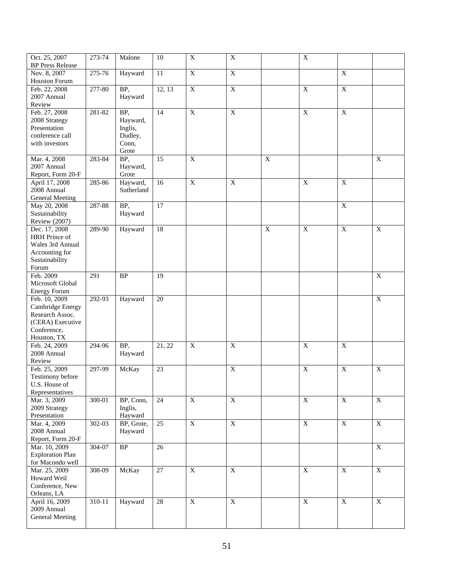| Oct. 25, 2007                           | 273-74     | Malone             | 10              | $\overline{X}$            | $\overline{X}$          |                | $\overline{X}$          |                           |                         |
|-----------------------------------------|------------|--------------------|-----------------|---------------------------|-------------------------|----------------|-------------------------|---------------------------|-------------------------|
| <b>BP</b> Press Release<br>Nov. 8, 2007 | 275-76     | Hayward            | 11              | $\overline{X}$            | $\overline{X}$          |                |                         | $\overline{X}$            |                         |
| <b>Houston Forum</b>                    |            |                    |                 |                           |                         |                |                         |                           |                         |
| Feb. 22, 2008                           | 277-80     | BP,                | 12, 13          | $\overline{X}$            | $\overline{X}$          |                | $\mathbf X$             | $\overline{X}$            |                         |
| 2007 Annual                             |            | Hayward            |                 |                           |                         |                |                         |                           |                         |
| Review                                  |            |                    |                 |                           |                         |                |                         |                           |                         |
| Feb. 27, 2008                           | 281-82     | BP,                | 14              | $\mathbf X$               | $\overline{X}$          |                | $\overline{X}$          | $\overline{X}$            |                         |
| 2008 Strategy<br>Presentation           |            | Hayward,           |                 |                           |                         |                |                         |                           |                         |
| conference call                         |            | Inglis,<br>Dudley, |                 |                           |                         |                |                         |                           |                         |
| with investors                          |            | Conn,              |                 |                           |                         |                |                         |                           |                         |
|                                         |            | Grote              |                 |                           |                         |                |                         |                           |                         |
| Mar. 4, 2008                            | 283-84     | BP,                | $\overline{15}$ | $\overline{X}$            |                         | $\overline{X}$ |                         |                           | $\overline{X}$          |
| 2007 Annual                             |            | Hayward,           |                 |                           |                         |                |                         |                           |                         |
| Report, Form 20-F                       |            | Grote              |                 |                           |                         |                |                         |                           |                         |
| April 17, 2008                          | 285-86     | Hayward,           | 16              | $\overline{X}$            | $\overline{X}$          |                | $\overline{X}$          | $\overline{X}$            |                         |
| 2008 Annual                             |            | Sutherland         |                 |                           |                         |                |                         |                           |                         |
| <b>General Meeting</b><br>May 20, 2008  | 287-88     | BP,                | 17              |                           |                         |                |                         | $\boldsymbol{\mathrm{X}}$ |                         |
| Sustainability                          |            | Hayward            |                 |                           |                         |                |                         |                           |                         |
| Review (2007)                           |            |                    |                 |                           |                         |                |                         |                           |                         |
| Dec. 17, 2008                           | 289-90     | Hayward            | 18              |                           |                         | $\overline{X}$ | $\mathbf X$             | $\boldsymbol{\mathrm{X}}$ | $\mathbf X$             |
| HRH Prince of                           |            |                    |                 |                           |                         |                |                         |                           |                         |
| Wales 3rd Annual                        |            |                    |                 |                           |                         |                |                         |                           |                         |
| Accounting for                          |            |                    |                 |                           |                         |                |                         |                           |                         |
| Sustainability                          |            |                    |                 |                           |                         |                |                         |                           |                         |
| Forum<br>Feb. 2009                      | 291        | <b>BP</b>          | 19              |                           |                         |                |                         |                           | $\mathbf X$             |
| Microsoft Global                        |            |                    |                 |                           |                         |                |                         |                           |                         |
| <b>Energy Forum</b>                     |            |                    |                 |                           |                         |                |                         |                           |                         |
| Feb. 10, 2009                           | 292-93     | Hayward            | 20              |                           |                         |                |                         |                           | $\mathbf X$             |
| Cambridge Energy                        |            |                    |                 |                           |                         |                |                         |                           |                         |
| Research Assoc.                         |            |                    |                 |                           |                         |                |                         |                           |                         |
| (CERA) Executive                        |            |                    |                 |                           |                         |                |                         |                           |                         |
| Conference,                             |            |                    |                 |                           |                         |                |                         |                           |                         |
| Houston, TX<br>Feb. 24, 2009            | 294-96     | BP,                | 21, 22          | $\overline{X}$            | $\overline{X}$          |                | $\mathbf X$             | $\overline{X}$            |                         |
| 2008 Annual                             |            | Hayward            |                 |                           |                         |                |                         |                           |                         |
| Review                                  |            |                    |                 |                           |                         |                |                         |                           |                         |
| Feb. 25, 2009                           | 297-99     | McKay              | 23              |                           | $\overline{X}$          |                | $\mathbf X$             | $\mathbf X$               | $\mathbf X$             |
| Testimony before                        |            |                    |                 |                           |                         |                |                         |                           |                         |
| U.S. House of                           |            |                    |                 |                           |                         |                |                         |                           |                         |
| Representatives                         |            | BP, Conn,          | $\overline{24}$ | $\boldsymbol{\mathrm{X}}$ | $\mathbf X$             |                | $\overline{X}$          | $\overline{X}$            | $\overline{X}$          |
| Mar. 3, 2009<br>2009 Strategy           | 300-01     | Inglis,            |                 |                           |                         |                |                         |                           |                         |
| Presentation                            |            | Hayward            |                 |                           |                         |                |                         |                           |                         |
| Mar. 4, 2009                            | 302-03     | BP, Grote,         | 25              | $\overline{X}$            | $\overline{\textbf{X}}$ |                | $\overline{\textbf{X}}$ | $\overline{\textbf{X}}$   | $\overline{X}$          |
| 2008 Annual                             |            | Hayward            |                 |                           |                         |                |                         |                           |                         |
| Report, Form 20-F                       |            |                    |                 |                           |                         |                |                         |                           |                         |
| Mar. 10, 2009                           | 304-07     | $\rm BP$           | $26\,$          |                           |                         |                |                         |                           | $\mathbf X$             |
| <b>Exploration Plan</b>                 |            |                    |                 |                           |                         |                |                         |                           |                         |
| for Macondo well                        |            |                    | $27\,$          | $\overline{X}$            | $\overline{X}$          |                | $\overline{X}$          | $\overline{X}$            | $\overline{\mathbf{X}}$ |
| Mar. 25, 2009<br>Howard Weil            | 308-09     | McKay              |                 |                           |                         |                |                         |                           |                         |
| Conference, New                         |            |                    |                 |                           |                         |                |                         |                           |                         |
| Orleans, LA                             |            |                    |                 |                           |                         |                |                         |                           |                         |
| April 16, 2009                          | $310 - 11$ | Hayward            | 28              | $\overline{X}$            | $\overline{X}$          |                | $\boldsymbol{X}$        | $\overline{X}$            | $\overline{X}$          |
| 2009 Annual                             |            |                    |                 |                           |                         |                |                         |                           |                         |
| <b>General Meeting</b>                  |            |                    |                 |                           |                         |                |                         |                           |                         |
|                                         |            |                    |                 |                           |                         |                |                         |                           |                         |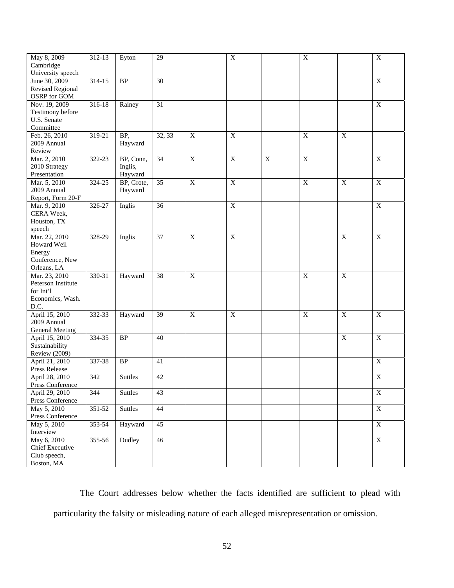| May 8, 2009<br>Cambridge<br>University speech                                | $312 - 13$       | Eyton                           | 29              |                | $\overline{X}$ |                | $\overline{X}$ |                | $\overline{X}$            |
|------------------------------------------------------------------------------|------------------|---------------------------------|-----------------|----------------|----------------|----------------|----------------|----------------|---------------------------|
| June 30, 2009<br><b>Revised Regional</b><br>OSRP for GOM                     | 314-15           | <b>BP</b>                       | $\overline{30}$ |                |                |                |                |                | $\overline{X}$            |
| Nov. 19, 2009<br>Testimony before<br>U.S. Senate<br>Committee                | $316-18$         | Rainey                          | $\overline{31}$ |                |                |                |                |                | X                         |
| Feb. 26, 2010<br>2009 Annual<br>Review                                       | 319-21           | $\overline{BP}$ ,<br>Hayward    | 32, 33          | $\overline{X}$ | $\overline{X}$ |                | $\overline{X}$ | $\overline{X}$ |                           |
| Mar. 2, 2010<br>2010 Strategy<br>Presentation                                | 322-23           | BP, Conn,<br>Inglis,<br>Hayward | 34              | $\overline{X}$ | $\overline{X}$ | $\overline{X}$ | $\overline{X}$ |                | $\overline{X}$            |
| Mar. 5, 2010<br>2009 Annual<br>Report, Form 20-F                             | 324-25           | BP, Grote,<br>Hayward           | $\overline{35}$ | $\overline{X}$ | $\overline{X}$ |                | $\overline{X}$ | $\overline{X}$ | $\overline{X}$            |
| Mar. 9, 2010<br>CERA Week,<br>Houston, TX<br>speech                          | 326-27           | Inglis                          | 36              |                | $\mathbf X$    |                |                |                | $\overline{X}$            |
| Mar. 22, 2010<br>Howard Weil<br>Energy<br>Conference, New<br>Orleans, LA     | 328-29           | Inglis                          | $\overline{37}$ | $\overline{X}$ | $\overline{X}$ |                |                | $\overline{X}$ | $\overline{X}$            |
| Mar. 23, 2010<br>Peterson Institute<br>for Int'l<br>Economics, Wash.<br>D.C. | 330-31           | Hayward                         | 38              | $\mathbf X$    |                |                | $\mathbf X$    | $\mathbf X$    |                           |
| April 15, 2010<br>2009 Annual<br><b>General Meeting</b>                      | 332-33           | Hayward                         | 39              | $\overline{X}$ | $\overline{X}$ |                | $\mathbf X$    | $\overline{X}$ | $\boldsymbol{\mathrm{X}}$ |
| April 15, 2010<br>Sustainability<br><b>Review (2009)</b>                     | 334-35           | <b>BP</b>                       | 40              |                |                |                |                | $\mathbf X$    | $\overline{X}$            |
| April 21, 2010<br>Press Release                                              | 337-38           | <b>BP</b>                       | 41              |                |                |                |                |                | $\overline{X}$            |
| April 28, 2010<br>Press Conference                                           | 342              | <b>Suttles</b>                  | 42              |                |                |                |                |                | $\overline{X}$            |
| April 29, 2010<br>Press Conference                                           | $\overline{344}$ | <b>Suttles</b>                  | 43              |                |                |                |                |                | $\overline{X}$            |
| May 5, 2010<br>Press Conference                                              | 351-52           | <b>Suttles</b>                  | 44              |                |                |                |                |                | $\overline{X}$            |
| May 5, 2010<br>Interview                                                     | 353-54           | Hayward                         | 45              |                |                |                |                |                | $\overline{X}$            |
| May 6, 2010<br>Chief Executive<br>Club speech,<br>Boston, MA                 | 355-56           | Dudley                          | 46              |                |                |                |                |                | $\overline{X}$            |

The Court addresses below whether the facts identified are sufficient to plead with particularity the falsity or misleading nature of each alleged misrepresentation or omission.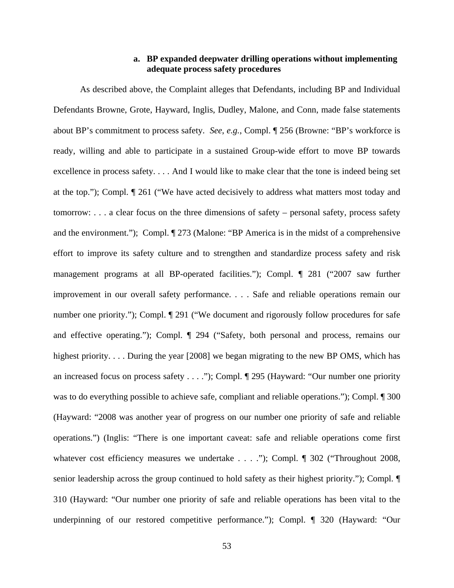# **a. BP expanded deepwater drilling operations without implementing adequate process safety procedures**

As described above, the Complaint alleges that Defendants, including BP and Individual Defendants Browne, Grote, Hayward, Inglis, Dudley, Malone, and Conn, made false statements about BP's commitment to process safety. *See*, *e.g.*, Compl. ¶ 256 (Browne: "BP's workforce is ready, willing and able to participate in a sustained Group-wide effort to move BP towards excellence in process safety. . . . And I would like to make clear that the tone is indeed being set at the top."); Compl. ¶ 261 ("We have acted decisively to address what matters most today and tomorrow: . . . a clear focus on the three dimensions of safety – personal safety, process safety and the environment."); Compl. ¶ 273 (Malone: "BP America is in the midst of a comprehensive effort to improve its safety culture and to strengthen and standardize process safety and risk management programs at all BP-operated facilities."); Compl. ¶ 281 ("2007 saw further improvement in our overall safety performance. . . . Safe and reliable operations remain our number one priority."); Compl.  $\P$  291 ("We document and rigorously follow procedures for safe and effective operating."); Compl. ¶ 294 ("Safety, both personal and process, remains our highest priority. . . . During the year [2008] we began migrating to the new BP OMS, which has an increased focus on process safety . . . ."); Compl. ¶ 295 (Hayward: "Our number one priority was to do everything possible to achieve safe, compliant and reliable operations."); Compl. ¶ 300 (Hayward: "2008 was another year of progress on our number one priority of safe and reliable operations.") (Inglis: "There is one important caveat: safe and reliable operations come first whatever cost efficiency measures we undertake . . . ."); Compl.  $\P$  302 ("Throughout 2008, senior leadership across the group continued to hold safety as their highest priority."); Compl. ¶ 310 (Hayward: "Our number one priority of safe and reliable operations has been vital to the underpinning of our restored competitive performance."); Compl. ¶ 320 (Hayward: "Our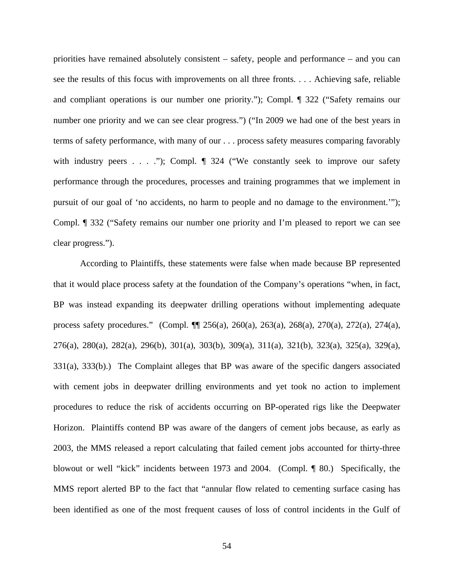priorities have remained absolutely consistent – safety, people and performance – and you can see the results of this focus with improvements on all three fronts. . . . Achieving safe, reliable and compliant operations is our number one priority."); Compl. ¶ 322 ("Safety remains our number one priority and we can see clear progress.") ("In 2009 we had one of the best years in terms of safety performance, with many of our . . . process safety measures comparing favorably with industry peers  $\dots$  ."); Compl.  $\P$  324 ("We constantly seek to improve our safety performance through the procedures, processes and training programmes that we implement in pursuit of our goal of 'no accidents, no harm to people and no damage to the environment.'"); Compl. ¶ 332 ("Safety remains our number one priority and I'm pleased to report we can see clear progress.").

According to Plaintiffs, these statements were false when made because BP represented that it would place process safety at the foundation of the Company's operations "when, in fact, BP was instead expanding its deepwater drilling operations without implementing adequate process safety procedures." (Compl. ¶¶ 256(a), 260(a), 263(a), 268(a), 270(a), 272(a), 274(a), 276(a), 280(a), 282(a), 296(b), 301(a), 303(b), 309(a), 311(a), 321(b), 323(a), 325(a), 329(a), 331(a), 333(b).) The Complaint alleges that BP was aware of the specific dangers associated with cement jobs in deepwater drilling environments and yet took no action to implement procedures to reduce the risk of accidents occurring on BP-operated rigs like the Deepwater Horizon. Plaintiffs contend BP was aware of the dangers of cement jobs because, as early as 2003, the MMS released a report calculating that failed cement jobs accounted for thirty-three blowout or well "kick" incidents between 1973 and 2004. (Compl. ¶ 80.) Specifically, the MMS report alerted BP to the fact that "annular flow related to cementing surface casing has been identified as one of the most frequent causes of loss of control incidents in the Gulf of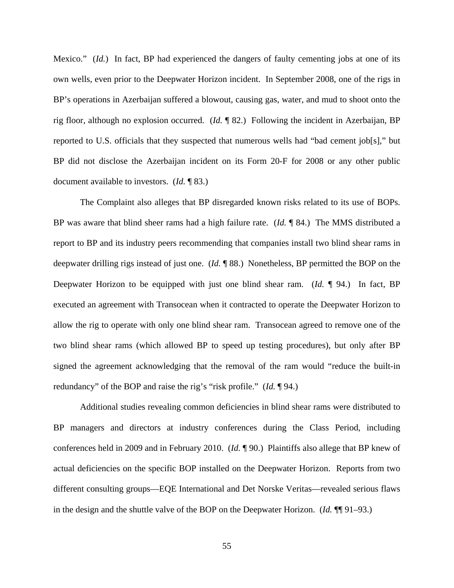Mexico." (*Id.*) In fact, BP had experienced the dangers of faulty cementing jobs at one of its own wells, even prior to the Deepwater Horizon incident. In September 2008, one of the rigs in BP's operations in Azerbaijan suffered a blowout, causing gas, water, and mud to shoot onto the rig floor, although no explosion occurred. (*Id.* ¶ 82.) Following the incident in Azerbaijan, BP reported to U.S. officials that they suspected that numerous wells had "bad cement job[s]," but BP did not disclose the Azerbaijan incident on its Form 20-F for 2008 or any other public document available to investors. (*Id.* ¶ 83.)

The Complaint also alleges that BP disregarded known risks related to its use of BOPs. BP was aware that blind sheer rams had a high failure rate. (*Id.* ¶ 84.) The MMS distributed a report to BP and its industry peers recommending that companies install two blind shear rams in deepwater drilling rigs instead of just one. (*Id.* ¶ 88.) Nonetheless, BP permitted the BOP on the Deepwater Horizon to be equipped with just one blind shear ram. (*Id.* ¶ 94.) In fact, BP executed an agreement with Transocean when it contracted to operate the Deepwater Horizon to allow the rig to operate with only one blind shear ram. Transocean agreed to remove one of the two blind shear rams (which allowed BP to speed up testing procedures), but only after BP signed the agreement acknowledging that the removal of the ram would "reduce the built-in redundancy" of the BOP and raise the rig's "risk profile." (*Id.* ¶ 94.)

Additional studies revealing common deficiencies in blind shear rams were distributed to BP managers and directors at industry conferences during the Class Period, including conferences held in 2009 and in February 2010. (*Id.* ¶ 90.) Plaintiffs also allege that BP knew of actual deficiencies on the specific BOP installed on the Deepwater Horizon. Reports from two different consulting groups—EQE International and Det Norske Veritas—revealed serious flaws in the design and the shuttle valve of the BOP on the Deepwater Horizon. (*Id.* ¶¶ 91–93.)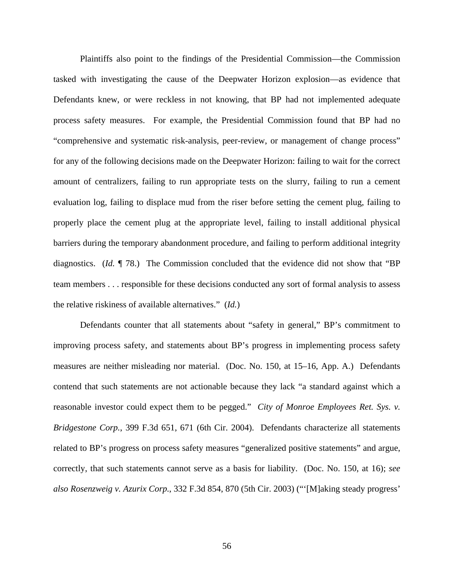Plaintiffs also point to the findings of the Presidential Commission—the Commission tasked with investigating the cause of the Deepwater Horizon explosion—as evidence that Defendants knew, or were reckless in not knowing, that BP had not implemented adequate process safety measures. For example, the Presidential Commission found that BP had no "comprehensive and systematic risk-analysis, peer-review, or management of change process" for any of the following decisions made on the Deepwater Horizon: failing to wait for the correct amount of centralizers, failing to run appropriate tests on the slurry, failing to run a cement evaluation log, failing to displace mud from the riser before setting the cement plug, failing to properly place the cement plug at the appropriate level, failing to install additional physical barriers during the temporary abandonment procedure, and failing to perform additional integrity diagnostics. (*Id.* ¶ 78.) The Commission concluded that the evidence did not show that "BP team members . . . responsible for these decisions conducted any sort of formal analysis to assess the relative riskiness of available alternatives." (*Id.*)

Defendants counter that all statements about "safety in general," BP's commitment to improving process safety, and statements about BP's progress in implementing process safety measures are neither misleading nor material. (Doc. No. 150, at 15–16, App. A.) Defendants contend that such statements are not actionable because they lack "a standard against which a reasonable investor could expect them to be pegged." *City of Monroe Employees Ret. Sys. v. Bridgestone Corp.*, 399 F.3d 651, 671 (6th Cir. 2004). Defendants characterize all statements related to BP's progress on process safety measures "generalized positive statements" and argue, correctly, that such statements cannot serve as a basis for liability. (Doc. No. 150, at 16); *see also Rosenzweig v. Azurix Corp.*, 332 F.3d 854, 870 (5th Cir. 2003) ("'[M]aking steady progress'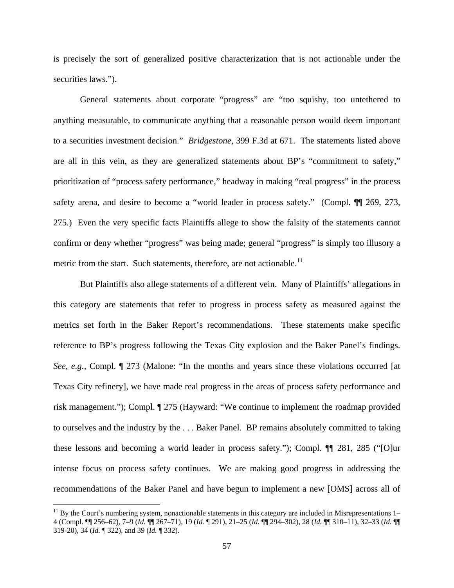is precisely the sort of generalized positive characterization that is not actionable under the securities laws.").

General statements about corporate "progress" are "too squishy, too untethered to anything measurable, to communicate anything that a reasonable person would deem important to a securities investment decision." *Bridgestone*, 399 F.3d at 671. The statements listed above are all in this vein, as they are generalized statements about BP's "commitment to safety," prioritization of "process safety performance," headway in making "real progress" in the process safety arena, and desire to become a "world leader in process safety." (Compl.  $\P$  269, 273, 275.) Even the very specific facts Plaintiffs allege to show the falsity of the statements cannot confirm or deny whether "progress" was being made; general "progress" is simply too illusory a metric from the start. Such statements, therefore, are not actionable.<sup>11</sup>

But Plaintiffs also allege statements of a different vein. Many of Plaintiffs' allegations in this category are statements that refer to progress in process safety as measured against the metrics set forth in the Baker Report's recommendations. These statements make specific reference to BP's progress following the Texas City explosion and the Baker Panel's findings. *See*, *e.g.*, Compl. ¶ 273 (Malone: "In the months and years since these violations occurred [at Texas City refinery], we have made real progress in the areas of process safety performance and risk management."); Compl. ¶ 275 (Hayward: "We continue to implement the roadmap provided to ourselves and the industry by the . . . Baker Panel. BP remains absolutely committed to taking these lessons and becoming a world leader in process safety."); Compl. ¶¶ 281, 285 ("[O]ur intense focus on process safety continues. We are making good progress in addressing the recommendations of the Baker Panel and have begun to implement a new [OMS] across all of

1

 $11$  By the Court's numbering system, nonactionable statements in this category are included in Misrepresentations  $1-$ 4 (Compl. ¶¶ 256–62), 7–9 (*Id.* ¶¶ 267–71), 19 (*Id.* ¶ 291), 21–25 (*Id.* ¶¶ 294–302), 28 (*Id.* ¶¶ 310–11), 32–33 (*Id.* ¶¶ 319-20), 34 (*Id.* ¶ 322), and 39 (*Id.* ¶ 332).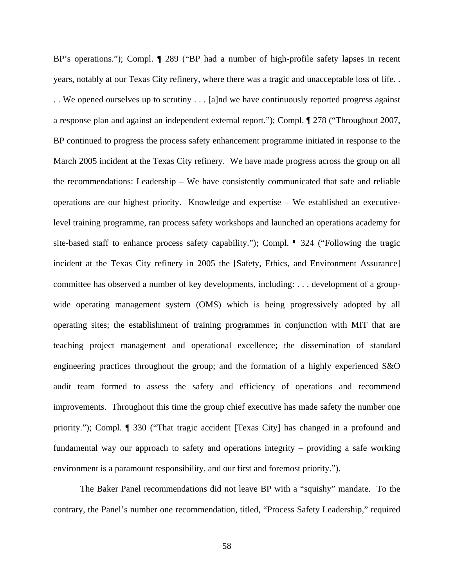BP's operations."); Compl. ¶ 289 ("BP had a number of high-profile safety lapses in recent years, notably at our Texas City refinery, where there was a tragic and unacceptable loss of life. . . . We opened ourselves up to scrutiny . . . [a]nd we have continuously reported progress against a response plan and against an independent external report."); Compl. ¶ 278 ("Throughout 2007, BP continued to progress the process safety enhancement programme initiated in response to the March 2005 incident at the Texas City refinery. We have made progress across the group on all the recommendations: Leadership – We have consistently communicated that safe and reliable operations are our highest priority. Knowledge and expertise – We established an executivelevel training programme, ran process safety workshops and launched an operations academy for site-based staff to enhance process safety capability."); Compl. ¶ 324 ("Following the tragic incident at the Texas City refinery in 2005 the [Safety, Ethics, and Environment Assurance] committee has observed a number of key developments, including: . . . development of a groupwide operating management system (OMS) which is being progressively adopted by all operating sites; the establishment of training programmes in conjunction with MIT that are teaching project management and operational excellence; the dissemination of standard engineering practices throughout the group; and the formation of a highly experienced S&O audit team formed to assess the safety and efficiency of operations and recommend improvements. Throughout this time the group chief executive has made safety the number one priority."); Compl. ¶ 330 ("That tragic accident [Texas City] has changed in a profound and fundamental way our approach to safety and operations integrity – providing a safe working environment is a paramount responsibility, and our first and foremost priority.").

The Baker Panel recommendations did not leave BP with a "squishy" mandate. To the contrary, the Panel's number one recommendation, titled, "Process Safety Leadership," required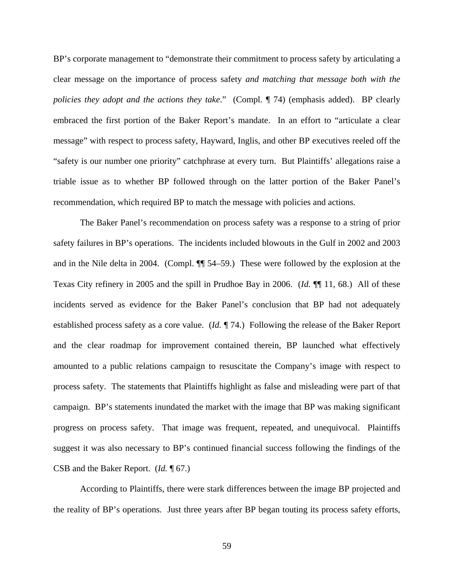BP's corporate management to "demonstrate their commitment to process safety by articulating a clear message on the importance of process safety *and matching that message both with the policies they adopt and the actions they take.*" (Compl. ¶ 74) (emphasis added). BP clearly embraced the first portion of the Baker Report's mandate. In an effort to "articulate a clear message" with respect to process safety, Hayward, Inglis, and other BP executives reeled off the "safety is our number one priority" catchphrase at every turn. But Plaintiffs' allegations raise a triable issue as to whether BP followed through on the latter portion of the Baker Panel's recommendation, which required BP to match the message with policies and actions.

The Baker Panel's recommendation on process safety was a response to a string of prior safety failures in BP's operations. The incidents included blowouts in the Gulf in 2002 and 2003 and in the Nile delta in 2004. (Compl. ¶¶ 54–59.) These were followed by the explosion at the Texas City refinery in 2005 and the spill in Prudhoe Bay in 2006. (*Id.* ¶¶ 11, 68.) All of these incidents served as evidence for the Baker Panel's conclusion that BP had not adequately established process safety as a core value. (*Id.* ¶ 74.) Following the release of the Baker Report and the clear roadmap for improvement contained therein, BP launched what effectively amounted to a public relations campaign to resuscitate the Company's image with respect to process safety. The statements that Plaintiffs highlight as false and misleading were part of that campaign. BP's statements inundated the market with the image that BP was making significant progress on process safety. That image was frequent, repeated, and unequivocal. Plaintiffs suggest it was also necessary to BP's continued financial success following the findings of the CSB and the Baker Report. (*Id.* ¶ 67.)

According to Plaintiffs, there were stark differences between the image BP projected and the reality of BP's operations. Just three years after BP began touting its process safety efforts,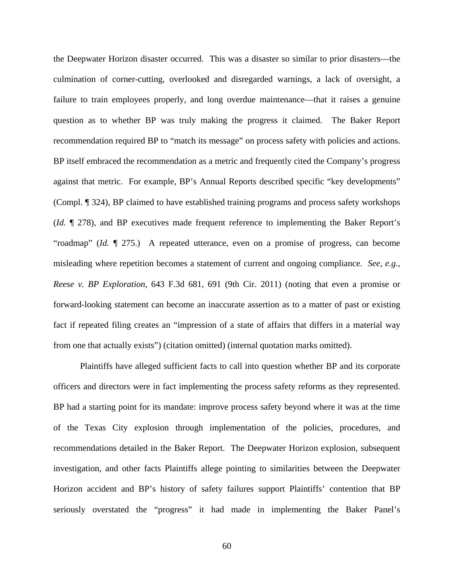the Deepwater Horizon disaster occurred. This was a disaster so similar to prior disasters—the culmination of corner-cutting, overlooked and disregarded warnings, a lack of oversight, a failure to train employees properly, and long overdue maintenance—that it raises a genuine question as to whether BP was truly making the progress it claimed. The Baker Report recommendation required BP to "match its message" on process safety with policies and actions. BP itself embraced the recommendation as a metric and frequently cited the Company's progress against that metric. For example, BP's Annual Reports described specific "key developments" (Compl. ¶ 324), BP claimed to have established training programs and process safety workshops (*Id.* ¶ 278), and BP executives made frequent reference to implementing the Baker Report's "roadmap" (*Id.* ¶ 275.) A repeated utterance, even on a promise of progress, can become misleading where repetition becomes a statement of current and ongoing compliance. *See*, *e.g.*, *Reese v. BP Exploration*, 643 F.3d 681, 691 (9th Cir. 2011) (noting that even a promise or forward-looking statement can become an inaccurate assertion as to a matter of past or existing fact if repeated filing creates an "impression of a state of affairs that differs in a material way from one that actually exists") (citation omitted) (internal quotation marks omitted).

Plaintiffs have alleged sufficient facts to call into question whether BP and its corporate officers and directors were in fact implementing the process safety reforms as they represented. BP had a starting point for its mandate: improve process safety beyond where it was at the time of the Texas City explosion through implementation of the policies, procedures, and recommendations detailed in the Baker Report. The Deepwater Horizon explosion, subsequent investigation, and other facts Plaintiffs allege pointing to similarities between the Deepwater Horizon accident and BP's history of safety failures support Plaintiffs' contention that BP seriously overstated the "progress" it had made in implementing the Baker Panel's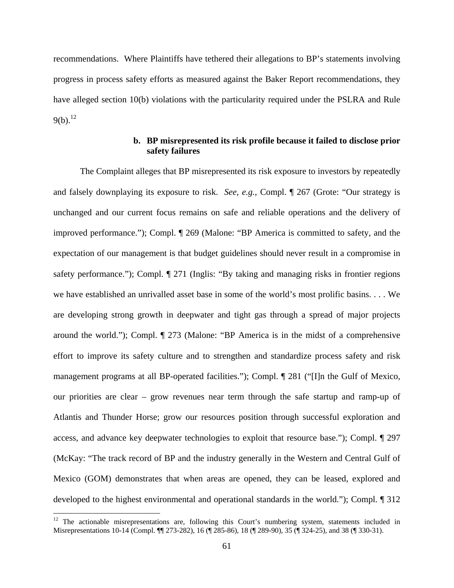recommendations. Where Plaintiffs have tethered their allegations to BP's statements involving progress in process safety efforts as measured against the Baker Report recommendations, they have alleged section 10(b) violations with the particularity required under the PSLRA and Rule  $9(b)^{12}$ 

## **b. BP misrepresented its risk profile because it failed to disclose prior safety failures**

The Complaint alleges that BP misrepresented its risk exposure to investors by repeatedly and falsely downplaying its exposure to risk. *See*, *e.g.*, Compl. ¶ 267 (Grote: "Our strategy is unchanged and our current focus remains on safe and reliable operations and the delivery of improved performance."); Compl. ¶ 269 (Malone: "BP America is committed to safety, and the expectation of our management is that budget guidelines should never result in a compromise in safety performance."); Compl.  $\llbracket$  271 (Inglis: "By taking and managing risks in frontier regions we have established an unrivalled asset base in some of the world's most prolific basins. . . . We are developing strong growth in deepwater and tight gas through a spread of major projects around the world."); Compl. ¶ 273 (Malone: "BP America is in the midst of a comprehensive effort to improve its safety culture and to strengthen and standardize process safety and risk management programs at all BP-operated facilities."); Compl. ¶ 281 ("[I]n the Gulf of Mexico, our priorities are clear – grow revenues near term through the safe startup and ramp-up of Atlantis and Thunder Horse; grow our resources position through successful exploration and access, and advance key deepwater technologies to exploit that resource base."); Compl. ¶ 297 (McKay: "The track record of BP and the industry generally in the Western and Central Gulf of Mexico (GOM) demonstrates that when areas are opened, they can be leased, explored and developed to the highest environmental and operational standards in the world."); Compl. ¶ 312

 $\overline{a}$ 

 $12$  The actionable misrepresentations are, following this Court's numbering system, statements included in Misrepresentations 10-14 (Compl. ¶¶ 273-282), 16 (¶ 285-86), 18 (¶ 289-90), 35 (¶ 324-25), and 38 (¶ 330-31).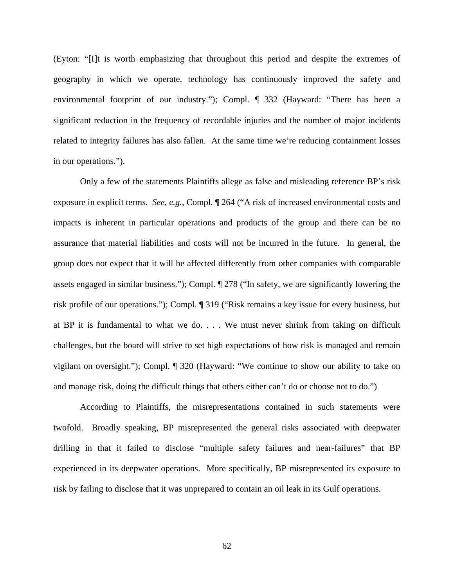(Eyton: "[I]t is worth emphasizing that throughout this period and despite the extremes of geography in which we operate, technology has continuously improved the safety and environmental footprint of our industry."); Compl. ¶ 332 (Hayward: "There has been a significant reduction in the frequency of recordable injuries and the number of major incidents related to integrity failures has also fallen. At the same time we're reducing containment losses in our operations.").

Only a few of the statements Plaintiffs allege as false and misleading reference BP's risk exposure in explicit terms. *See*, *e.g.*, Compl. ¶ 264 ("A risk of increased environmental costs and impacts is inherent in particular operations and products of the group and there can be no assurance that material liabilities and costs will not be incurred in the future. In general, the group does not expect that it will be affected differently from other companies with comparable assets engaged in similar business."); Compl. ¶ 278 ("In safety, we are significantly lowering the risk profile of our operations."); Compl. ¶ 319 ("Risk remains a key issue for every business, but at BP it is fundamental to what we do. . . . We must never shrink from taking on difficult challenges, but the board will strive to set high expectations of how risk is managed and remain vigilant on oversight."); Compl. ¶ 320 (Hayward: "We continue to show our ability to take on and manage risk, doing the difficult things that others either can't do or choose not to do.")

According to Plaintiffs, the misrepresentations contained in such statements were twofold. Broadly speaking, BP misrepresented the general risks associated with deepwater drilling in that it failed to disclose "multiple safety failures and near-failures" that BP experienced in its deepwater operations. More specifically, BP misrepresented its exposure to risk by failing to disclose that it was unprepared to contain an oil leak in its Gulf operations.

62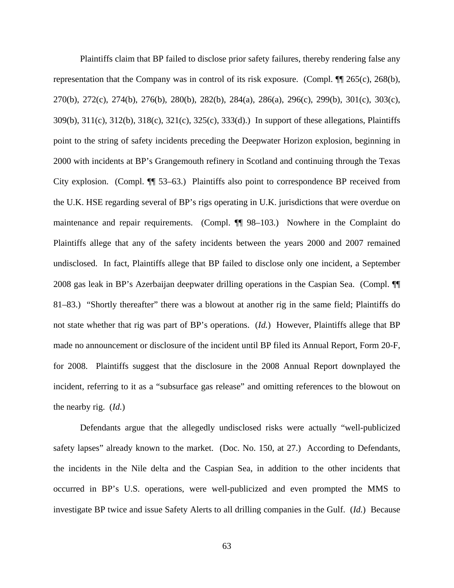Plaintiffs claim that BP failed to disclose prior safety failures, thereby rendering false any representation that the Company was in control of its risk exposure. (Compl. ¶¶ 265(c), 268(b), 270(b), 272(c), 274(b), 276(b), 280(b), 282(b), 284(a), 286(a), 296(c), 299(b), 301(c), 303(c), 309(b), 311(c), 312(b), 318(c), 321(c), 325(c), 333(d).) In support of these allegations, Plaintiffs point to the string of safety incidents preceding the Deepwater Horizon explosion, beginning in 2000 with incidents at BP's Grangemouth refinery in Scotland and continuing through the Texas City explosion. (Compl. ¶¶ 53–63.) Plaintiffs also point to correspondence BP received from the U.K. HSE regarding several of BP's rigs operating in U.K. jurisdictions that were overdue on maintenance and repair requirements. (Compl. ¶¶ 98–103.) Nowhere in the Complaint do Plaintiffs allege that any of the safety incidents between the years 2000 and 2007 remained undisclosed. In fact, Plaintiffs allege that BP failed to disclose only one incident, a September 2008 gas leak in BP's Azerbaijan deepwater drilling operations in the Caspian Sea. (Compl. ¶¶ 81–83.) "Shortly thereafter" there was a blowout at another rig in the same field; Plaintiffs do not state whether that rig was part of BP's operations. (*Id.*) However, Plaintiffs allege that BP made no announcement or disclosure of the incident until BP filed its Annual Report, Form 20-F, for 2008. Plaintiffs suggest that the disclosure in the 2008 Annual Report downplayed the incident, referring to it as a "subsurface gas release" and omitting references to the blowout on the nearby rig. (*Id.*)

Defendants argue that the allegedly undisclosed risks were actually "well-publicized safety lapses" already known to the market. (Doc. No. 150, at 27.) According to Defendants, the incidents in the Nile delta and the Caspian Sea, in addition to the other incidents that occurred in BP's U.S. operations, were well-publicized and even prompted the MMS to investigate BP twice and issue Safety Alerts to all drilling companies in the Gulf. (*Id.*) Because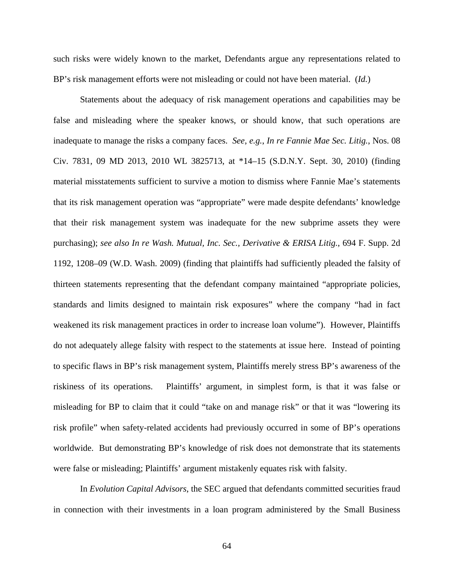such risks were widely known to the market, Defendants argue any representations related to BP's risk management efforts were not misleading or could not have been material. (*Id.*)

Statements about the adequacy of risk management operations and capabilities may be false and misleading where the speaker knows, or should know, that such operations are inadequate to manage the risks a company faces. *See*, *e.g.*, *In re Fannie Mae Sec. Litig.*, Nos. 08 Civ. 7831, 09 MD 2013, 2010 WL 3825713, at \*14–15 (S.D.N.Y. Sept. 30, 2010) (finding material misstatements sufficient to survive a motion to dismiss where Fannie Mae's statements that its risk management operation was "appropriate" were made despite defendants' knowledge that their risk management system was inadequate for the new subprime assets they were purchasing); *see also In re Wash. Mutual, Inc. Sec., Derivative & ERISA Litig.*, 694 F. Supp. 2d 1192, 1208–09 (W.D. Wash. 2009) (finding that plaintiffs had sufficiently pleaded the falsity of thirteen statements representing that the defendant company maintained "appropriate policies, standards and limits designed to maintain risk exposures" where the company "had in fact weakened its risk management practices in order to increase loan volume"). However, Plaintiffs do not adequately allege falsity with respect to the statements at issue here. Instead of pointing to specific flaws in BP's risk management system, Plaintiffs merely stress BP's awareness of the riskiness of its operations. Plaintiffs' argument, in simplest form, is that it was false or misleading for BP to claim that it could "take on and manage risk" or that it was "lowering its risk profile" when safety-related accidents had previously occurred in some of BP's operations worldwide. But demonstrating BP's knowledge of risk does not demonstrate that its statements were false or misleading; Plaintiffs' argument mistakenly equates risk with falsity.

 In *Evolution Capital Advisors*, the SEC argued that defendants committed securities fraud in connection with their investments in a loan program administered by the Small Business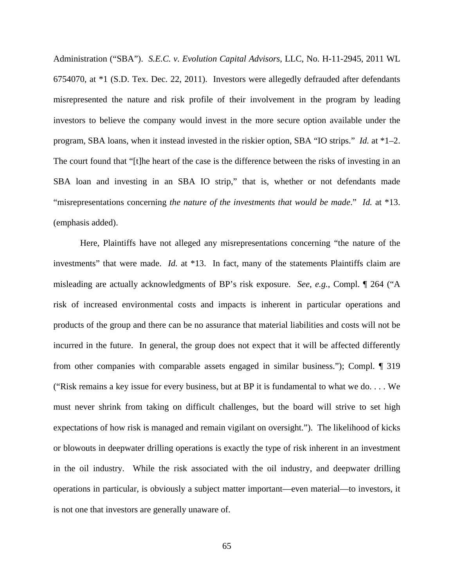Administration ("SBA"). *S.E.C. v. Evolution Capital Advisors*, LLC, No. H-11-2945, 2011 WL 6754070, at \*1 (S.D. Tex. Dec. 22, 2011). Investors were allegedly defrauded after defendants misrepresented the nature and risk profile of their involvement in the program by leading investors to believe the company would invest in the more secure option available under the program, SBA loans, when it instead invested in the riskier option, SBA "IO strips." *Id.* at \*1–2. The court found that "[t]he heart of the case is the difference between the risks of investing in an SBA loan and investing in an SBA IO strip," that is, whether or not defendants made "misrepresentations concerning *the nature of the investments that would be made*." *Id.* at \*13. (emphasis added).

Here, Plaintiffs have not alleged any misrepresentations concerning "the nature of the investments" that were made. *Id.* at \*13. In fact, many of the statements Plaintiffs claim are misleading are actually acknowledgments of BP's risk exposure. *See*, *e.g.*, Compl. ¶ 264 ("A risk of increased environmental costs and impacts is inherent in particular operations and products of the group and there can be no assurance that material liabilities and costs will not be incurred in the future. In general, the group does not expect that it will be affected differently from other companies with comparable assets engaged in similar business."); Compl. ¶ 319 ("Risk remains a key issue for every business, but at BP it is fundamental to what we do. . . . We must never shrink from taking on difficult challenges, but the board will strive to set high expectations of how risk is managed and remain vigilant on oversight."). The likelihood of kicks or blowouts in deepwater drilling operations is exactly the type of risk inherent in an investment in the oil industry. While the risk associated with the oil industry, and deepwater drilling operations in particular, is obviously a subject matter important—even material—to investors, it is not one that investors are generally unaware of.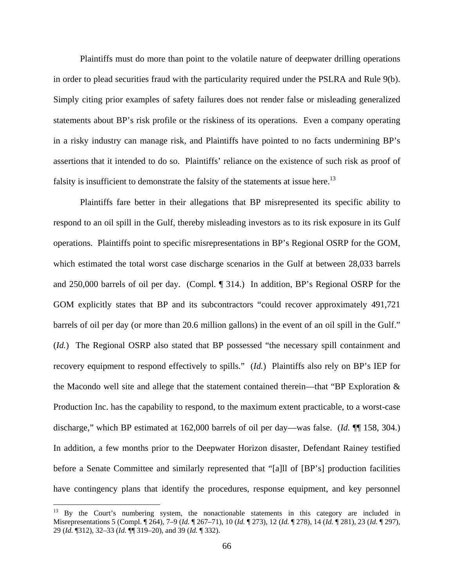Plaintiffs must do more than point to the volatile nature of deepwater drilling operations in order to plead securities fraud with the particularity required under the PSLRA and Rule 9(b). Simply citing prior examples of safety failures does not render false or misleading generalized statements about BP's risk profile or the riskiness of its operations. Even a company operating in a risky industry can manage risk, and Plaintiffs have pointed to no facts undermining BP's assertions that it intended to do so. Plaintiffs' reliance on the existence of such risk as proof of falsity is insufficient to demonstrate the falsity of the statements at issue here.<sup>13</sup>

Plaintiffs fare better in their allegations that BP misrepresented its specific ability to respond to an oil spill in the Gulf, thereby misleading investors as to its risk exposure in its Gulf operations. Plaintiffs point to specific misrepresentations in BP's Regional OSRP for the GOM, which estimated the total worst case discharge scenarios in the Gulf at between 28,033 barrels and 250,000 barrels of oil per day. (Compl. ¶ 314.) In addition, BP's Regional OSRP for the GOM explicitly states that BP and its subcontractors "could recover approximately 491,721 barrels of oil per day (or more than 20.6 million gallons) in the event of an oil spill in the Gulf." (*Id.*) The Regional OSRP also stated that BP possessed "the necessary spill containment and recovery equipment to respond effectively to spills." (*Id.*) Plaintiffs also rely on BP's IEP for the Macondo well site and allege that the statement contained therein—that "BP Exploration & Production Inc. has the capability to respond, to the maximum extent practicable, to a worst-case discharge," which BP estimated at 162,000 barrels of oil per day—was false. (*Id.* ¶¶ 158, 304.) In addition, a few months prior to the Deepwater Horizon disaster, Defendant Rainey testified before a Senate Committee and similarly represented that "[a]ll of [BP's] production facilities have contingency plans that identify the procedures, response equipment, and key personnel

 $\overline{a}$ 

<sup>&</sup>lt;sup>13</sup> By the Court's numbering system, the nonactionable statements in this category are included in Misrepresentations 5 (Compl. ¶ 264), 7–9 (*Id.* ¶ 267–71), 10 (*Id.* ¶ 273), 12 (*Id.* ¶ 278), 14 (*Id.* ¶ 281), 23 (*Id.* ¶ 297), 29 (*Id.* ¶312), 32–33 (*Id.* ¶¶ 319–20), and 39 (*Id.* ¶ 332).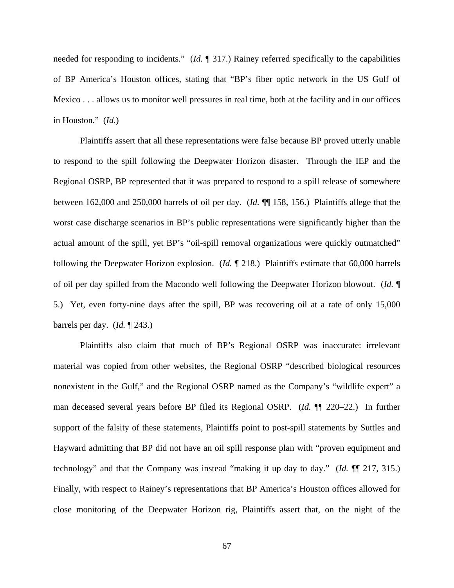needed for responding to incidents." (*Id.* ¶ 317.) Rainey referred specifically to the capabilities of BP America's Houston offices, stating that "BP's fiber optic network in the US Gulf of Mexico . . . allows us to monitor well pressures in real time, both at the facility and in our offices in Houston." (*Id.*)

Plaintiffs assert that all these representations were false because BP proved utterly unable to respond to the spill following the Deepwater Horizon disaster. Through the IEP and the Regional OSRP, BP represented that it was prepared to respond to a spill release of somewhere between 162,000 and 250,000 barrels of oil per day. (*Id.* ¶¶ 158, 156.) Plaintiffs allege that the worst case discharge scenarios in BP's public representations were significantly higher than the actual amount of the spill, yet BP's "oil-spill removal organizations were quickly outmatched" following the Deepwater Horizon explosion. (*Id.* ¶ 218.) Plaintiffs estimate that 60,000 barrels of oil per day spilled from the Macondo well following the Deepwater Horizon blowout. (*Id.* ¶ 5.) Yet, even forty-nine days after the spill, BP was recovering oil at a rate of only 15,000 barrels per day. (*Id.* ¶ 243.)

Plaintiffs also claim that much of BP's Regional OSRP was inaccurate: irrelevant material was copied from other websites, the Regional OSRP "described biological resources nonexistent in the Gulf," and the Regional OSRP named as the Company's "wildlife expert" a man deceased several years before BP filed its Regional OSRP. (*Id.* ¶¶ 220–22.) In further support of the falsity of these statements, Plaintiffs point to post-spill statements by Suttles and Hayward admitting that BP did not have an oil spill response plan with "proven equipment and technology" and that the Company was instead "making it up day to day." (*Id.* ¶¶ 217, 315.) Finally, with respect to Rainey's representations that BP America's Houston offices allowed for close monitoring of the Deepwater Horizon rig, Plaintiffs assert that, on the night of the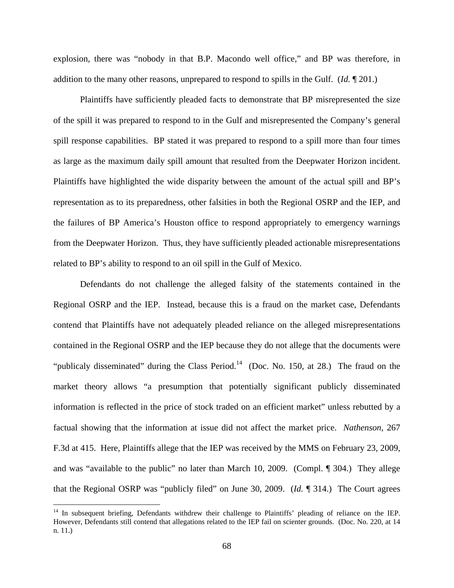explosion, there was "nobody in that B.P. Macondo well office," and BP was therefore, in addition to the many other reasons, unprepared to respond to spills in the Gulf. (*Id.* ¶ 201.)

Plaintiffs have sufficiently pleaded facts to demonstrate that BP misrepresented the size of the spill it was prepared to respond to in the Gulf and misrepresented the Company's general spill response capabilities. BP stated it was prepared to respond to a spill more than four times as large as the maximum daily spill amount that resulted from the Deepwater Horizon incident. Plaintiffs have highlighted the wide disparity between the amount of the actual spill and BP's representation as to its preparedness, other falsities in both the Regional OSRP and the IEP, and the failures of BP America's Houston office to respond appropriately to emergency warnings from the Deepwater Horizon. Thus, they have sufficiently pleaded actionable misrepresentations related to BP's ability to respond to an oil spill in the Gulf of Mexico.

Defendants do not challenge the alleged falsity of the statements contained in the Regional OSRP and the IEP. Instead, because this is a fraud on the market case, Defendants contend that Plaintiffs have not adequately pleaded reliance on the alleged misrepresentations contained in the Regional OSRP and the IEP because they do not allege that the documents were "publicaly disseminated" during the Class Period.<sup>14</sup> (Doc. No. 150, at 28.) The fraud on the market theory allows "a presumption that potentially significant publicly disseminated information is reflected in the price of stock traded on an efficient market" unless rebutted by a factual showing that the information at issue did not affect the market price. *Nathenson*, 267 F.3d at 415. Here, Plaintiffs allege that the IEP was received by the MMS on February 23, 2009, and was "available to the public" no later than March 10, 2009. (Compl. ¶ 304.) They allege that the Regional OSRP was "publicly filed" on June 30, 2009. (*Id.* ¶ 314.) The Court agrees

 $\overline{a}$ 

<sup>&</sup>lt;sup>14</sup> In subsequent briefing, Defendants withdrew their challenge to Plaintiffs' pleading of reliance on the IEP. However, Defendants still contend that allegations related to the IEP fail on scienter grounds. (Doc. No. 220, at 14 n. 11.)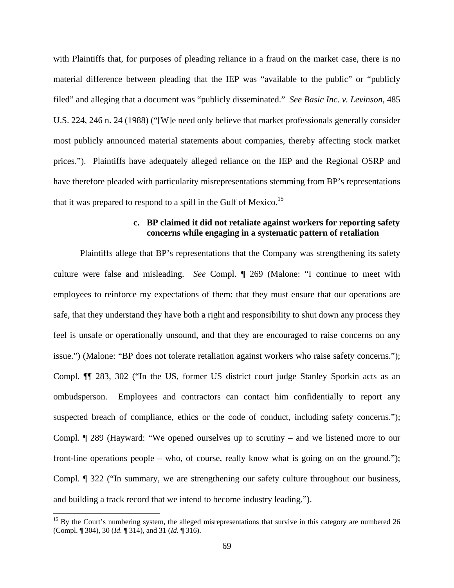with Plaintiffs that, for purposes of pleading reliance in a fraud on the market case, there is no material difference between pleading that the IEP was "available to the public" or "publicly filed" and alleging that a document was "publicly disseminated." *See Basic Inc. v. Levinson*, 485 U.S. 224, 246 n. 24 (1988) ("[W]e need only believe that market professionals generally consider most publicly announced material statements about companies, thereby affecting stock market prices.").Plaintiffs have adequately alleged reliance on the IEP and the Regional OSRP and have therefore pleaded with particularity misrepresentations stemming from BP's representations that it was prepared to respond to a spill in the Gulf of Mexico.<sup>15</sup>

# **c. BP claimed it did not retaliate against workers for reporting safety concerns while engaging in a systematic pattern of retaliation**

Plaintiffs allege that BP's representations that the Company was strengthening its safety culture were false and misleading. *See* Compl. ¶ 269 (Malone: "I continue to meet with employees to reinforce my expectations of them: that they must ensure that our operations are safe, that they understand they have both a right and responsibility to shut down any process they feel is unsafe or operationally unsound, and that they are encouraged to raise concerns on any issue.") (Malone: "BP does not tolerate retaliation against workers who raise safety concerns."); Compl. ¶¶ 283, 302 ("In the US, former US district court judge Stanley Sporkin acts as an ombudsperson. Employees and contractors can contact him confidentially to report any suspected breach of compliance, ethics or the code of conduct, including safety concerns."); Compl. ¶ 289 (Hayward: "We opened ourselves up to scrutiny – and we listened more to our front-line operations people – who, of course, really know what is going on on the ground."); Compl. ¶ 322 ("In summary, we are strengthening our safety culture throughout our business, and building a track record that we intend to become industry leading.").

1

<sup>&</sup>lt;sup>15</sup> By the Court's numbering system, the alleged misrepresentations that survive in this category are numbered 26 (Compl. ¶ 304), 30 (*Id.* ¶ 314), and 31 (*Id.* ¶ 316).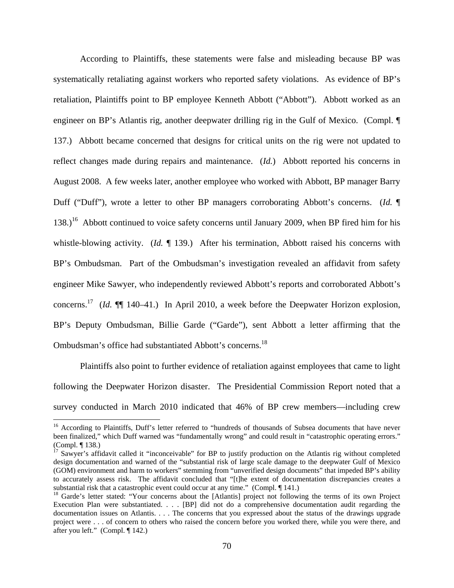According to Plaintiffs, these statements were false and misleading because BP was systematically retaliating against workers who reported safety violations. As evidence of BP's retaliation, Plaintiffs point to BP employee Kenneth Abbott ("Abbott"). Abbott worked as an engineer on BP's Atlantis rig, another deepwater drilling rig in the Gulf of Mexico. (Compl. ¶ 137.) Abbott became concerned that designs for critical units on the rig were not updated to reflect changes made during repairs and maintenance. (*Id.*) Abbott reported his concerns in August 2008. A few weeks later, another employee who worked with Abbott, BP manager Barry Duff ("Duff"), wrote a letter to other BP managers corroborating Abbott's concerns. (*Id.* ¶ 138.)<sup>16</sup> Abbott continued to voice safety concerns until January 2009, when BP fired him for his whistle-blowing activity. (*Id.* 139.) After his termination, Abbott raised his concerns with BP's Ombudsman. Part of the Ombudsman's investigation revealed an affidavit from safety engineer Mike Sawyer, who independently reviewed Abbott's reports and corroborated Abbott's concerns.17 (*Id.* ¶¶ 140–41.) In April 2010, a week before the Deepwater Horizon explosion, BP's Deputy Ombudsman, Billie Garde ("Garde"), sent Abbott a letter affirming that the Ombudsman's office had substantiated Abbott's concerns.18

Plaintiffs also point to further evidence of retaliation against employees that came to light following the Deepwater Horizon disaster. The Presidential Commission Report noted that a survey conducted in March 2010 indicated that 46% of BP crew members—including crew

1

<sup>&</sup>lt;sup>16</sup> According to Plaintiffs, Duff's letter referred to "hundreds of thousands of Subsea documents that have never been finalized," which Duff warned was "fundamentally wrong" and could result in "catastrophic operating errors." (Compl. ¶ 138.)

 $17$  Sawyer's affidavit called it "inconceivable" for BP to justify production on the Atlantis rig without completed design documentation and warned of the "substantial risk of large scale damage to the deepwater Gulf of Mexico (GOM) environment and harm to workers" stemming from "unverified design documents" that impeded BP's ability to accurately assess risk. The affidavit concluded that "[t]he extent of documentation discrepancies creates a substantial risk that a catastrophic event could occur at any time." (Compl. ¶ 141.)

 $18$  Garde's letter stated: "Your concerns about the [Atlantis] project not following the terms of its own Project Execution Plan were substantiated. . . . [BP] did not do a comprehensive documentation audit regarding the documentation issues on Atlantis. . . . The concerns that you expressed about the status of the drawings upgrade project were . . . of concern to others who raised the concern before you worked there, while you were there, and after you left." (Compl. ¶ 142.)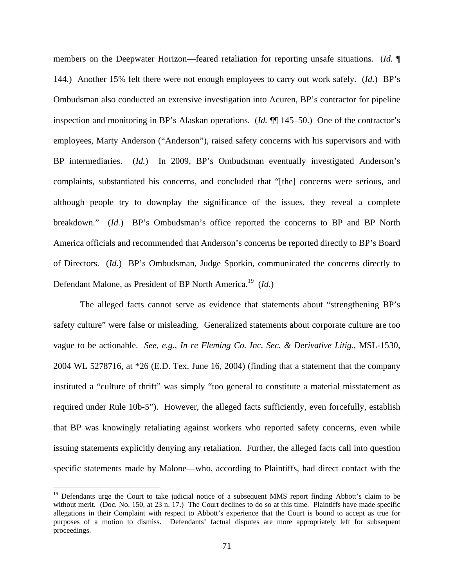members on the Deepwater Horizon—feared retaliation for reporting unsafe situations. (*Id.* ¶ 144.) Another 15% felt there were not enough employees to carry out work safely. (*Id.*) BP's Ombudsman also conducted an extensive investigation into Acuren, BP's contractor for pipeline inspection and monitoring in BP's Alaskan operations. (*Id.* ¶¶ 145–50.) One of the contractor's employees, Marty Anderson ("Anderson"), raised safety concerns with his supervisors and with BP intermediaries. (*Id.*) In 2009, BP's Ombudsman eventually investigated Anderson's complaints, substantiated his concerns, and concluded that "[the] concerns were serious, and although people try to downplay the significance of the issues, they reveal a complete breakdown." (*Id.*) BP's Ombudsman's office reported the concerns to BP and BP North America officials and recommended that Anderson's concerns be reported directly to BP's Board of Directors. (*Id.*) BP's Ombudsman, Judge Sporkin, communicated the concerns directly to Defendant Malone, as President of BP North America.<sup>19</sup> (*Id.*)

The alleged facts cannot serve as evidence that statements about "strengthening BP's safety culture" were false or misleading. Generalized statements about corporate culture are too vague to be actionable. *See*, *e.g.*, *In re Fleming Co. Inc. Sec. & Derivative Litig.*, MSL-1530, 2004 WL 5278716, at \*26 (E.D. Tex. June 16, 2004) (finding that a statement that the company instituted a "culture of thrift" was simply "too general to constitute a material misstatement as required under Rule 10b-5"). However, the alleged facts sufficiently, even forcefully, establish that BP was knowingly retaliating against workers who reported safety concerns, even while issuing statements explicitly denying any retaliation. Further, the alleged facts call into question specific statements made by Malone—who, according to Plaintiffs, had direct contact with the

 $\overline{a}$ 

<sup>&</sup>lt;sup>19</sup> Defendants urge the Court to take judicial notice of a subsequent MMS report finding Abbott's claim to be without merit. (Doc. No. 150, at 23 n. 17.) The Court declines to do so at this time. Plaintiffs have made specific allegations in their Complaint with respect to Abbott's experience that the Court is bound to accept as true for purposes of a motion to dismiss. Defendants' factual disputes are more appropriately left for subsequent proceedings.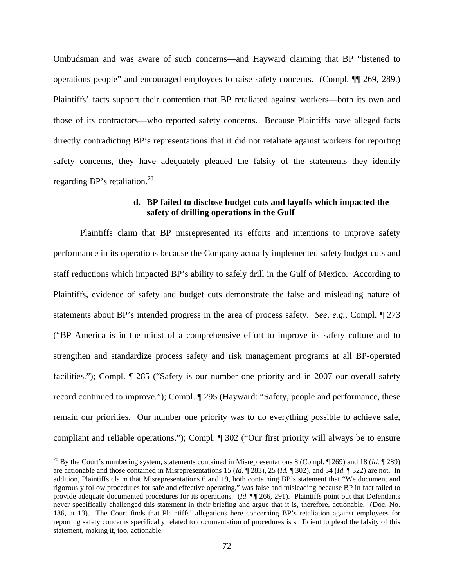Ombudsman and was aware of such concerns—and Hayward claiming that BP "listened to operations people" and encouraged employees to raise safety concerns. (Compl. ¶¶ 269, 289.) Plaintiffs' facts support their contention that BP retaliated against workers—both its own and those of its contractors—who reported safety concerns. Because Plaintiffs have alleged facts directly contradicting BP's representations that it did not retaliate against workers for reporting safety concerns, they have adequately pleaded the falsity of the statements they identify regarding BP's retaliation.<sup>20</sup>

# **d. BP failed to disclose budget cuts and layoffs which impacted the safety of drilling operations in the Gulf**

Plaintiffs claim that BP misrepresented its efforts and intentions to improve safety performance in its operations because the Company actually implemented safety budget cuts and staff reductions which impacted BP's ability to safely drill in the Gulf of Mexico. According to Plaintiffs, evidence of safety and budget cuts demonstrate the false and misleading nature of statements about BP's intended progress in the area of process safety. *See*, *e.g.*, Compl. ¶ 273 ("BP America is in the midst of a comprehensive effort to improve its safety culture and to strengthen and standardize process safety and risk management programs at all BP-operated facilities."); Compl. ¶ 285 ("Safety is our number one priority and in 2007 our overall safety record continued to improve."); Compl. ¶ 295 (Hayward: "Safety, people and performance, these remain our priorities. Our number one priority was to do everything possible to achieve safe, compliant and reliable operations."); Compl. ¶ 302 ("Our first priority will always be to ensure

 $\overline{a}$ 

<sup>&</sup>lt;sup>20</sup> By the Court's numbering system, statements contained in Misrepresentations 8 (Compl.  $\llbracket$  269) and 18 (*Id.*  $\llbracket$  289) are actionable and those contained in Misrepresentations 15 (*Id.* ¶ 283), 25 (*Id.* ¶ 302), and 34 (*Id.* ¶ 322) are not. In addition, Plaintiffs claim that Misrepresentations 6 and 19, both containing BP's statement that "We document and rigorously follow procedures for safe and effective operating," was false and misleading because BP in fact failed to provide adequate documented procedures for its operations. (*Id.* ¶¶ 266, 291). Plaintiffs point out that Defendants never specifically challenged this statement in their briefing and argue that it is, therefore, actionable. (Doc. No. 186, at 13). The Court finds that Plaintiffs' allegations here concerning BP's retaliation against employees for reporting safety concerns specifically related to documentation of procedures is sufficient to plead the falsity of this statement, making it, too, actionable.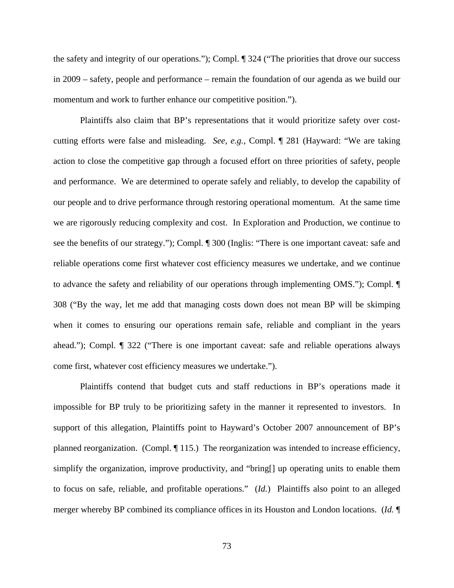the safety and integrity of our operations."); Compl. ¶ 324 ("The priorities that drove our success in 2009 – safety, people and performance – remain the foundation of our agenda as we build our momentum and work to further enhance our competitive position.").

Plaintiffs also claim that BP's representations that it would prioritize safety over costcutting efforts were false and misleading. *See*, *e.g.*, Compl. ¶ 281 (Hayward: "We are taking action to close the competitive gap through a focused effort on three priorities of safety, people and performance. We are determined to operate safely and reliably, to develop the capability of our people and to drive performance through restoring operational momentum. At the same time we are rigorously reducing complexity and cost. In Exploration and Production, we continue to see the benefits of our strategy."); Compl. ¶ 300 (Inglis: "There is one important caveat: safe and reliable operations come first whatever cost efficiency measures we undertake, and we continue to advance the safety and reliability of our operations through implementing OMS."); Compl. ¶ 308 ("By the way, let me add that managing costs down does not mean BP will be skimping when it comes to ensuring our operations remain safe, reliable and compliant in the years ahead."); Compl. ¶ 322 ("There is one important caveat: safe and reliable operations always come first, whatever cost efficiency measures we undertake.").

Plaintiffs contend that budget cuts and staff reductions in BP's operations made it impossible for BP truly to be prioritizing safety in the manner it represented to investors. In support of this allegation, Plaintiffs point to Hayward's October 2007 announcement of BP's planned reorganization. (Compl. ¶ 115.) The reorganization was intended to increase efficiency, simplify the organization, improve productivity, and "bring[] up operating units to enable them to focus on safe, reliable, and profitable operations." (*Id.*) Plaintiffs also point to an alleged merger whereby BP combined its compliance offices in its Houston and London locations. (*Id.* ¶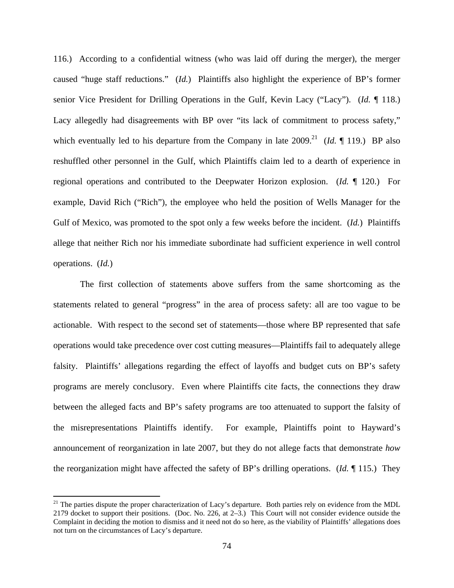116.) According to a confidential witness (who was laid off during the merger), the merger caused "huge staff reductions." (*Id.*) Plaintiffs also highlight the experience of BP's former senior Vice President for Drilling Operations in the Gulf, Kevin Lacy ("Lacy"). (*Id.* ¶ 118.) Lacy allegedly had disagreements with BP over "its lack of commitment to process safety," which eventually led to his departure from the Company in late  $2009$ <sup>21</sup> (*Id.* ¶ 119.) BP also reshuffled other personnel in the Gulf, which Plaintiffs claim led to a dearth of experience in regional operations and contributed to the Deepwater Horizon explosion. (*Id.* ¶ 120.) For example, David Rich ("Rich"), the employee who held the position of Wells Manager for the Gulf of Mexico, was promoted to the spot only a few weeks before the incident. (*Id.*) Plaintiffs allege that neither Rich nor his immediate subordinate had sufficient experience in well control operations. (*Id.*)

The first collection of statements above suffers from the same shortcoming as the statements related to general "progress" in the area of process safety: all are too vague to be actionable. With respect to the second set of statements—those where BP represented that safe operations would take precedence over cost cutting measures—Plaintiffs fail to adequately allege falsity. Plaintiffs' allegations regarding the effect of layoffs and budget cuts on BP's safety programs are merely conclusory. Even where Plaintiffs cite facts, the connections they draw between the alleged facts and BP's safety programs are too attenuated to support the falsity of the misrepresentations Plaintiffs identify. For example, Plaintiffs point to Hayward's announcement of reorganization in late 2007, but they do not allege facts that demonstrate *how*  the reorganization might have affected the safety of BP's drilling operations. (*Id.* ¶ 115.) They

 $^{21}$  The parties dispute the proper characterization of Lacy's departure. Both parties rely on evidence from the MDL 2179 docket to support their positions. (Doc. No. 226, at 2–3.) This Court will not consider evidence outside the Complaint in deciding the motion to dismiss and it need not do so here, as the viability of Plaintiffs' allegations does not turn on the circumstances of Lacy's departure.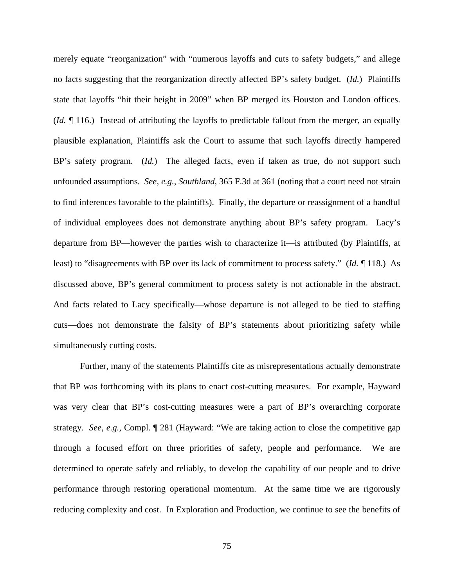merely equate "reorganization" with "numerous layoffs and cuts to safety budgets," and allege no facts suggesting that the reorganization directly affected BP's safety budget. (*Id.*)Plaintiffs state that layoffs "hit their height in 2009" when BP merged its Houston and London offices. (*Id.* ¶ 116.) Instead of attributing the layoffs to predictable fallout from the merger, an equally plausible explanation, Plaintiffs ask the Court to assume that such layoffs directly hampered BP's safety program. (*Id.*) The alleged facts, even if taken as true, do not support such unfounded assumptions. *See*, *e.g.*, *Southland*, 365 F.3d at 361 (noting that a court need not strain to find inferences favorable to the plaintiffs). Finally, the departure or reassignment of a handful of individual employees does not demonstrate anything about BP's safety program. Lacy's departure from BP—however the parties wish to characterize it—is attributed (by Plaintiffs, at least) to "disagreements with BP over its lack of commitment to process safety." (*Id.* ¶ 118.) As discussed above, BP's general commitment to process safety is not actionable in the abstract. And facts related to Lacy specifically—whose departure is not alleged to be tied to staffing cuts—does not demonstrate the falsity of BP's statements about prioritizing safety while simultaneously cutting costs.

Further, many of the statements Plaintiffs cite as misrepresentations actually demonstrate that BP was forthcoming with its plans to enact cost-cutting measures. For example, Hayward was very clear that BP's cost-cutting measures were a part of BP's overarching corporate strategy. *See*, *e.g.*, Compl. ¶ 281 (Hayward: "We are taking action to close the competitive gap through a focused effort on three priorities of safety, people and performance. We are determined to operate safely and reliably, to develop the capability of our people and to drive performance through restoring operational momentum. At the same time we are rigorously reducing complexity and cost. In Exploration and Production, we continue to see the benefits of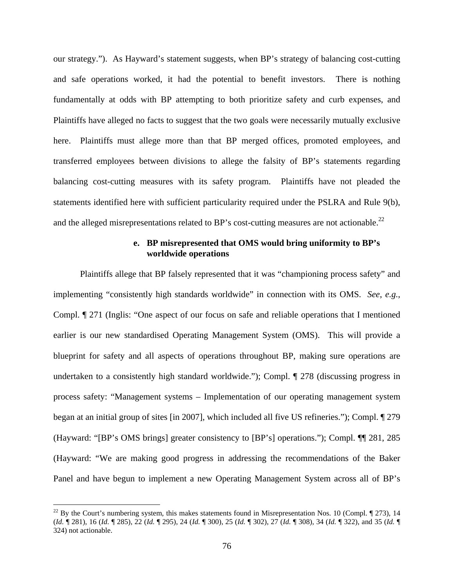our strategy."). As Hayward's statement suggests, when BP's strategy of balancing cost-cutting and safe operations worked, it had the potential to benefit investors. There is nothing fundamentally at odds with BP attempting to both prioritize safety and curb expenses, and Plaintiffs have alleged no facts to suggest that the two goals were necessarily mutually exclusive here. Plaintiffs must allege more than that BP merged offices, promoted employees, and transferred employees between divisions to allege the falsity of BP's statements regarding balancing cost-cutting measures with its safety program. Plaintiffs have not pleaded the statements identified here with sufficient particularity required under the PSLRA and Rule 9(b), and the alleged misrepresentations related to BP's cost-cutting measures are not actionable.<sup>22</sup>

## **e. BP misrepresented that OMS would bring uniformity to BP's worldwide operations**

Plaintiffs allege that BP falsely represented that it was "championing process safety" and implementing "consistently high standards worldwide" in connection with its OMS. *See*, *e.g.*, Compl. ¶ 271 (Inglis: "One aspect of our focus on safe and reliable operations that I mentioned earlier is our new standardised Operating Management System (OMS). This will provide a blueprint for safety and all aspects of operations throughout BP, making sure operations are undertaken to a consistently high standard worldwide."); Compl. ¶ 278 (discussing progress in process safety: "Management systems – Implementation of our operating management system began at an initial group of sites [in 2007], which included all five US refineries."); Compl. ¶ 279 (Hayward: "[BP's OMS brings] greater consistency to [BP's] operations."); Compl. ¶¶ 281, 285 (Hayward: "We are making good progress in addressing the recommendations of the Baker Panel and have begun to implement a new Operating Management System across all of BP's

 $22$  By the Court's numbering system, this makes statements found in Misrepresentation Nos. 10 (Compl.  $\P$  273), 14 (*Id.* ¶ 281), 16 (*Id.* ¶ 285), 22 (*Id.* ¶ 295), 24 (*Id.* ¶ 300), 25 (*Id.* ¶ 302), 27 (*Id.* ¶ 308), 34 (*Id.* ¶ 322), and 35 (*Id.* ¶ 324) not actionable.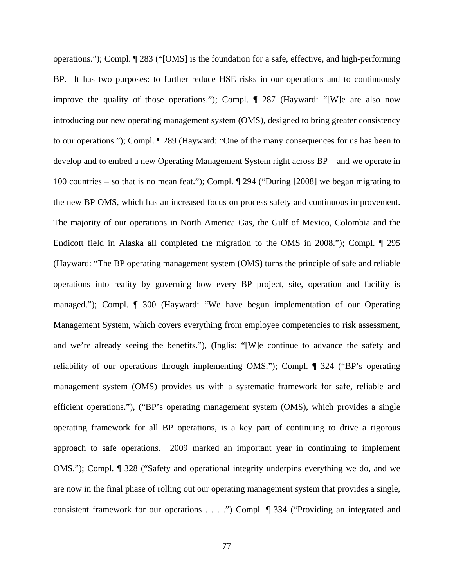operations."); Compl. ¶ 283 ("[OMS] is the foundation for a safe, effective, and high-performing BP. It has two purposes: to further reduce HSE risks in our operations and to continuously improve the quality of those operations."); Compl. ¶ 287 (Hayward: "[W]e are also now introducing our new operating management system (OMS), designed to bring greater consistency to our operations."); Compl. ¶ 289 (Hayward: "One of the many consequences for us has been to develop and to embed a new Operating Management System right across BP – and we operate in 100 countries – so that is no mean feat."); Compl. ¶ 294 ("During [2008] we began migrating to the new BP OMS, which has an increased focus on process safety and continuous improvement. The majority of our operations in North America Gas, the Gulf of Mexico, Colombia and the Endicott field in Alaska all completed the migration to the OMS in 2008."); Compl. ¶ 295 (Hayward: "The BP operating management system (OMS) turns the principle of safe and reliable operations into reality by governing how every BP project, site, operation and facility is managed."); Compl. ¶ 300 (Hayward: "We have begun implementation of our Operating Management System, which covers everything from employee competencies to risk assessment, and we're already seeing the benefits."), (Inglis: "[W]e continue to advance the safety and reliability of our operations through implementing OMS."); Compl. ¶ 324 ("BP's operating management system (OMS) provides us with a systematic framework for safe, reliable and efficient operations."), ("BP's operating management system (OMS), which provides a single operating framework for all BP operations, is a key part of continuing to drive a rigorous approach to safe operations. 2009 marked an important year in continuing to implement OMS."); Compl. ¶ 328 ("Safety and operational integrity underpins everything we do, and we are now in the final phase of rolling out our operating management system that provides a single, consistent framework for our operations . . . .") Compl. ¶ 334 ("Providing an integrated and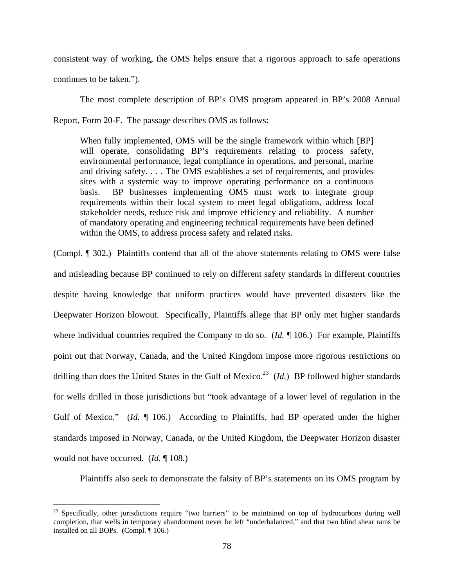consistent way of working, the OMS helps ensure that a rigorous approach to safe operations continues to be taken.").

The most complete description of BP's OMS program appeared in BP's 2008 Annual Report, Form 20-F. The passage describes OMS as follows:

When fully implemented, OMS will be the single framework within which [BP] will operate, consolidating BP's requirements relating to process safety, environmental performance, legal compliance in operations, and personal, marine and driving safety. . . . The OMS establishes a set of requirements, and provides sites with a systemic way to improve operating performance on a continuous basis. BP businesses implementing OMS must work to integrate group requirements within their local system to meet legal obligations, address local stakeholder needs, reduce risk and improve efficiency and reliability. A number of mandatory operating and engineering technical requirements have been defined within the OMS, to address process safety and related risks.

(Compl. ¶ 302.) Plaintiffs contend that all of the above statements relating to OMS were false and misleading because BP continued to rely on different safety standards in different countries despite having knowledge that uniform practices would have prevented disasters like the Deepwater Horizon blowout. Specifically, Plaintiffs allege that BP only met higher standards where individual countries required the Company to do so. (*Id.* ¶ 106.) For example, Plaintiffs point out that Norway, Canada, and the United Kingdom impose more rigorous restrictions on drilling than does the United States in the Gulf of Mexico.<sup>23</sup> (*Id.*) BP followed higher standards for wells drilled in those jurisdictions but "took advantage of a lower level of regulation in the Gulf of Mexico." (*Id.*  $\llbracket$  106.) According to Plaintiffs, had BP operated under the higher standards imposed in Norway, Canada, or the United Kingdom, the Deepwater Horizon disaster would not have occurred. (*Id.* ¶ 108.)

Plaintiffs also seek to demonstrate the falsity of BP's statements on its OMS program by

<sup>&</sup>lt;sup>23</sup> Specifically, other jurisdictions require "two barriers" to be maintained on top of hydrocarbons during well completion, that wells in temporary abandonment never be left "underbalanced," and that two blind shear rams be installed on all BOPs. (Compl. ¶ 106.)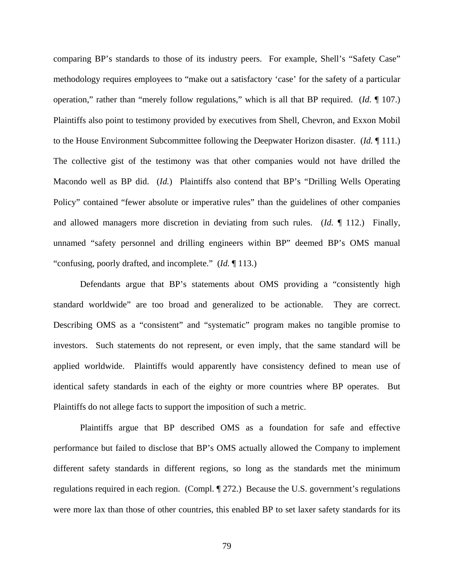comparing BP's standards to those of its industry peers. For example, Shell's "Safety Case" methodology requires employees to "make out a satisfactory 'case' for the safety of a particular operation," rather than "merely follow regulations," which is all that BP required. (*Id.* ¶ 107.) Plaintiffs also point to testimony provided by executives from Shell, Chevron, and Exxon Mobil to the House Environment Subcommittee following the Deepwater Horizon disaster. (*Id.* ¶ 111.) The collective gist of the testimony was that other companies would not have drilled the Macondo well as BP did. (*Id.*) Plaintiffs also contend that BP's "Drilling Wells Operating Policy" contained "fewer absolute or imperative rules" than the guidelines of other companies and allowed managers more discretion in deviating from such rules. (*Id.* ¶ 112.) Finally, unnamed "safety personnel and drilling engineers within BP" deemed BP's OMS manual "confusing, poorly drafted, and incomplete." (*Id.* ¶ 113.)

Defendants argue that BP's statements about OMS providing a "consistently high standard worldwide" are too broad and generalized to be actionable. They are correct. Describing OMS as a "consistent" and "systematic" program makes no tangible promise to investors. Such statements do not represent, or even imply, that the same standard will be applied worldwide. Plaintiffs would apparently have consistency defined to mean use of identical safety standards in each of the eighty or more countries where BP operates. But Plaintiffs do not allege facts to support the imposition of such a metric.

Plaintiffs argue that BP described OMS as a foundation for safe and effective performance but failed to disclose that BP's OMS actually allowed the Company to implement different safety standards in different regions, so long as the standards met the minimum regulations required in each region. (Compl. ¶ 272.) Because the U.S. government's regulations were more lax than those of other countries, this enabled BP to set laxer safety standards for its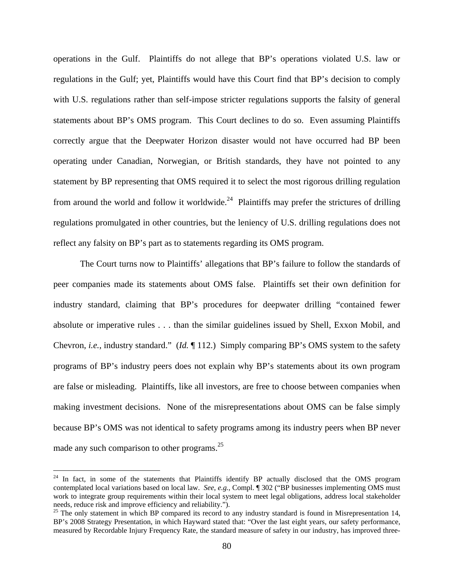operations in the Gulf. Plaintiffs do not allege that BP's operations violated U.S. law or regulations in the Gulf; yet, Plaintiffs would have this Court find that BP's decision to comply with U.S. regulations rather than self-impose stricter regulations supports the falsity of general statements about BP's OMS program. This Court declines to do so. Even assuming Plaintiffs correctly argue that the Deepwater Horizon disaster would not have occurred had BP been operating under Canadian, Norwegian, or British standards, they have not pointed to any statement by BP representing that OMS required it to select the most rigorous drilling regulation from around the world and follow it worldwide.<sup>24</sup> Plaintiffs may prefer the strictures of drilling regulations promulgated in other countries, but the leniency of U.S. drilling regulations does not reflect any falsity on BP's part as to statements regarding its OMS program.

The Court turns now to Plaintiffs' allegations that BP's failure to follow the standards of peer companies made its statements about OMS false. Plaintiffs set their own definition for industry standard, claiming that BP's procedures for deepwater drilling "contained fewer absolute or imperative rules . . . than the similar guidelines issued by Shell, Exxon Mobil, and Chevron, *i.e.*, industry standard." (*Id.* ¶ 112.) Simply comparing BP's OMS system to the safety programs of BP's industry peers does not explain why BP's statements about its own program are false or misleading. Plaintiffs, like all investors, are free to choose between companies when making investment decisions. None of the misrepresentations about OMS can be false simply because BP's OMS was not identical to safety programs among its industry peers when BP never made any such comparison to other programs. $^{25}$ 

 $24$  In fact, in some of the statements that Plaintiffs identify BP actually disclosed that the OMS program contemplated local variations based on local law. *See*, *e.g.*, Compl. ¶ 302 ("BP businesses implementing OMS must work to integrate group requirements within their local system to meet legal obligations, address local stakeholder needs, reduce risk and improve efficiency and reliability.").

 $25$  The only statement in which BP compared its record to any industry standard is found in Misrepresentation 14, BP's 2008 Strategy Presentation, in which Hayward stated that: "Over the last eight years, our safety performance, measured by Recordable Injury Frequency Rate, the standard measure of safety in our industry, has improved three-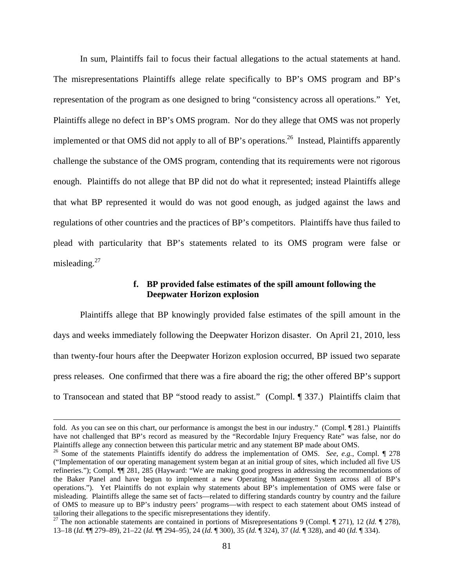In sum, Plaintiffs fail to focus their factual allegations to the actual statements at hand. The misrepresentations Plaintiffs allege relate specifically to BP's OMS program and BP's representation of the program as one designed to bring "consistency across all operations." Yet, Plaintiffs allege no defect in BP's OMS program. Nor do they allege that OMS was not properly implemented or that OMS did not apply to all of BP's operations.<sup>26</sup> Instead, Plaintiffs apparently challenge the substance of the OMS program, contending that its requirements were not rigorous enough. Plaintiffs do not allege that BP did not do what it represented; instead Plaintiffs allege that what BP represented it would do was not good enough, as judged against the laws and regulations of other countries and the practices of BP's competitors. Plaintiffs have thus failed to plead with particularity that BP's statements related to its OMS program were false or misleading. $27$ 

## **f. BP provided false estimates of the spill amount following the Deepwater Horizon explosion**

Plaintiffs allege that BP knowingly provided false estimates of the spill amount in the days and weeks immediately following the Deepwater Horizon disaster. On April 21, 2010, less than twenty-four hours after the Deepwater Horizon explosion occurred, BP issued two separate press releases. One confirmed that there was a fire aboard the rig; the other offered BP's support to Transocean and stated that BP "stood ready to assist." (Compl. ¶ 337.) Plaintiffs claim that

1

fold. As you can see on this chart, our performance is amongst the best in our industry." (Compl. ¶ 281.) Plaintiffs have not challenged that BP's record as measured by the "Recordable Injury Frequency Rate" was false, nor do Plaintiffs allege any connection between this particular metric and any statement BP made about OMS. 26 Some of the statements Plaintiffs identify do address the implementation of OMS. *See*, *e.g.*, Compl. ¶ 278

<sup>(&</sup>quot;Implementation of our operating management system began at an initial group of sites, which included all five US refineries."); Compl. ¶¶ 281, 285 (Hayward: "We are making good progress in addressing the recommendations of the Baker Panel and have begun to implement a new Operating Management System across all of BP's operations."). Yet Plaintiffs do not explain why statements about BP's implementation of OMS were false or misleading. Plaintiffs allege the same set of facts—related to differing standards country by country and the failure of OMS to measure up to BP's industry peers' programs—with respect to each statement about OMS instead of tailoring their allegations to the specific misrepresentations they identify.

<sup>27</sup> The non actionable statements are contained in portions of Misrepresentations 9 (Compl. ¶ 271), 12 (*Id.* ¶ 278), 13–18 (*Id.* ¶¶ 279–89), 21–22 (*Id.* ¶¶ 294–95), 24 (*Id.* ¶ 300), 35 (*Id.* ¶ 324), 37 (*Id.* ¶ 328), and 40 (*Id.* ¶ 334).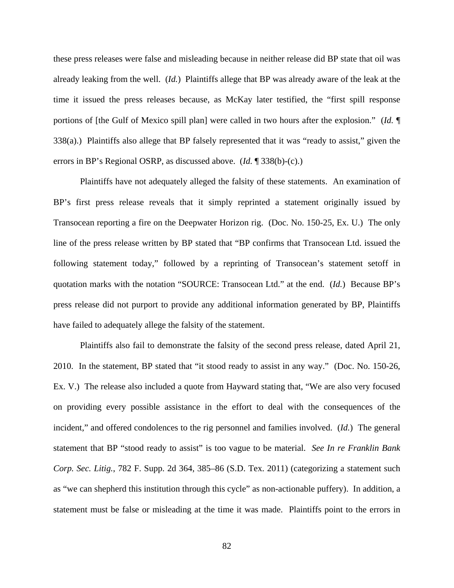these press releases were false and misleading because in neither release did BP state that oil was already leaking from the well. (*Id.*) Plaintiffs allege that BP was already aware of the leak at the time it issued the press releases because, as McKay later testified, the "first spill response portions of [the Gulf of Mexico spill plan] were called in two hours after the explosion." (*Id.* ¶ 338(a).) Plaintiffs also allege that BP falsely represented that it was "ready to assist," given the errors in BP's Regional OSRP, as discussed above. (*Id.* ¶ 338(b)-(c).)

Plaintiffs have not adequately alleged the falsity of these statements. An examination of BP's first press release reveals that it simply reprinted a statement originally issued by Transocean reporting a fire on the Deepwater Horizon rig. (Doc. No. 150-25, Ex. U.) The only line of the press release written by BP stated that "BP confirms that Transocean Ltd. issued the following statement today," followed by a reprinting of Transocean's statement setoff in quotation marks with the notation "SOURCE: Transocean Ltd." at the end. (*Id.*) Because BP's press release did not purport to provide any additional information generated by BP, Plaintiffs have failed to adequately allege the falsity of the statement.

Plaintiffs also fail to demonstrate the falsity of the second press release, dated April 21, 2010. In the statement, BP stated that "it stood ready to assist in any way." (Doc. No. 150-26, Ex. V.) The release also included a quote from Hayward stating that, "We are also very focused on providing every possible assistance in the effort to deal with the consequences of the incident," and offered condolences to the rig personnel and families involved. (*Id.*) The general statement that BP "stood ready to assist" is too vague to be material. *See In re Franklin Bank Corp. Sec. Litig.*, 782 F. Supp. 2d 364, 385–86 (S.D. Tex. 2011) (categorizing a statement such as "we can shepherd this institution through this cycle" as non-actionable puffery). In addition, a statement must be false or misleading at the time it was made. Plaintiffs point to the errors in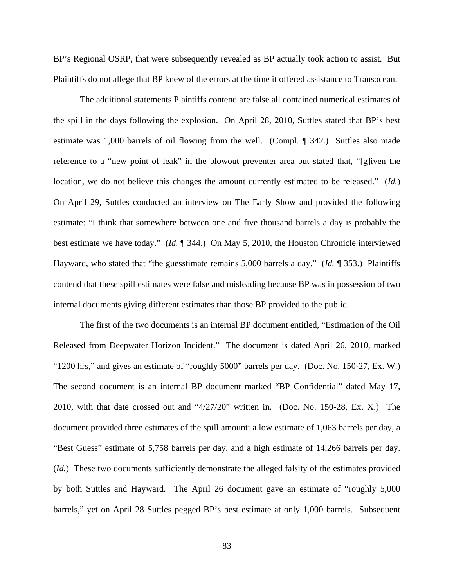BP's Regional OSRP, that were subsequently revealed as BP actually took action to assist. But Plaintiffs do not allege that BP knew of the errors at the time it offered assistance to Transocean.

The additional statements Plaintiffs contend are false all contained numerical estimates of the spill in the days following the explosion. On April 28, 2010, Suttles stated that BP's best estimate was 1,000 barrels of oil flowing from the well. (Compl. ¶ 342.) Suttles also made reference to a "new point of leak" in the blowout preventer area but stated that, "[g]iven the location, we do not believe this changes the amount currently estimated to be released." (*Id.*) On April 29, Suttles conducted an interview on The Early Show and provided the following estimate: "I think that somewhere between one and five thousand barrels a day is probably the best estimate we have today." (*Id.* ¶ 344.) On May 5, 2010, the Houston Chronicle interviewed Hayward, who stated that "the guesstimate remains 5,000 barrels a day." (*Id.* ¶ 353.) Plaintiffs contend that these spill estimates were false and misleading because BP was in possession of two internal documents giving different estimates than those BP provided to the public.

The first of the two documents is an internal BP document entitled, "Estimation of the Oil Released from Deepwater Horizon Incident." The document is dated April 26, 2010, marked "1200 hrs," and gives an estimate of "roughly 5000" barrels per day. (Doc. No. 150-27, Ex. W.) The second document is an internal BP document marked "BP Confidential" dated May 17, 2010, with that date crossed out and "4/27/20" written in. (Doc. No. 150-28, Ex. X.) The document provided three estimates of the spill amount: a low estimate of 1,063 barrels per day, a "Best Guess" estimate of 5,758 barrels per day, and a high estimate of 14,266 barrels per day. (*Id.*) These two documents sufficiently demonstrate the alleged falsity of the estimates provided by both Suttles and Hayward. The April 26 document gave an estimate of "roughly 5,000 barrels," yet on April 28 Suttles pegged BP's best estimate at only 1,000 barrels. Subsequent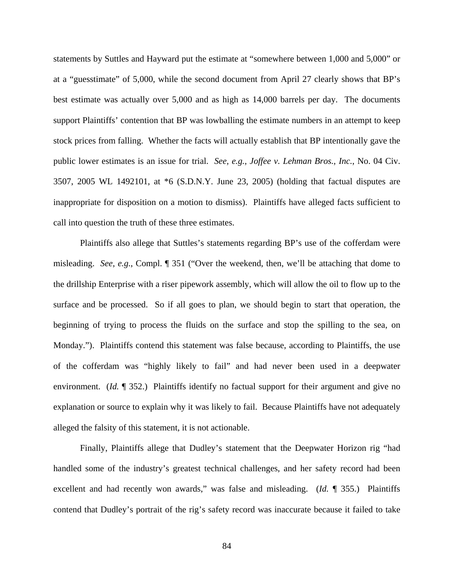statements by Suttles and Hayward put the estimate at "somewhere between 1,000 and 5,000" or at a "guesstimate" of 5,000, while the second document from April 27 clearly shows that BP's best estimate was actually over 5,000 and as high as 14,000 barrels per day. The documents support Plaintiffs' contention that BP was lowballing the estimate numbers in an attempt to keep stock prices from falling. Whether the facts will actually establish that BP intentionally gave the public lower estimates is an issue for trial. *See, e.g., Joffee v. Lehman Bros., Inc.*, No. 04 Civ. 3507, 2005 WL 1492101, at \*6 (S.D.N.Y. June 23, 2005) (holding that factual disputes are inappropriate for disposition on a motion to dismiss). Plaintiffs have alleged facts sufficient to call into question the truth of these three estimates.

Plaintiffs also allege that Suttles's statements regarding BP's use of the cofferdam were misleading. *See*, *e.g.*, Compl. ¶ 351 ("Over the weekend, then, we'll be attaching that dome to the drillship Enterprise with a riser pipework assembly, which will allow the oil to flow up to the surface and be processed. So if all goes to plan, we should begin to start that operation, the beginning of trying to process the fluids on the surface and stop the spilling to the sea, on Monday."). Plaintiffs contend this statement was false because, according to Plaintiffs, the use of the cofferdam was "highly likely to fail" and had never been used in a deepwater environment. (*Id.* **¶** 352.) Plaintiffs identify no factual support for their argument and give no explanation or source to explain why it was likely to fail. Because Plaintiffs have not adequately alleged the falsity of this statement, it is not actionable.

Finally, Plaintiffs allege that Dudley's statement that the Deepwater Horizon rig "had handled some of the industry's greatest technical challenges, and her safety record had been excellent and had recently won awards," was false and misleading. (*Id.* ¶ 355.) Plaintiffs contend that Dudley's portrait of the rig's safety record was inaccurate because it failed to take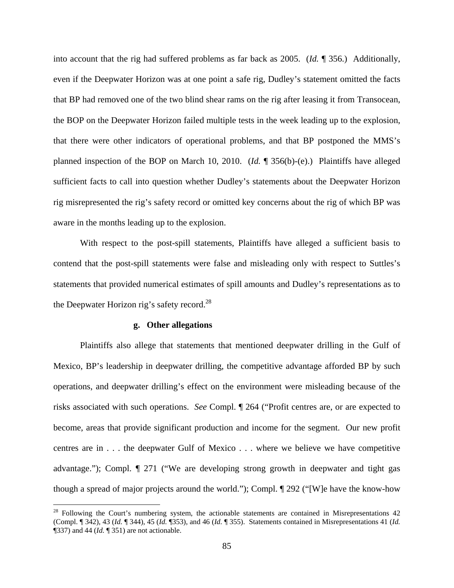into account that the rig had suffered problems as far back as 2005. (*Id.* ¶ 356.) Additionally, even if the Deepwater Horizon was at one point a safe rig, Dudley's statement omitted the facts that BP had removed one of the two blind shear rams on the rig after leasing it from Transocean, the BOP on the Deepwater Horizon failed multiple tests in the week leading up to the explosion, that there were other indicators of operational problems, and that BP postponed the MMS's planned inspection of the BOP on March 10, 2010. (*Id.* ¶ 356(b)-(e).) Plaintiffs have alleged sufficient facts to call into question whether Dudley's statements about the Deepwater Horizon rig misrepresented the rig's safety record or omitted key concerns about the rig of which BP was aware in the months leading up to the explosion.

With respect to the post-spill statements, Plaintiffs have alleged a sufficient basis to contend that the post-spill statements were false and misleading only with respect to Suttles's statements that provided numerical estimates of spill amounts and Dudley's representations as to the Deepwater Horizon rig's safety record.<sup>28</sup>

#### **g. Other allegations**

 $\overline{a}$ 

Plaintiffs also allege that statements that mentioned deepwater drilling in the Gulf of Mexico, BP's leadership in deepwater drilling, the competitive advantage afforded BP by such operations, and deepwater drilling's effect on the environment were misleading because of the risks associated with such operations. *See* Compl. ¶ 264 ("Profit centres are, or are expected to become, areas that provide significant production and income for the segment. Our new profit centres are in . . . the deepwater Gulf of Mexico . . . where we believe we have competitive advantage."); Compl. ¶ 271 ("We are developing strong growth in deepwater and tight gas though a spread of major projects around the world."); Compl. ¶ 292 ("[W]e have the know-how

 $28$  Following the Court's numbering system, the actionable statements are contained in Misrepresentations 42 (Compl. ¶ 342), 43 (*Id.* ¶ 344), 45 (*Id.* ¶353), and 46 (*Id.* ¶ 355). Statements contained in Misrepresentations 41 (*Id.*  ¶337) and 44 (*Id.* ¶ 351) are not actionable.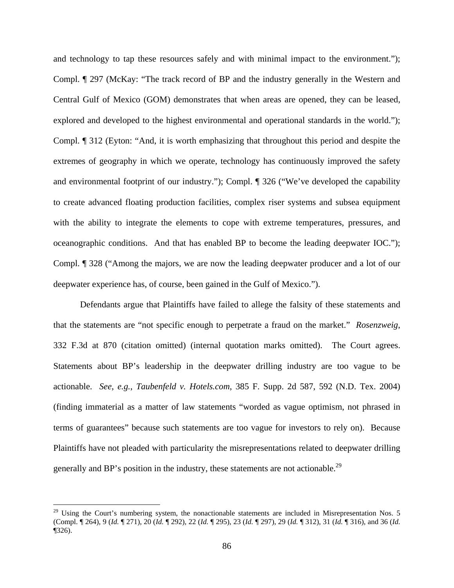and technology to tap these resources safely and with minimal impact to the environment."); Compl. ¶ 297 (McKay: "The track record of BP and the industry generally in the Western and Central Gulf of Mexico (GOM) demonstrates that when areas are opened, they can be leased, explored and developed to the highest environmental and operational standards in the world."); Compl. ¶ 312 (Eyton: "And, it is worth emphasizing that throughout this period and despite the extremes of geography in which we operate, technology has continuously improved the safety and environmental footprint of our industry."); Compl. ¶ 326 ("We've developed the capability to create advanced floating production facilities, complex riser systems and subsea equipment with the ability to integrate the elements to cope with extreme temperatures, pressures, and oceanographic conditions. And that has enabled BP to become the leading deepwater IOC."); Compl. ¶ 328 ("Among the majors, we are now the leading deepwater producer and a lot of our deepwater experience has, of course, been gained in the Gulf of Mexico.").

Defendants argue that Plaintiffs have failed to allege the falsity of these statements and that the statements are "not specific enough to perpetrate a fraud on the market." *Rosenzweig*, 332 F.3d at 870 (citation omitted) (internal quotation marks omitted). The Court agrees. Statements about BP's leadership in the deepwater drilling industry are too vague to be actionable. *See*, *e.g.*, *Taubenfeld v. Hotels.com*, 385 F. Supp. 2d 587, 592 (N.D. Tex. 2004) (finding immaterial as a matter of law statements "worded as vague optimism, not phrased in terms of guarantees" because such statements are too vague for investors to rely on). Because Plaintiffs have not pleaded with particularity the misrepresentations related to deepwater drilling generally and BP's position in the industry, these statements are not actionable.<sup>29</sup>

 $29$  Using the Court's numbering system, the nonactionable statements are included in Misrepresentation Nos. 5 (Compl. ¶ 264), 9 (*Id.* ¶ 271), 20 (*Id.* ¶ 292), 22 (*Id.* ¶ 295), 23 (*Id.* ¶ 297), 29 (*Id.* ¶ 312), 31 (*Id.* ¶ 316), and 36 (*Id.* ¶326).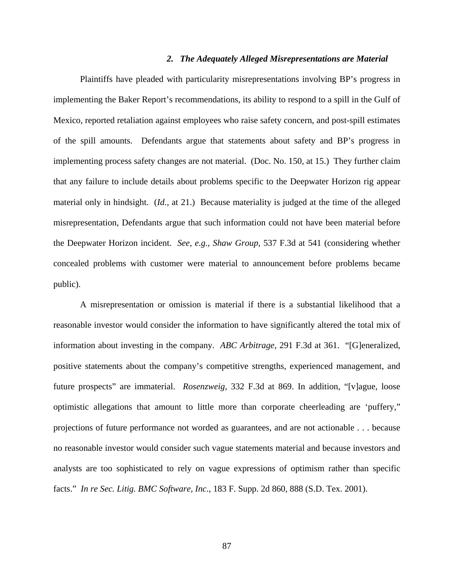## *2. The Adequately Alleged Misrepresentations are Material*

Plaintiffs have pleaded with particularity misrepresentations involving BP's progress in implementing the Baker Report's recommendations, its ability to respond to a spill in the Gulf of Mexico, reported retaliation against employees who raise safety concern, and post-spill estimates of the spill amounts. Defendants argue that statements about safety and BP's progress in implementing process safety changes are not material. (Doc. No. 150, at 15.) They further claim that any failure to include details about problems specific to the Deepwater Horizon rig appear material only in hindsight. (*Id.*, at 21.) Because materiality is judged at the time of the alleged misrepresentation, Defendants argue that such information could not have been material before the Deepwater Horizon incident. *See, e.g., Shaw Group*, 537 F.3d at 541 (considering whether concealed problems with customer were material to announcement before problems became public).

A misrepresentation or omission is material if there is a substantial likelihood that a reasonable investor would consider the information to have significantly altered the total mix of information about investing in the company. *ABC Arbitrage*, 291 F.3d at 361. "[G]eneralized, positive statements about the company's competitive strengths, experienced management, and future prospects" are immaterial. *Rosenzweig*, 332 F.3d at 869. In addition, "[v]ague, loose optimistic allegations that amount to little more than corporate cheerleading are 'puffery," projections of future performance not worded as guarantees, and are not actionable . . . because no reasonable investor would consider such vague statements material and because investors and analysts are too sophisticated to rely on vague expressions of optimism rather than specific facts." *In re Sec. Litig. BMC Software, Inc.*, 183 F. Supp. 2d 860, 888 (S.D. Tex. 2001).

87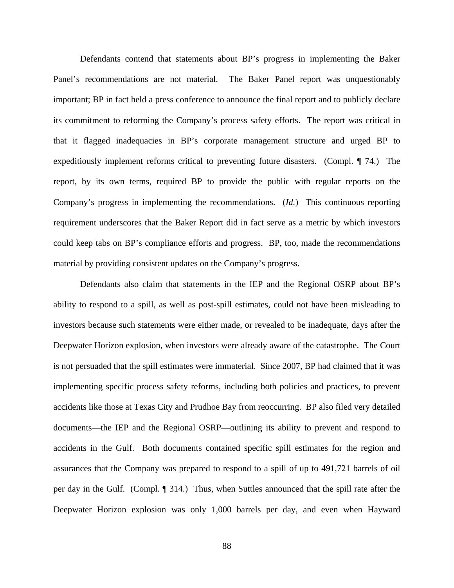Defendants contend that statements about BP's progress in implementing the Baker Panel's recommendations are not material. The Baker Panel report was unquestionably important; BP in fact held a press conference to announce the final report and to publicly declare its commitment to reforming the Company's process safety efforts. The report was critical in that it flagged inadequacies in BP's corporate management structure and urged BP to expeditiously implement reforms critical to preventing future disasters. (Compl. ¶ 74.) The report, by its own terms, required BP to provide the public with regular reports on the Company's progress in implementing the recommendations. (*Id.*)This continuous reporting requirement underscores that the Baker Report did in fact serve as a metric by which investors could keep tabs on BP's compliance efforts and progress. BP, too, made the recommendations material by providing consistent updates on the Company's progress.

Defendants also claim that statements in the IEP and the Regional OSRP about BP's ability to respond to a spill, as well as post-spill estimates, could not have been misleading to investors because such statements were either made, or revealed to be inadequate, days after the Deepwater Horizon explosion, when investors were already aware of the catastrophe. The Court is not persuaded that the spill estimates were immaterial. Since 2007, BP had claimed that it was implementing specific process safety reforms, including both policies and practices, to prevent accidents like those at Texas City and Prudhoe Bay from reoccurring. BP also filed very detailed documents—the IEP and the Regional OSRP—outlining its ability to prevent and respond to accidents in the Gulf. Both documents contained specific spill estimates for the region and assurances that the Company was prepared to respond to a spill of up to 491,721 barrels of oil per day in the Gulf. (Compl. ¶ 314.) Thus, when Suttles announced that the spill rate after the Deepwater Horizon explosion was only 1,000 barrels per day, and even when Hayward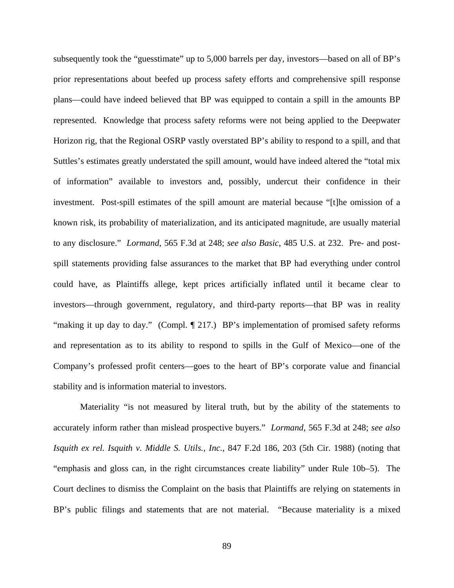subsequently took the "guesstimate" up to 5,000 barrels per day, investors—based on all of BP's prior representations about beefed up process safety efforts and comprehensive spill response plans—could have indeed believed that BP was equipped to contain a spill in the amounts BP represented. Knowledge that process safety reforms were not being applied to the Deepwater Horizon rig, that the Regional OSRP vastly overstated BP's ability to respond to a spill, and that Suttles's estimates greatly understated the spill amount, would have indeed altered the "total mix of information" available to investors and, possibly, undercut their confidence in their investment. Post-spill estimates of the spill amount are material because "[t]he omission of a known risk, its probability of materialization, and its anticipated magnitude, are usually material to any disclosure." *Lormand*, 565 F.3d at 248; *see also Basic*, 485 U.S. at 232. Pre- and postspill statements providing false assurances to the market that BP had everything under control could have, as Plaintiffs allege, kept prices artificially inflated until it became clear to investors—through government, regulatory, and third-party reports—that BP was in reality "making it up day to day." (Compl. ¶ 217.) BP's implementation of promised safety reforms and representation as to its ability to respond to spills in the Gulf of Mexico—one of the Company's professed profit centers—goes to the heart of BP's corporate value and financial stability and is information material to investors.

Materiality "is not measured by literal truth, but by the ability of the statements to accurately inform rather than mislead prospective buyers." *Lormand*, 565 F.3d at 248; *see also Isquith ex rel. Isquith v. Middle S. Utils., Inc.*, 847 F.2d 186, 203 (5th Cir. 1988) (noting that "emphasis and gloss can, in the right circumstances create liability" under Rule 10b–5). The Court declines to dismiss the Complaint on the basis that Plaintiffs are relying on statements in BP's public filings and statements that are not material. "Because materiality is a mixed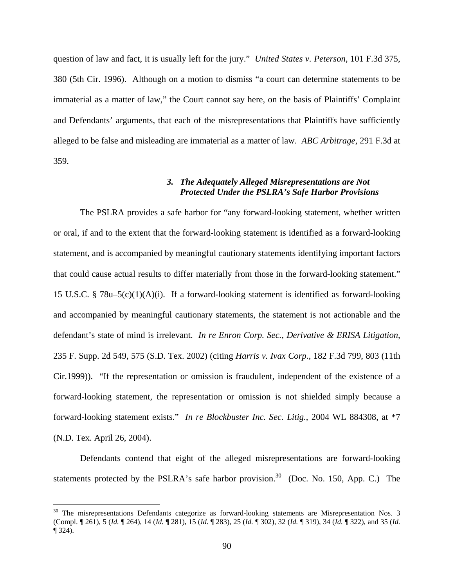question of law and fact, it is usually left for the jury." *United States v. Peterson*, 101 F.3d 375, 380 (5th Cir. 1996). Although on a motion to dismiss "a court can determine statements to be immaterial as a matter of law," the Court cannot say here, on the basis of Plaintiffs' Complaint and Defendants' arguments, that each of the misrepresentations that Plaintiffs have sufficiently alleged to be false and misleading are immaterial as a matter of law. *ABC Arbitrage*, 291 F.3d at 359.

# *3. The Adequately Alleged Misrepresentations are Not Protected Under the PSLRA's Safe Harbor Provisions*

The PSLRA provides a safe harbor for "any forward-looking statement, whether written or oral, if and to the extent that the forward-looking statement is identified as a forward-looking statement, and is accompanied by meaningful cautionary statements identifying important factors that could cause actual results to differ materially from those in the forward-looking statement." 15 U.S.C. § 78u–5(c)(1)(A)(i). If a forward-looking statement is identified as forward-looking and accompanied by meaningful cautionary statements, the statement is not actionable and the defendant's state of mind is irrelevant. *In re Enron Corp. Sec., Derivative & ERISA Litigation*, 235 F. Supp. 2d 549, 575 (S.D. Tex. 2002) (citing *Harris v. Ivax Corp.*, 182 F.3d 799, 803 (11th Cir.1999)). "If the representation or omission is fraudulent, independent of the existence of a forward-looking statement, the representation or omission is not shielded simply because a forward-looking statement exists." *In re Blockbuster Inc. Sec. Litig.*, 2004 WL 884308, at \*7 (N.D. Tex. April 26, 2004).

Defendants contend that eight of the alleged misrepresentations are forward-looking statements protected by the PSLRA's safe harbor provision. $30\,$  (Doc. No. 150, App. C.) The

1

 $30$  The misrepresentations Defendants categorize as forward-looking statements are Misrepresentation Nos. 3 (Compl. ¶ 261), 5 (*Id.* ¶ 264), 14 (*Id.* ¶ 281), 15 (*Id.* ¶ 283), 25 (*Id.* ¶ 302), 32 (*Id.* ¶ 319), 34 (*Id.* ¶ 322), and 35 (*Id.*  ¶ 324).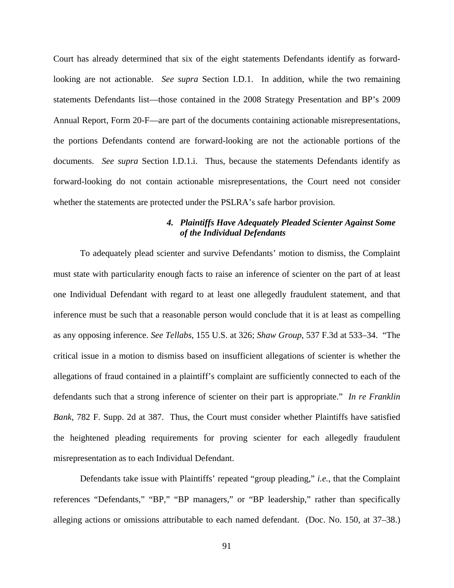Court has already determined that six of the eight statements Defendants identify as forwardlooking are not actionable. *See supra* Section I.D.1. In addition, while the two remaining statements Defendants list—those contained in the 2008 Strategy Presentation and BP's 2009 Annual Report, Form 20-F—are part of the documents containing actionable misrepresentations, the portions Defendants contend are forward-looking are not the actionable portions of the documents. *See supra* Section I.D.1.i. Thus, because the statements Defendants identify as forward-looking do not contain actionable misrepresentations, the Court need not consider whether the statements are protected under the PSLRA's safe harbor provision.

# *4. Plaintiffs Have Adequately Pleaded Scienter Against Some of the Individual Defendants*

To adequately plead scienter and survive Defendants' motion to dismiss, the Complaint must state with particularity enough facts to raise an inference of scienter on the part of at least one Individual Defendant with regard to at least one allegedly fraudulent statement, and that inference must be such that a reasonable person would conclude that it is at least as compelling as any opposing inference. *See Tellabs*, 155 U.S. at 326; *Shaw Group*, 537 F.3d at 533–34. "The critical issue in a motion to dismiss based on insufficient allegations of scienter is whether the allegations of fraud contained in a plaintiff's complaint are sufficiently connected to each of the defendants such that a strong inference of scienter on their part is appropriate." *In re Franklin Bank*, 782 F. Supp. 2d at 387. Thus, the Court must consider whether Plaintiffs have satisfied the heightened pleading requirements for proving scienter for each allegedly fraudulent misrepresentation as to each Individual Defendant.

Defendants take issue with Plaintiffs' repeated "group pleading," *i.e.*, that the Complaint references "Defendants," "BP," "BP managers," or "BP leadership," rather than specifically alleging actions or omissions attributable to each named defendant. (Doc. No. 150, at 37–38.)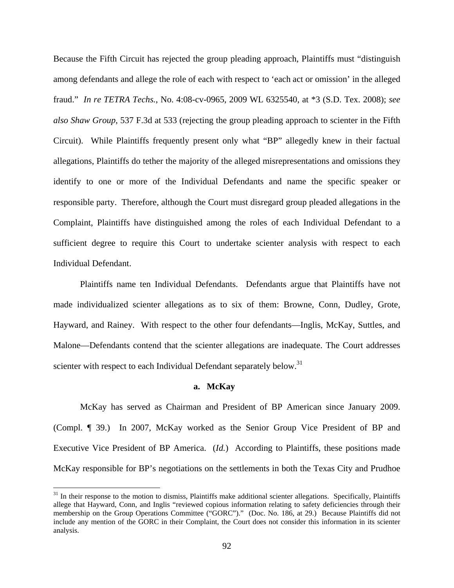Because the Fifth Circuit has rejected the group pleading approach, Plaintiffs must "distinguish among defendants and allege the role of each with respect to 'each act or omission' in the alleged fraud." *In re TETRA Techs.*, No. 4:08-cv-0965, 2009 WL 6325540, at \*3 (S.D. Tex. 2008); *see also Shaw Group*, 537 F.3d at 533 (rejecting the group pleading approach to scienter in the Fifth Circuit). While Plaintiffs frequently present only what "BP" allegedly knew in their factual allegations, Plaintiffs do tether the majority of the alleged misrepresentations and omissions they identify to one or more of the Individual Defendants and name the specific speaker or responsible party. Therefore, although the Court must disregard group pleaded allegations in the Complaint, Plaintiffs have distinguished among the roles of each Individual Defendant to a sufficient degree to require this Court to undertake scienter analysis with respect to each Individual Defendant.

Plaintiffs name ten Individual Defendants. Defendants argue that Plaintiffs have not made individualized scienter allegations as to six of them: Browne, Conn, Dudley, Grote, Hayward, and Rainey. With respect to the other four defendants—Inglis, McKay, Suttles, and Malone—Defendants contend that the scienter allegations are inadequate. The Court addresses scienter with respect to each Individual Defendant separately below.<sup>31</sup>

#### **a. McKay**

McKay has served as Chairman and President of BP American since January 2009. (Compl. ¶ 39.) In 2007, McKay worked as the Senior Group Vice President of BP and Executive Vice President of BP America. (*Id.*) According to Plaintiffs, these positions made McKay responsible for BP's negotiations on the settlements in both the Texas City and Prudhoe

<sup>&</sup>lt;sup>31</sup> In their response to the motion to dismiss, Plaintiffs make additional scienter allegations. Specifically, Plaintiffs allege that Hayward, Conn, and Inglis "reviewed copious information relating to safety deficiencies through their membership on the Group Operations Committee ("GORC")." (Doc. No. 186, at 29.) Because Plaintiffs did not include any mention of the GORC in their Complaint, the Court does not consider this information in its scienter analysis.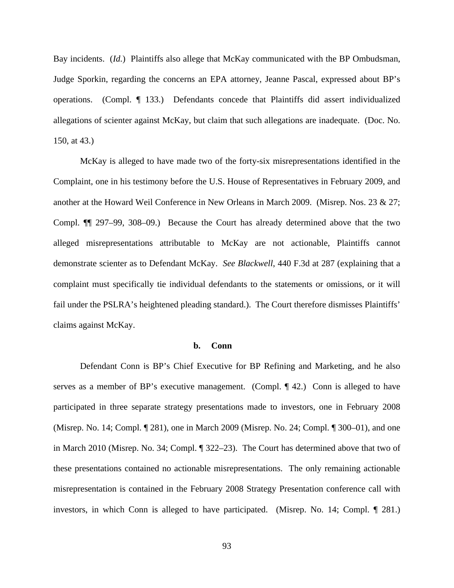Bay incidents. (*Id.*) Plaintiffs also allege that McKay communicated with the BP Ombudsman, Judge Sporkin, regarding the concerns an EPA attorney, Jeanne Pascal, expressed about BP's operations. (Compl. ¶ 133.) Defendants concede that Plaintiffs did assert individualized allegations of scienter against McKay, but claim that such allegations are inadequate. (Doc. No. 150, at 43.)

McKay is alleged to have made two of the forty-six misrepresentations identified in the Complaint, one in his testimony before the U.S. House of Representatives in February 2009, and another at the Howard Weil Conference in New Orleans in March 2009. (Misrep. Nos. 23 & 27; Compl. ¶¶ 297–99, 308–09.) Because the Court has already determined above that the two alleged misrepresentations attributable to McKay are not actionable, Plaintiffs cannot demonstrate scienter as to Defendant McKay. *See Blackwell*, 440 F.3d at 287 (explaining that a complaint must specifically tie individual defendants to the statements or omissions, or it will fail under the PSLRA's heightened pleading standard.).The Court therefore dismisses Plaintiffs' claims against McKay.

#### **b. Conn**

Defendant Conn is BP's Chief Executive for BP Refining and Marketing, and he also serves as a member of BP's executive management. (Compl.  $\P$  42.) Conn is alleged to have participated in three separate strategy presentations made to investors, one in February 2008 (Misrep. No. 14; Compl. ¶ 281), one in March 2009 (Misrep. No. 24; Compl. ¶ 300–01), and one in March 2010 (Misrep. No. 34; Compl. ¶ 322–23). The Court has determined above that two of these presentations contained no actionable misrepresentations. The only remaining actionable misrepresentation is contained in the February 2008 Strategy Presentation conference call with investors, in which Conn is alleged to have participated. (Misrep. No. 14; Compl. ¶ 281.)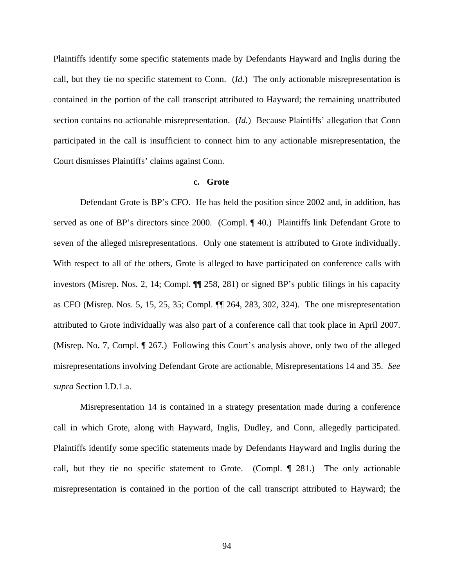Plaintiffs identify some specific statements made by Defendants Hayward and Inglis during the call, but they tie no specific statement to Conn. (*Id.*) The only actionable misrepresentation is contained in the portion of the call transcript attributed to Hayward; the remaining unattributed section contains no actionable misrepresentation. (*Id.*) Because Plaintiffs' allegation that Conn participated in the call is insufficient to connect him to any actionable misrepresentation, the Court dismisses Plaintiffs' claims against Conn.

## **c. Grote**

Defendant Grote is BP's CFO. He has held the position since 2002 and, in addition, has served as one of BP's directors since 2000. (Compl. ¶ 40.) Plaintiffs link Defendant Grote to seven of the alleged misrepresentations. Only one statement is attributed to Grote individually. With respect to all of the others, Grote is alleged to have participated on conference calls with investors (Misrep. Nos. 2, 14; Compl. ¶¶ 258, 281) or signed BP's public filings in his capacity as CFO (Misrep. Nos. 5, 15, 25, 35; Compl. ¶¶ 264, 283, 302, 324). The one misrepresentation attributed to Grote individually was also part of a conference call that took place in April 2007. (Misrep. No. 7, Compl. ¶ 267.) Following this Court's analysis above, only two of the alleged misrepresentations involving Defendant Grote are actionable, Misrepresentations 14 and 35. *See supra* Section I.D.1.a.

Misrepresentation 14 is contained in a strategy presentation made during a conference call in which Grote, along with Hayward, Inglis, Dudley, and Conn, allegedly participated. Plaintiffs identify some specific statements made by Defendants Hayward and Inglis during the call, but they tie no specific statement to Grote. (Compl. ¶ 281.) The only actionable misrepresentation is contained in the portion of the call transcript attributed to Hayward; the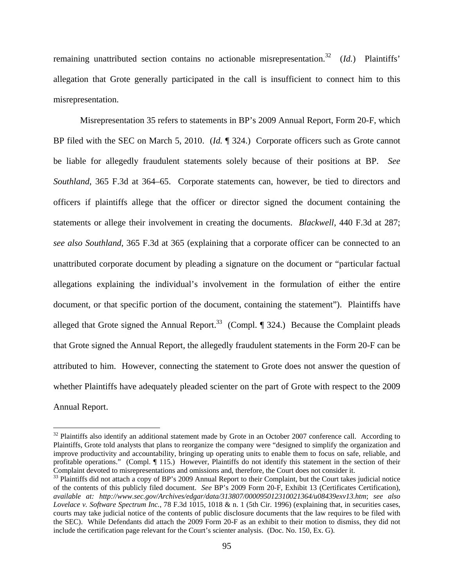remaining unattributed section contains no actionable misrepresentation.<sup>32</sup> (*Id.*) Plaintiffs' allegation that Grote generally participated in the call is insufficient to connect him to this misrepresentation.

Misrepresentation 35 refers to statements in BP's 2009 Annual Report, Form 20-F, which BP filed with the SEC on March 5, 2010. (*Id.* ¶ 324.) Corporate officers such as Grote cannot be liable for allegedly fraudulent statements solely because of their positions at BP. *See Southland*, 365 F.3d at 364–65. Corporate statements can, however, be tied to directors and officers if plaintiffs allege that the officer or director signed the document containing the statements or allege their involvement in creating the documents. *Blackwell*, 440 F.3d at 287; *see also Southland*, 365 F.3d at 365 (explaining that a corporate officer can be connected to an unattributed corporate document by pleading a signature on the document or "particular factual allegations explaining the individual's involvement in the formulation of either the entire document, or that specific portion of the document, containing the statement"). Plaintiffs have alleged that Grote signed the Annual Report.<sup>33</sup> (Compl. ¶ 324.) Because the Complaint pleads that Grote signed the Annual Report, the allegedly fraudulent statements in the Form 20-F can be attributed to him.However, connecting the statement to Grote does not answer the question of whether Plaintiffs have adequately pleaded scienter on the part of Grote with respect to the 2009 Annual Report.

 $32$  Plaintiffs also identify an additional statement made by Grote in an October 2007 conference call. According to Plaintiffs, Grote told analysts that plans to reorganize the company were "designed to simplify the organization and improve productivity and accountability, bringing up operating units to enable them to focus on safe, reliable, and profitable operations." (Compl. ¶ 115.) However, Plaintiffs do not identify this statement in the section of their<br>Complaint devoted to misrepresentations and omissions and, therefore, the Court does not consider it.

 $^{33}$  Plaintiffs did not attach a copy of BP's 2009 Annual Report to their Complaint, but the Court takes judicial notice of the contents of this publicly filed document. *See* BP's 2009 Form 20-F, Exhibit 13 (Certificates Certification), *available at: http://www.sec.gov/Archives/edgar/data/313807/000095012310021364/u08439exv13.htm*; *see also Lovelace v. Software Spectrum Inc.*, 78 F.3d 1015, 1018 & n. 1 (5th Cir. 1996) (explaining that, in securities cases, courts may take judicial notice of the contents of public disclosure documents that the law requires to be filed with the SEC). While Defendants did attach the 2009 Form 20-F as an exhibit to their motion to dismiss, they did not include the certification page relevant for the Court's scienter analysis. (Doc. No. 150, Ex. G).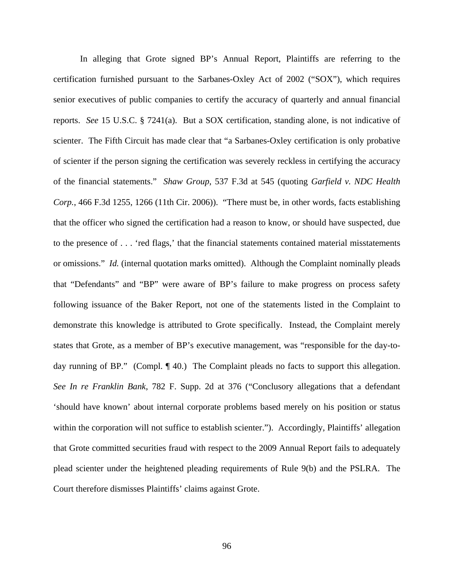In alleging that Grote signed BP's Annual Report, Plaintiffs are referring to the certification furnished pursuant to the Sarbanes-Oxley Act of 2002 ("SOX"), which requires senior executives of public companies to certify the accuracy of quarterly and annual financial reports. *See* 15 U.S.C. § 7241(a). But a SOX certification, standing alone, is not indicative of scienter. The Fifth Circuit has made clear that "a Sarbanes-Oxley certification is only probative of scienter if the person signing the certification was severely reckless in certifying the accuracy of the financial statements." *Shaw Group*, 537 F.3d at 545 (quoting *Garfield v. NDC Health Corp.*, 466 F.3d 1255, 1266 (11th Cir. 2006)). "There must be, in other words, facts establishing that the officer who signed the certification had a reason to know, or should have suspected, due to the presence of . . . 'red flags,' that the financial statements contained material misstatements or omissions." *Id.* (internal quotation marks omitted). Although the Complaint nominally pleads that "Defendants" and "BP" were aware of BP's failure to make progress on process safety following issuance of the Baker Report, not one of the statements listed in the Complaint to demonstrate this knowledge is attributed to Grote specifically. Instead, the Complaint merely states that Grote, as a member of BP's executive management, was "responsible for the day-today running of BP." (Compl. ¶ 40.) The Complaint pleads no facts to support this allegation. *See In re Franklin Bank*, 782 F. Supp. 2d at 376 ("Conclusory allegations that a defendant 'should have known' about internal corporate problems based merely on his position or status within the corporation will not suffice to establish scienter."). Accordingly, Plaintiffs' allegation that Grote committed securities fraud with respect to the 2009 Annual Report fails to adequately plead scienter under the heightened pleading requirements of Rule 9(b) and the PSLRA. The Court therefore dismisses Plaintiffs' claims against Grote.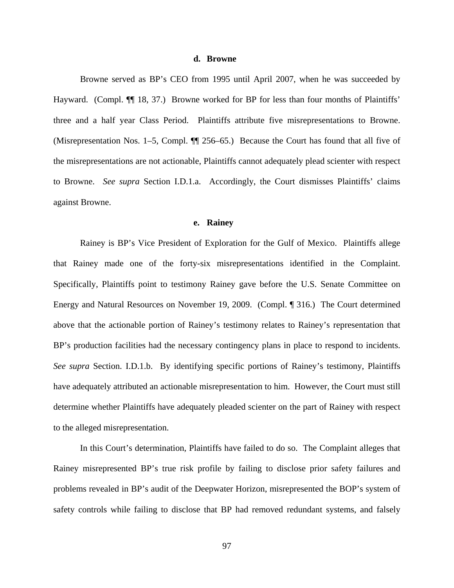## **d. Browne**

Browne served as BP's CEO from 1995 until April 2007, when he was succeeded by Hayward. (Compl. ¶ 18, 37.) Browne worked for BP for less than four months of Plaintiffs' three and a half year Class Period. Plaintiffs attribute five misrepresentations to Browne. (Misrepresentation Nos. 1–5, Compl. ¶¶ 256–65.) Because the Court has found that all five of the misrepresentations are not actionable, Plaintiffs cannot adequately plead scienter with respect to Browne. *See supra* Section I.D.1.a. Accordingly, the Court dismisses Plaintiffs' claims against Browne.

#### **e. Rainey**

Rainey is BP's Vice President of Exploration for the Gulf of Mexico. Plaintiffs allege that Rainey made one of the forty-six misrepresentations identified in the Complaint. Specifically, Plaintiffs point to testimony Rainey gave before the U.S. Senate Committee on Energy and Natural Resources on November 19, 2009. (Compl. ¶ 316.) The Court determined above that the actionable portion of Rainey's testimony relates to Rainey's representation that BP's production facilities had the necessary contingency plans in place to respond to incidents. *See supra* Section. I.D.1.b. By identifying specific portions of Rainey's testimony, Plaintiffs have adequately attributed an actionable misrepresentation to him. However, the Court must still determine whether Plaintiffs have adequately pleaded scienter on the part of Rainey with respect to the alleged misrepresentation.

In this Court's determination, Plaintiffs have failed to do so. The Complaint alleges that Rainey misrepresented BP's true risk profile by failing to disclose prior safety failures and problems revealed in BP's audit of the Deepwater Horizon, misrepresented the BOP's system of safety controls while failing to disclose that BP had removed redundant systems, and falsely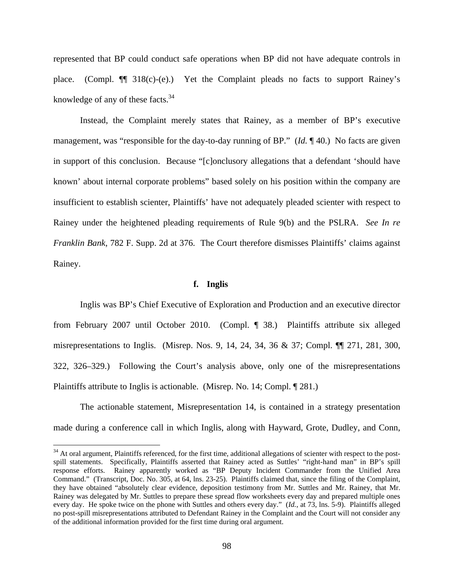represented that BP could conduct safe operations when BP did not have adequate controls in place. (Compl. ¶¶ 318(c)-(e).) Yet the Complaint pleads no facts to support Rainey's knowledge of any of these facts. $34$ 

Instead, the Complaint merely states that Rainey, as a member of BP's executive management, was "responsible for the day-to-day running of BP." (*Id.* ¶ 40.) No facts are given in support of this conclusion. Because "[c]onclusory allegations that a defendant 'should have known' about internal corporate problems" based solely on his position within the company are insufficient to establish scienter, Plaintiffs' have not adequately pleaded scienter with respect to Rainey under the heightened pleading requirements of Rule 9(b) and the PSLRA. *See In re Franklin Bank*, 782 F. Supp. 2d at 376. The Court therefore dismisses Plaintiffs' claims against Rainey.

## **f. Inglis**

Inglis was BP's Chief Executive of Exploration and Production and an executive director from February 2007 until October 2010. (Compl. ¶ 38.) Plaintiffs attribute six alleged misrepresentations to Inglis. (Misrep. Nos. 9, 14, 24, 34, 36 & 37; Compl. ¶¶ 271, 281, 300, 322, 326–329.) Following the Court's analysis above, only one of the misrepresentations Plaintiffs attribute to Inglis is actionable. (Misrep. No. 14; Compl. ¶ 281.)

The actionable statement, Misrepresentation 14, is contained in a strategy presentation made during a conference call in which Inglis, along with Hayward, Grote, Dudley, and Conn,

1

 $34$  At oral argument, Plaintiffs referenced, for the first time, additional allegations of scienter with respect to the postspill statements. Specifically, Plaintiffs asserted that Rainey acted as Suttles' "right-hand man" in BP's spill response efforts. Rainey apparently worked as "BP Deputy Incident Commander from the Unified Area Command." (Transcript, Doc. No. 305, at 64, lns. 23-25). Plaintiffs claimed that, since the filing of the Complaint, they have obtained "absolutely clear evidence, deposition testimony from Mr. Suttles and Mr. Rainey, that Mr. Rainey was delegated by Mr. Suttles to prepare these spread flow worksheets every day and prepared multiple ones every day. He spoke twice on the phone with Suttles and others every day." (*Id.*, at 73, lns. 5-9). Plaintiffs alleged no post-spill misrepresentations attributed to Defendant Rainey in the Complaint and the Court will not consider any of the additional information provided for the first time during oral argument.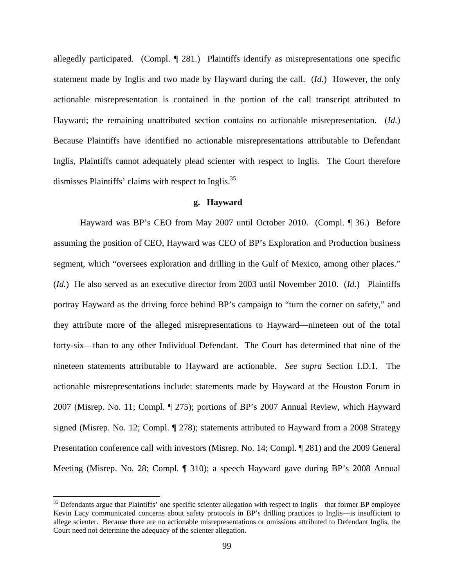allegedly participated. (Compl. ¶ 281.) Plaintiffs identify as misrepresentations one specific statement made by Inglis and two made by Hayward during the call. (*Id.*) However, the only actionable misrepresentation is contained in the portion of the call transcript attributed to Hayward; the remaining unattributed section contains no actionable misrepresentation. (*Id.*) Because Plaintiffs have identified no actionable misrepresentations attributable to Defendant Inglis, Plaintiffs cannot adequately plead scienter with respect to Inglis. The Court therefore dismisses Plaintiffs' claims with respect to Inglis.<sup>35</sup>

#### **g. Hayward**

Hayward was BP's CEO from May 2007 until October 2010. (Compl. ¶ 36.) Before assuming the position of CEO, Hayward was CEO of BP's Exploration and Production business segment, which "oversees exploration and drilling in the Gulf of Mexico, among other places." (*Id.*)He also served as an executive director from 2003 until November 2010. (*Id.*) Plaintiffs portray Hayward as the driving force behind BP's campaign to "turn the corner on safety," and they attribute more of the alleged misrepresentations to Hayward—nineteen out of the total forty-six—than to any other Individual Defendant. The Court has determined that nine of the nineteen statements attributable to Hayward are actionable. *See supra* Section I.D.1. The actionable misrepresentations include: statements made by Hayward at the Houston Forum in 2007 (Misrep. No. 11; Compl. ¶ 275); portions of BP's 2007 Annual Review, which Hayward signed (Misrep. No. 12; Compl. ¶ 278); statements attributed to Hayward from a 2008 Strategy Presentation conference call with investors (Misrep. No. 14; Compl. ¶ 281) and the 2009 General Meeting (Misrep. No. 28; Compl. ¶ 310); a speech Hayward gave during BP's 2008 Annual

<sup>&</sup>lt;sup>35</sup> Defendants argue that Plaintiffs' one specific scienter allegation with respect to Inglis—that former BP employee Kevin Lacy communicated concerns about safety protocols in BP's drilling practices to Inglis—is insufficient to allege scienter. Because there are no actionable misrepresentations or omissions attributed to Defendant Inglis, the Court need not determine the adequacy of the scienter allegation.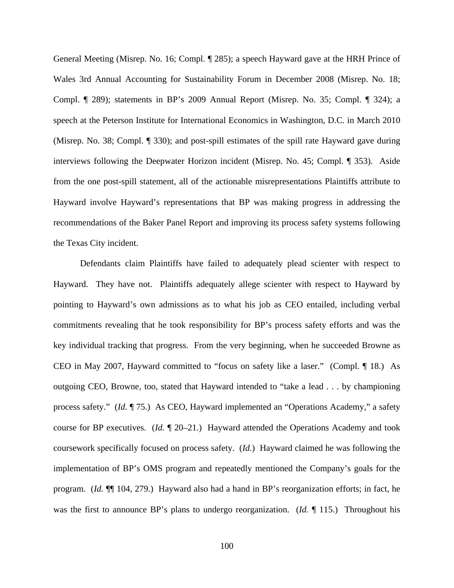General Meeting (Misrep. No. 16; Compl. ¶ 285); a speech Hayward gave at the HRH Prince of Wales 3rd Annual Accounting for Sustainability Forum in December 2008 (Misrep. No. 18; Compl. ¶ 289); statements in BP's 2009 Annual Report (Misrep. No. 35; Compl. ¶ 324); a speech at the Peterson Institute for International Economics in Washington, D.C. in March 2010 (Misrep. No. 38; Compl. ¶ 330); and post-spill estimates of the spill rate Hayward gave during interviews following the Deepwater Horizon incident (Misrep. No. 45; Compl. ¶ 353). Aside from the one post-spill statement, all of the actionable misrepresentations Plaintiffs attribute to Hayward involve Hayward's representations that BP was making progress in addressing the recommendations of the Baker Panel Report and improving its process safety systems following the Texas City incident.

Defendants claim Plaintiffs have failed to adequately plead scienter with respect to Hayward. They have not. Plaintiffs adequately allege scienter with respect to Hayward by pointing to Hayward's own admissions as to what his job as CEO entailed, including verbal commitments revealing that he took responsibility for BP's process safety efforts and was the key individual tracking that progress. From the very beginning, when he succeeded Browne as CEO in May 2007, Hayward committed to "focus on safety like a laser." (Compl. ¶ 18.) As outgoing CEO, Browne, too, stated that Hayward intended to "take a lead . . . by championing process safety." (*Id.* ¶ 75.) As CEO, Hayward implemented an "Operations Academy," a safety course for BP executives. (*Id.* ¶ 20–21.) Hayward attended the Operations Academy and took coursework specifically focused on process safety. (*Id.*) Hayward claimed he was following the implementation of BP's OMS program and repeatedly mentioned the Company's goals for the program. (*Id.* ¶¶ 104, 279.) Hayward also had a hand in BP's reorganization efforts; in fact, he was the first to announce BP's plans to undergo reorganization. (*Id.* ¶ 115.) Throughout his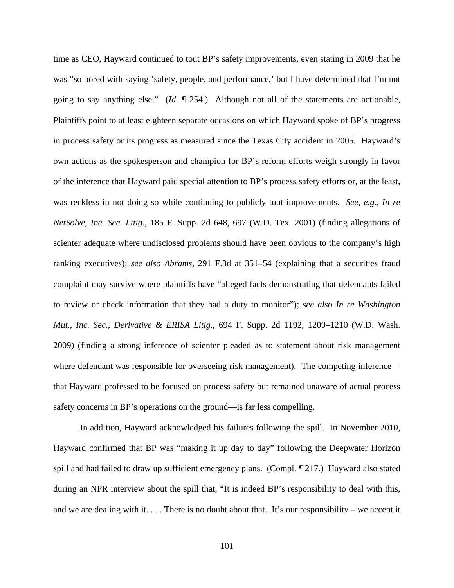time as CEO, Hayward continued to tout BP's safety improvements, even stating in 2009 that he was "so bored with saying 'safety, people, and performance,' but I have determined that I'm not going to say anything else." (*Id.* ¶ 254.) Although not all of the statements are actionable, Plaintiffs point to at least eighteen separate occasions on which Hayward spoke of BP's progress in process safety or its progress as measured since the Texas City accident in 2005. Hayward's own actions as the spokesperson and champion for BP's reform efforts weigh strongly in favor of the inference that Hayward paid special attention to BP's process safety efforts or, at the least, was reckless in not doing so while continuing to publicly tout improvements. *See*, *e.g.*, *In re NetSolve, Inc. Sec. Litig.*, 185 F. Supp. 2d 648, 697 (W.D. Tex. 2001) (finding allegations of scienter adequate where undisclosed problems should have been obvious to the company's high ranking executives); *see also Abrams*, 291 F.3d at 351–54 (explaining that a securities fraud complaint may survive where plaintiffs have "alleged facts demonstrating that defendants failed to review or check information that they had a duty to monitor"); *see also In re Washington Mut., Inc. Sec., Derivative & ERISA Litig.*, 694 F. Supp. 2d 1192, 1209–1210 (W.D. Wash. 2009) (finding a strong inference of scienter pleaded as to statement about risk management where defendant was responsible for overseeing risk management). The competing inference that Hayward professed to be focused on process safety but remained unaware of actual process safety concerns in BP's operations on the ground—is far less compelling.

In addition, Hayward acknowledged his failures following the spill. In November 2010, Hayward confirmed that BP was "making it up day to day" following the Deepwater Horizon spill and had failed to draw up sufficient emergency plans. (Compl.  $\llbracket 217$ .) Hayward also stated during an NPR interview about the spill that, "It is indeed BP's responsibility to deal with this, and we are dealing with it.  $\dots$ . There is no doubt about that. It's our responsibility – we accept it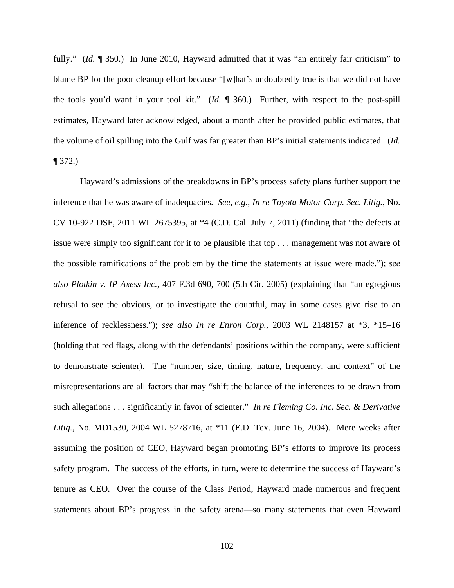fully." (*Id.* ¶ 350.) In June 2010, Hayward admitted that it was "an entirely fair criticism" to blame BP for the poor cleanup effort because "[w]hat's undoubtedly true is that we did not have the tools you'd want in your tool kit." (*Id.* ¶ 360.) Further, with respect to the post-spill estimates, Hayward later acknowledged, about a month after he provided public estimates, that the volume of oil spilling into the Gulf was far greater than BP's initial statements indicated. (*Id.*  ¶ 372.)

Hayward's admissions of the breakdowns in BP's process safety plans further support the inference that he was aware of inadequacies. *See*, *e.g.*, *In re Toyota Motor Corp. Sec. Litig.*, No. CV 10-922 DSF, 2011 WL 2675395, at \*4 (C.D. Cal. July 7, 2011) (finding that "the defects at issue were simply too significant for it to be plausible that top . . . management was not aware of the possible ramifications of the problem by the time the statements at issue were made."); *see also Plotkin v. IP Axess Inc.*, 407 F.3d 690, 700 (5th Cir. 2005) (explaining that "an egregious refusal to see the obvious, or to investigate the doubtful, may in some cases give rise to an inference of recklessness."); *see also In re Enron Corp.*, 2003 WL 2148157 at \*3, \*15–16 (holding that red flags, along with the defendants' positions within the company, were sufficient to demonstrate scienter). The "number, size, timing, nature, frequency, and context" of the misrepresentations are all factors that may "shift the balance of the inferences to be drawn from such allegations . . . significantly in favor of scienter." *In re Fleming Co. Inc. Sec. & Derivative Litig.*, No. MD1530, 2004 WL 5278716, at \*11 (E.D. Tex. June 16, 2004). Mere weeks after assuming the position of CEO, Hayward began promoting BP's efforts to improve its process safety program. The success of the efforts, in turn, were to determine the success of Hayward's tenure as CEO. Over the course of the Class Period, Hayward made numerous and frequent statements about BP's progress in the safety arena—so many statements that even Hayward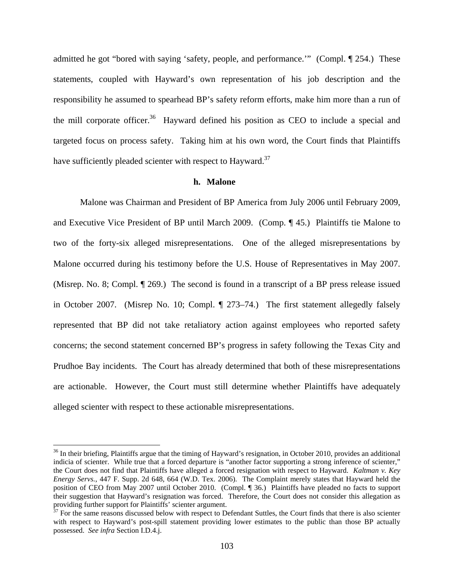admitted he got "bored with saying 'safety, people, and performance.'" (Compl. ¶ 254.) These statements, coupled with Hayward's own representation of his job description and the responsibility he assumed to spearhead BP's safety reform efforts, make him more than a run of the mill corporate officer.<sup>36</sup> Hayward defined his position as CEO to include a special and targeted focus on process safety. Taking him at his own word, the Court finds that Plaintiffs have sufficiently pleaded scienter with respect to Hayward.<sup>37</sup>

## **h. Malone**

Malone was Chairman and President of BP America from July 2006 until February 2009, and Executive Vice President of BP until March 2009. (Comp. ¶ 45.) Plaintiffs tie Malone to two of the forty-six alleged misrepresentations. One of the alleged misrepresentations by Malone occurred during his testimony before the U.S. House of Representatives in May 2007. (Misrep. No. 8; Compl. ¶ 269.) The second is found in a transcript of a BP press release issued in October 2007. (Misrep No. 10; Compl. ¶ 273–74.) The first statement allegedly falsely represented that BP did not take retaliatory action against employees who reported safety concerns; the second statement concerned BP's progress in safety following the Texas City and Prudhoe Bay incidents. The Court has already determined that both of these misrepresentations are actionable. However, the Court must still determine whether Plaintiffs have adequately alleged scienter with respect to these actionable misrepresentations.

 $36$  In their briefing, Plaintiffs argue that the timing of Hayward's resignation, in October 2010, provides an additional indicia of scienter. While true that a forced departure is "another factor supporting a strong inference of scienter," the Court does not find that Plaintiffs have alleged a forced resignation with respect to Hayward. *Kaltman v. Key Energy Servs.*, 447 F. Supp. 2d 648, 664 (W.D. Tex. 2006). The Complaint merely states that Hayward held the position of CEO from May 2007 until October 2010. (Compl. ¶ 36.) Plaintiffs have pleaded no facts to support their suggestion that Hayward's resignation was forced. Therefore, the Court does not consider this allegation as providing further support for Plaintiffs' scienter argument.<br><sup>37</sup> For the same reasons discussed below with respect to Defendant Suttles, the Court finds that there is also scienter

with respect to Hayward's post-spill statement providing lower estimates to the public than those BP actually possessed. *See infra* Section I.D.4.j.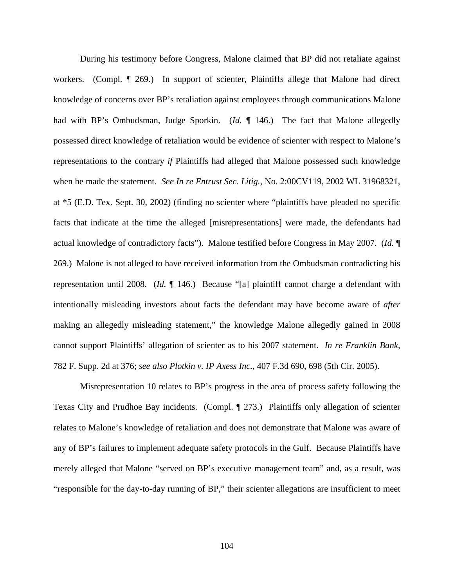During his testimony before Congress, Malone claimed that BP did not retaliate against workers. (Compl. ¶ 269.) In support of scienter, Plaintiffs allege that Malone had direct knowledge of concerns over BP's retaliation against employees through communications Malone had with BP's Ombudsman, Judge Sporkin. (*Id.* ¶ 146.) The fact that Malone allegedly possessed direct knowledge of retaliation would be evidence of scienter with respect to Malone's representations to the contrary *if* Plaintiffs had alleged that Malone possessed such knowledge when he made the statement. *See In re Entrust Sec. Litig.*, No. 2:00CV119, 2002 WL 31968321, at \*5 (E.D. Tex. Sept. 30, 2002) (finding no scienter where "plaintiffs have pleaded no specific facts that indicate at the time the alleged [misrepresentations] were made, the defendants had actual knowledge of contradictory facts"). Malone testified before Congress in May 2007. (*Id.* ¶ 269.) Malone is not alleged to have received information from the Ombudsman contradicting his representation until 2008. (*Id.* ¶ 146.) Because "[a] plaintiff cannot charge a defendant with intentionally misleading investors about facts the defendant may have become aware of *after*  making an allegedly misleading statement," the knowledge Malone allegedly gained in 2008 cannot support Plaintiffs' allegation of scienter as to his 2007 statement. *In re Franklin Bank*, 782 F. Supp. 2d at 376; *see also Plotkin v. IP Axess Inc.*, 407 F.3d 690, 698 (5th Cir. 2005).

Misrepresentation 10 relates to BP's progress in the area of process safety following the Texas City and Prudhoe Bay incidents. (Compl. ¶ 273.) Plaintiffs only allegation of scienter relates to Malone's knowledge of retaliation and does not demonstrate that Malone was aware of any of BP's failures to implement adequate safety protocols in the Gulf. Because Plaintiffs have merely alleged that Malone "served on BP's executive management team" and, as a result, was "responsible for the day-to-day running of BP," their scienter allegations are insufficient to meet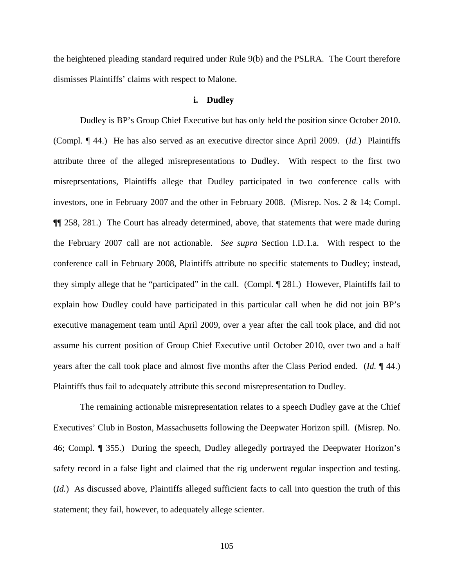the heightened pleading standard required under Rule 9(b) and the PSLRA. The Court therefore dismisses Plaintiffs' claims with respect to Malone.

## **i. Dudley**

Dudley is BP's Group Chief Executive but has only held the position since October 2010. (Compl. ¶ 44.) He has also served as an executive director since April 2009. (*Id.*) Plaintiffs attribute three of the alleged misrepresentations to Dudley. With respect to the first two misreprsentations, Plaintiffs allege that Dudley participated in two conference calls with investors, one in February 2007 and the other in February 2008. (Misrep. Nos. 2 & 14; Compl. ¶¶ 258, 281.) The Court has already determined, above, that statements that were made during the February 2007 call are not actionable. *See supra* Section I.D.1.a. With respect to the conference call in February 2008, Plaintiffs attribute no specific statements to Dudley; instead, they simply allege that he "participated" in the call. (Compl. ¶ 281.) However, Plaintiffs fail to explain how Dudley could have participated in this particular call when he did not join BP's executive management team until April 2009, over a year after the call took place, and did not assume his current position of Group Chief Executive until October 2010, over two and a half years after the call took place and almost five months after the Class Period ended. (*Id.* ¶ 44.) Plaintiffs thus fail to adequately attribute this second misrepresentation to Dudley.

The remaining actionable misrepresentation relates to a speech Dudley gave at the Chief Executives' Club in Boston, Massachusetts following the Deepwater Horizon spill. (Misrep. No. 46; Compl. ¶ 355.) During the speech, Dudley allegedly portrayed the Deepwater Horizon's safety record in a false light and claimed that the rig underwent regular inspection and testing. (*Id.*) As discussed above, Plaintiffs alleged sufficient facts to call into question the truth of this statement; they fail, however, to adequately allege scienter.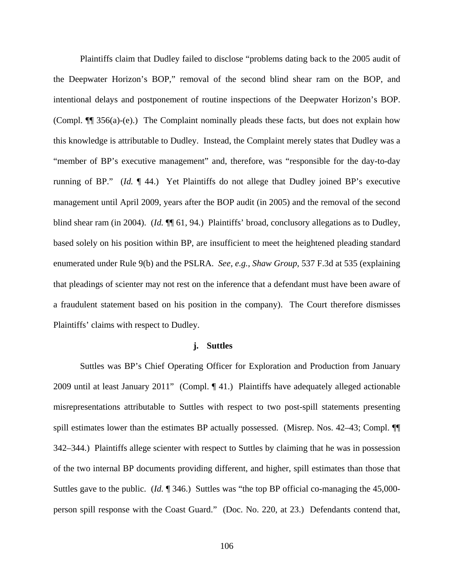Plaintiffs claim that Dudley failed to disclose "problems dating back to the 2005 audit of the Deepwater Horizon's BOP," removal of the second blind shear ram on the BOP, and intentional delays and postponement of routine inspections of the Deepwater Horizon's BOP. (Compl. ¶¶ 356(a)-(e).) The Complaint nominally pleads these facts, but does not explain how this knowledge is attributable to Dudley. Instead, the Complaint merely states that Dudley was a "member of BP's executive management" and, therefore, was "responsible for the day-to-day running of BP." (*Id.* ¶ 44.) Yet Plaintiffs do not allege that Dudley joined BP's executive management until April 2009, years after the BOP audit (in 2005) and the removal of the second blind shear ram (in 2004). (*Id.* **[1]** 61, 94.) Plaintiffs' broad, conclusory allegations as to Dudley, based solely on his position within BP, are insufficient to meet the heightened pleading standard enumerated under Rule 9(b) and the PSLRA. *See*, *e.g.*, *Shaw Group*, 537 F.3d at 535 (explaining that pleadings of scienter may not rest on the inference that a defendant must have been aware of a fraudulent statement based on his position in the company). The Court therefore dismisses Plaintiffs' claims with respect to Dudley.

### **j. Suttles**

Suttles was BP's Chief Operating Officer for Exploration and Production from January 2009 until at least January 2011" (Compl. ¶ 41.) Plaintiffs have adequately alleged actionable misrepresentations attributable to Suttles with respect to two post-spill statements presenting spill estimates lower than the estimates BP actually possessed. (Misrep. Nos. 42–43; Compl.  $\P$ 342–344.) Plaintiffs allege scienter with respect to Suttles by claiming that he was in possession of the two internal BP documents providing different, and higher, spill estimates than those that Suttles gave to the public. (*Id.*  $\sqrt{ }$  346.) Suttles was "the top BP official co-managing the 45,000person spill response with the Coast Guard." (Doc. No. 220, at 23.) Defendants contend that,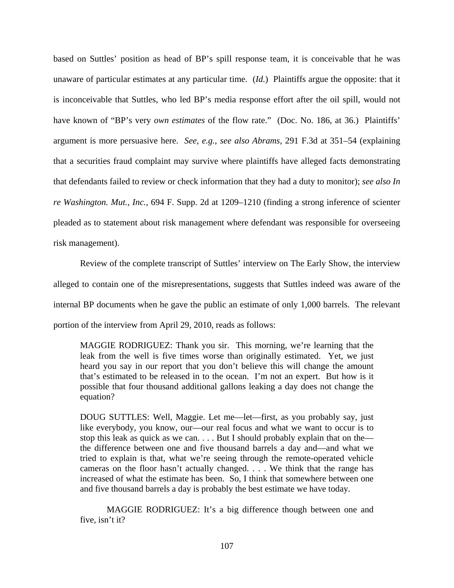based on Suttles' position as head of BP's spill response team, it is conceivable that he was unaware of particular estimates at any particular time. (*Id.*) Plaintiffs argue the opposite: that it is inconceivable that Suttles, who led BP's media response effort after the oil spill, would not have known of "BP's very *own estimates* of the flow rate." (Doc. No. 186, at 36.) Plaintiffs' argument is more persuasive here. *See*, *e.g.*, *see also Abrams*, 291 F.3d at 351–54 (explaining that a securities fraud complaint may survive where plaintiffs have alleged facts demonstrating that defendants failed to review or check information that they had a duty to monitor); *see also In re Washington. Mut., Inc.*, 694 F. Supp. 2d at 1209–1210 (finding a strong inference of scienter pleaded as to statement about risk management where defendant was responsible for overseeing risk management).

Review of the complete transcript of Suttles' interview on The Early Show, the interview alleged to contain one of the misrepresentations, suggests that Suttles indeed was aware of the internal BP documents when he gave the public an estimate of only 1,000 barrels. The relevant portion of the interview from April 29, 2010, reads as follows:

MAGGIE RODRIGUEZ: Thank you sir. This morning, we're learning that the leak from the well is five times worse than originally estimated. Yet, we just heard you say in our report that you don't believe this will change the amount that's estimated to be released in to the ocean. I'm not an expert. But how is it possible that four thousand additional gallons leaking a day does not change the equation?

DOUG SUTTLES: Well, Maggie. Let me—let—first, as you probably say, just like everybody, you know, our—our real focus and what we want to occur is to stop this leak as quick as we can. . . . But I should probably explain that on the the difference between one and five thousand barrels a day and—and what we tried to explain is that, what we're seeing through the remote-operated vehicle cameras on the floor hasn't actually changed. . . . We think that the range has increased of what the estimate has been. So, I think that somewhere between one and five thousand barrels a day is probably the best estimate we have today.

MAGGIE RODRIGUEZ: It's a big difference though between one and five, isn't it?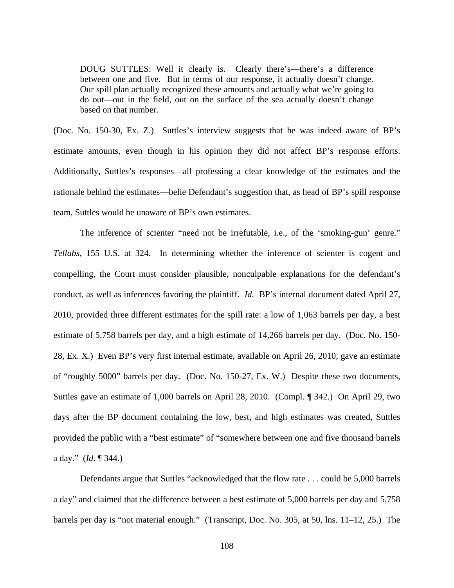DOUG SUTTLES: Well it clearly is. Clearly there's—there's a difference between one and five. But in terms of our response, it actually doesn't change. Our spill plan actually recognized these amounts and actually what we're going to do out—out in the field, out on the surface of the sea actually doesn't change based on that number.

(Doc. No. 150-30, Ex. Z.) Suttles's interview suggests that he was indeed aware of BP's estimate amounts, even though in his opinion they did not affect BP's response efforts. Additionally, Suttles's responses—all professing a clear knowledge of the estimates and the rationale behind the estimates—belie Defendant's suggestion that, as head of BP's spill response team, Suttles would be unaware of BP's own estimates.

The inference of scienter "need not be irrefutable, i.e., of the 'smoking-gun' genre." *Tellabs*, 155 U.S. at 324. In determining whether the inference of scienter is cogent and compelling, the Court must consider plausible, nonculpable explanations for the defendant's conduct, as well as inferences favoring the plaintiff. *Id.* BP's internal document dated April 27, 2010, provided three different estimates for the spill rate: a low of 1,063 barrels per day, a best estimate of 5,758 barrels per day, and a high estimate of 14,266 barrels per day. (Doc. No. 150- 28, Ex. X.) Even BP's very first internal estimate, available on April 26, 2010, gave an estimate of "roughly 5000" barrels per day. (Doc. No. 150-27, Ex. W.) Despite these two documents, Suttles gave an estimate of 1,000 barrels on April 28, 2010. (Compl. ¶ 342.) On April 29, two days after the BP document containing the low, best, and high estimates was created, Suttles provided the public with a "best estimate" of "somewhere between one and five thousand barrels a day." (*Id.* ¶ 344.)

Defendants argue that Suttles "acknowledged that the flow rate . . . could be 5,000 barrels a day" and claimed that the difference between a best estimate of 5,000 barrels per day and 5,758 barrels per day is "not material enough." (Transcript, Doc. No. 305, at 50, lns. 11–12, 25.) The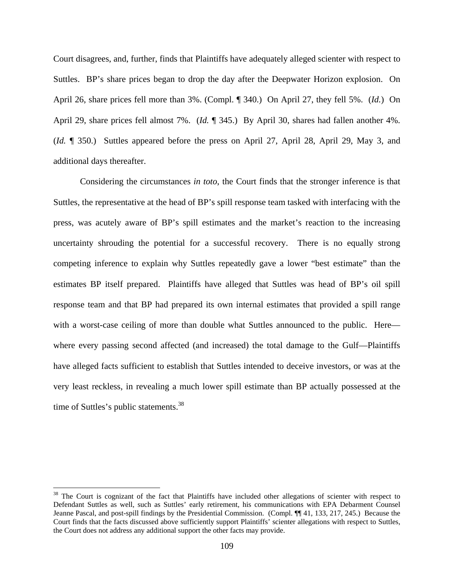Court disagrees, and, further, finds that Plaintiffs have adequately alleged scienter with respect to Suttles. BP's share prices began to drop the day after the Deepwater Horizon explosion. On April 26, share prices fell more than 3%. (Compl. ¶ 340.) On April 27, they fell 5%. (*Id.*) On April 29, share prices fell almost 7%. (*Id.* ¶ 345.) By April 30, shares had fallen another 4%. (*Id.* ¶ 350.) Suttles appeared before the press on April 27, April 28, April 29, May 3, and additional days thereafter.

Considering the circumstances *in toto*, the Court finds that the stronger inference is that Suttles, the representative at the head of BP's spill response team tasked with interfacing with the press, was acutely aware of BP's spill estimates and the market's reaction to the increasing uncertainty shrouding the potential for a successful recovery. There is no equally strong competing inference to explain why Suttles repeatedly gave a lower "best estimate" than the estimates BP itself prepared. Plaintiffs have alleged that Suttles was head of BP's oil spill response team and that BP had prepared its own internal estimates that provided a spill range with a worst-case ceiling of more than double what Suttles announced to the public. Here where every passing second affected (and increased) the total damage to the Gulf—Plaintiffs have alleged facts sufficient to establish that Suttles intended to deceive investors, or was at the very least reckless, in revealing a much lower spill estimate than BP actually possessed at the time of Suttles's public statements.<sup>38</sup>

1

<sup>&</sup>lt;sup>38</sup> The Court is cognizant of the fact that Plaintiffs have included other allegations of scienter with respect to Defendant Suttles as well, such as Suttles' early retirement, his communications with EPA Debarment Counsel Jeanne Pascal, and post-spill findings by the Presidential Commission. (Compl. ¶¶ 41, 133, 217, 245.) Because the Court finds that the facts discussed above sufficiently support Plaintiffs' scienter allegations with respect to Suttles, the Court does not address any additional support the other facts may provide.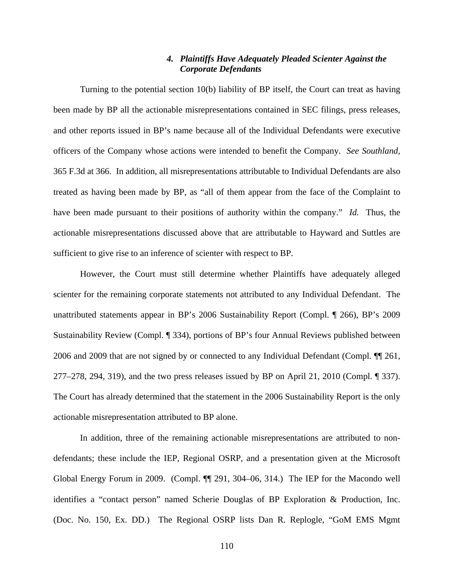## *4. Plaintiffs Have Adequately Pleaded Scienter Against the Corporate Defendants*

Turning to the potential section 10(b) liability of BP itself, the Court can treat as having been made by BP all the actionable misrepresentations contained in SEC filings, press releases, and other reports issued in BP's name because all of the Individual Defendants were executive officers of the Company whose actions were intended to benefit the Company. *See Southland*, 365 F.3d at 366. In addition, all misrepresentations attributable to Individual Defendants are also treated as having been made by BP, as "all of them appear from the face of the Complaint to have been made pursuant to their positions of authority within the company." *Id.* Thus, the actionable misrepresentations discussed above that are attributable to Hayward and Suttles are sufficient to give rise to an inference of scienter with respect to BP.

However, the Court must still determine whether Plaintiffs have adequately alleged scienter for the remaining corporate statements not attributed to any Individual Defendant. The unattributed statements appear in BP's 2006 Sustainability Report (Compl. ¶ 266), BP's 2009 Sustainability Review (Compl. ¶ 334), portions of BP's four Annual Reviews published between 2006 and 2009 that are not signed by or connected to any Individual Defendant (Compl. ¶¶ 261, 277–278, 294, 319), and the two press releases issued by BP on April 21, 2010 (Compl. ¶ 337). The Court has already determined that the statement in the 2006 Sustainability Report is the only actionable misrepresentation attributed to BP alone.

In addition, three of the remaining actionable misrepresentations are attributed to nondefendants; these include the IEP, Regional OSRP, and a presentation given at the Microsoft Global Energy Forum in 2009. (Compl. ¶¶ 291, 304–06, 314.) The IEP for the Macondo well identifies a "contact person" named Scherie Douglas of BP Exploration & Production, Inc. (Doc. No. 150, Ex. DD.) The Regional OSRP lists Dan R. Replogle, "GoM EMS Mgmt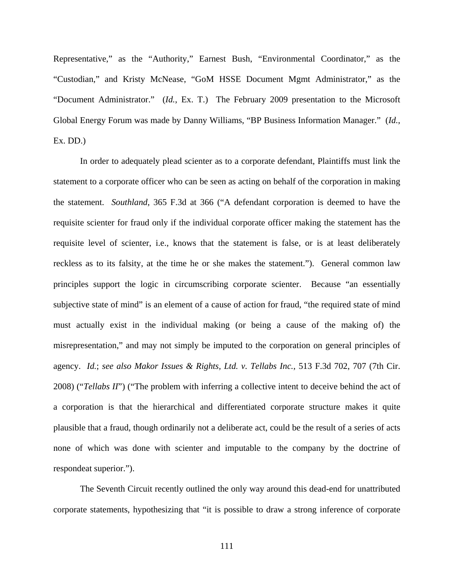Representative," as the "Authority," Earnest Bush, "Environmental Coordinator," as the "Custodian," and Kristy McNease, "GoM HSSE Document Mgmt Administrator," as the "Document Administrator." (*Id.*, Ex. T.) The February 2009 presentation to the Microsoft Global Energy Forum was made by Danny Williams, "BP Business Information Manager." (*Id.*, Ex. DD.)

In order to adequately plead scienter as to a corporate defendant, Plaintiffs must link the statement to a corporate officer who can be seen as acting on behalf of the corporation in making the statement. *Southland*, 365 F.3d at 366 ("A defendant corporation is deemed to have the requisite scienter for fraud only if the individual corporate officer making the statement has the requisite level of scienter, i.e., knows that the statement is false, or is at least deliberately reckless as to its falsity, at the time he or she makes the statement."). General common law principles support the logic in circumscribing corporate scienter. Because "an essentially subjective state of mind" is an element of a cause of action for fraud, "the required state of mind must actually exist in the individual making (or being a cause of the making of) the misrepresentation," and may not simply be imputed to the corporation on general principles of agency. *Id.*; *see also Makor Issues & Rights, Ltd. v. Tellabs Inc.*, 513 F.3d 702, 707 (7th Cir. 2008) ("*Tellabs II*") ("The problem with inferring a collective intent to deceive behind the act of a corporation is that the hierarchical and differentiated corporate structure makes it quite plausible that a fraud, though ordinarily not a deliberate act, could be the result of a series of acts none of which was done with scienter and imputable to the company by the doctrine of respondeat superior.").

The Seventh Circuit recently outlined the only way around this dead-end for unattributed corporate statements, hypothesizing that "it is possible to draw a strong inference of corporate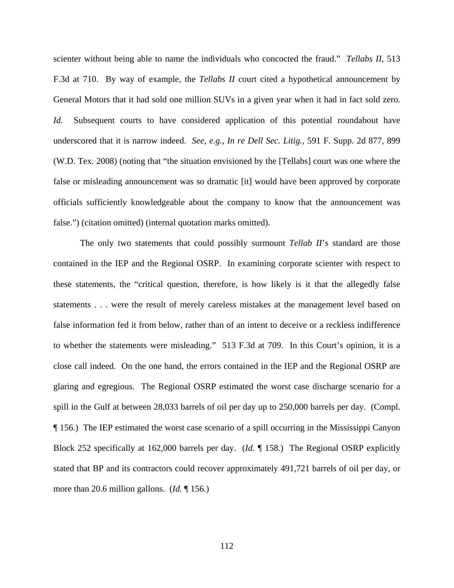scienter without being able to name the individuals who concocted the fraud." *Tellabs II*, 513 F.3d at 710. By way of example, the *Tellabs II* court cited a hypothetical announcement by General Motors that it had sold one million SUVs in a given year when it had in fact sold zero. *Id.* Subsequent courts to have considered application of this potential roundabout have underscored that it is narrow indeed. *See*, *e.g.*, *In re Dell Sec. Litig.*, 591 F. Supp. 2d 877, 899 (W.D. Tex. 2008) (noting that "the situation envisioned by the [Tellabs] court was one where the false or misleading announcement was so dramatic [it] would have been approved by corporate officials sufficiently knowledgeable about the company to know that the announcement was false.") (citation omitted) (internal quotation marks omitted).

The only two statements that could possibly surmount *Tellab II*'s standard are those contained in the IEP and the Regional OSRP. In examining corporate scienter with respect to these statements, the "critical question, therefore, is how likely is it that the allegedly false statements . . . were the result of merely careless mistakes at the management level based on false information fed it from below, rather than of an intent to deceive or a reckless indifference to whether the statements were misleading." 513 F.3d at 709. In this Court's opinion, it is a close call indeed. On the one hand, the errors contained in the IEP and the Regional OSRP are glaring and egregious. The Regional OSRP estimated the worst case discharge scenario for a spill in the Gulf at between 28,033 barrels of oil per day up to 250,000 barrels per day. (Compl. ¶ 156.) The IEP estimated the worst case scenario of a spill occurring in the Mississippi Canyon Block 252 specifically at 162,000 barrels per day. (*Id.* ¶ 158.) The Regional OSRP explicitly stated that BP and its contractors could recover approximately 491,721 barrels of oil per day, or more than 20.6 million gallons. (*Id.* ¶ 156.)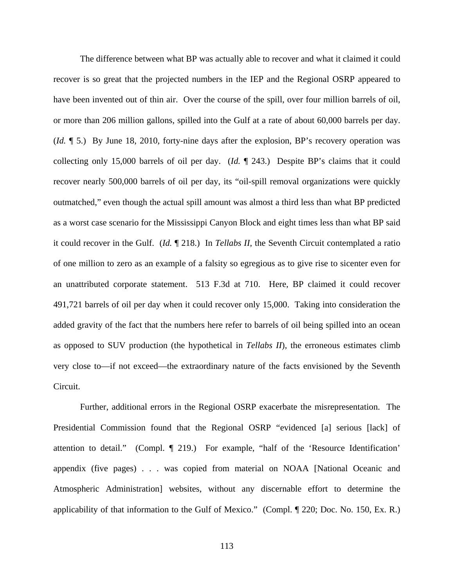The difference between what BP was actually able to recover and what it claimed it could recover is so great that the projected numbers in the IEP and the Regional OSRP appeared to have been invented out of thin air. Over the course of the spill, over four million barrels of oil, or more than 206 million gallons, spilled into the Gulf at a rate of about 60,000 barrels per day. (*Id.* ¶ 5.) By June 18, 2010, forty-nine days after the explosion, BP's recovery operation was collecting only 15,000 barrels of oil per day. (*Id.* ¶ 243.) Despite BP's claims that it could recover nearly 500,000 barrels of oil per day, its "oil-spill removal organizations were quickly outmatched," even though the actual spill amount was almost a third less than what BP predicted as a worst case scenario for the Mississippi Canyon Block and eight times less than what BP said it could recover in the Gulf. (*Id.* ¶ 218.) In *Tellabs II*, the Seventh Circuit contemplated a ratio of one million to zero as an example of a falsity so egregious as to give rise to sicenter even for an unattributed corporate statement. 513 F.3d at 710. Here, BP claimed it could recover 491,721 barrels of oil per day when it could recover only 15,000. Taking into consideration the added gravity of the fact that the numbers here refer to barrels of oil being spilled into an ocean as opposed to SUV production (the hypothetical in *Tellabs II*), the erroneous estimates climb very close to—if not exceed—the extraordinary nature of the facts envisioned by the Seventh Circuit.

Further, additional errors in the Regional OSRP exacerbate the misrepresentation. The Presidential Commission found that the Regional OSRP "evidenced [a] serious [lack] of attention to detail." (Compl. ¶ 219.) For example, "half of the 'Resource Identification' appendix (five pages) . . . was copied from material on NOAA [National Oceanic and Atmospheric Administration] websites, without any discernable effort to determine the applicability of that information to the Gulf of Mexico." (Compl. ¶ 220; Doc. No. 150, Ex. R.)

113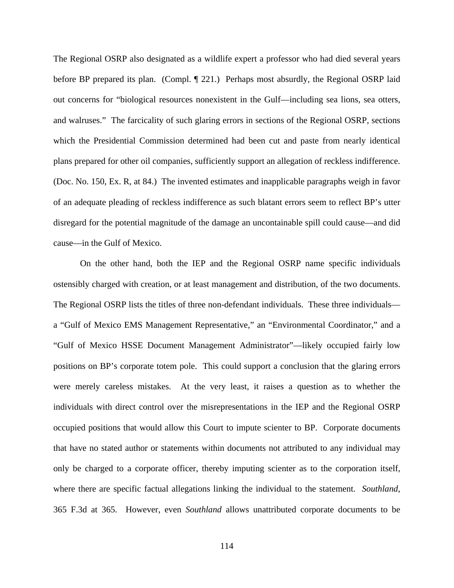The Regional OSRP also designated as a wildlife expert a professor who had died several years before BP prepared its plan. (Compl. ¶ 221.) Perhaps most absurdly, the Regional OSRP laid out concerns for "biological resources nonexistent in the Gulf—including sea lions, sea otters, and walruses." The farcicality of such glaring errors in sections of the Regional OSRP, sections which the Presidential Commission determined had been cut and paste from nearly identical plans prepared for other oil companies, sufficiently support an allegation of reckless indifference. (Doc. No. 150, Ex. R, at 84.) The invented estimates and inapplicable paragraphs weigh in favor of an adequate pleading of reckless indifference as such blatant errors seem to reflect BP's utter disregard for the potential magnitude of the damage an uncontainable spill could cause—and did cause—in the Gulf of Mexico.

On the other hand, both the IEP and the Regional OSRP name specific individuals ostensibly charged with creation, or at least management and distribution, of the two documents. The Regional OSRP lists the titles of three non-defendant individuals. These three individuals a "Gulf of Mexico EMS Management Representative," an "Environmental Coordinator," and a "Gulf of Mexico HSSE Document Management Administrator"—likely occupied fairly low positions on BP's corporate totem pole. This could support a conclusion that the glaring errors were merely careless mistakes. At the very least, it raises a question as to whether the individuals with direct control over the misrepresentations in the IEP and the Regional OSRP occupied positions that would allow this Court to impute scienter to BP. Corporate documents that have no stated author or statements within documents not attributed to any individual may only be charged to a corporate officer, thereby imputing scienter as to the corporation itself, where there are specific factual allegations linking the individual to the statement. *Southland*, 365 F.3d at 365. However, even *Southland* allows unattributed corporate documents to be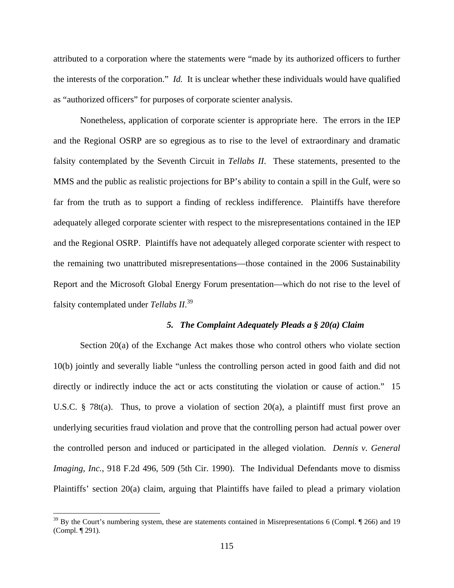attributed to a corporation where the statements were "made by its authorized officers to further the interests of the corporation." *Id.* It is unclear whether these individuals would have qualified as "authorized officers" for purposes of corporate scienter analysis.

Nonetheless, application of corporate scienter is appropriate here. The errors in the IEP and the Regional OSRP are so egregious as to rise to the level of extraordinary and dramatic falsity contemplated by the Seventh Circuit in *Tellabs II*. These statements, presented to the MMS and the public as realistic projections for BP's ability to contain a spill in the Gulf, were so far from the truth as to support a finding of reckless indifference. Plaintiffs have therefore adequately alleged corporate scienter with respect to the misrepresentations contained in the IEP and the Regional OSRP.Plaintiffs have not adequately alleged corporate scienter with respect to the remaining two unattributed misrepresentations—those contained in the 2006 Sustainability Report and the Microsoft Global Energy Forum presentation—which do not rise to the level of falsity contemplated under *Tellabs II*. 39

## *5. The Complaint Adequately Pleads a § 20(a) Claim*

Section 20(a) of the Exchange Act makes those who control others who violate section 10(b) jointly and severally liable "unless the controlling person acted in good faith and did not directly or indirectly induce the act or acts constituting the violation or cause of action." 15 U.S.C. § 78t(a). Thus, to prove a violation of section 20(a), a plaintiff must first prove an underlying securities fraud violation and prove that the controlling person had actual power over the controlled person and induced or participated in the alleged violation. *Dennis v. General Imaging, Inc.*, 918 F.2d 496, 509 (5th Cir. 1990).The Individual Defendants move to dismiss Plaintiffs' section 20(a) claim, arguing that Plaintiffs have failed to plead a primary violation

 $\overline{a}$ 

 $39$  By the Court's numbering system, these are statements contained in Misrepresentations 6 (Compl.  $\P$  266) and 19 (Compl. ¶ 291).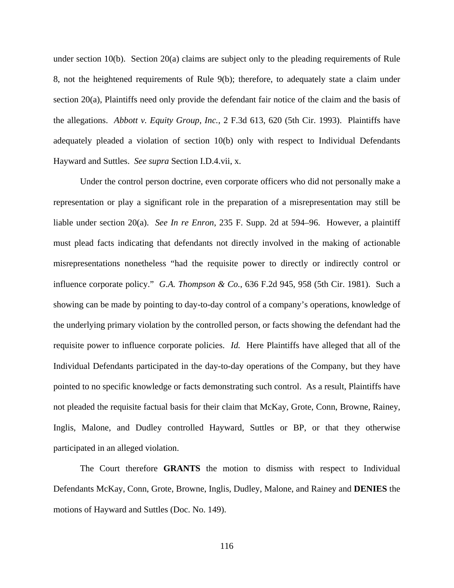under section 10(b). Section 20(a) claims are subject only to the pleading requirements of Rule 8, not the heightened requirements of Rule 9(b); therefore, to adequately state a claim under section 20(a), Plaintiffs need only provide the defendant fair notice of the claim and the basis of the allegations. *Abbott v. Equity Group, Inc.*, 2 F.3d 613, 620 (5th Cir. 1993). Plaintiffs have adequately pleaded a violation of section 10(b) only with respect to Individual Defendants Hayward and Suttles. *See supra* Section I.D.4.vii, x.

Under the control person doctrine, even corporate officers who did not personally make a representation or play a significant role in the preparation of a misrepresentation may still be liable under section 20(a). *See In re Enron*, 235 F. Supp. 2d at 594–96. However, a plaintiff must plead facts indicating that defendants not directly involved in the making of actionable misrepresentations nonetheless "had the requisite power to directly or indirectly control or influence corporate policy." *G.A. Thompson & Co.*, 636 F.2d 945, 958 (5th Cir. 1981). Such a showing can be made by pointing to day-to-day control of a company's operations, knowledge of the underlying primary violation by the controlled person, or facts showing the defendant had the requisite power to influence corporate policies. *Id.* Here Plaintiffs have alleged that all of the Individual Defendants participated in the day-to-day operations of the Company, but they have pointed to no specific knowledge or facts demonstrating such control. As a result, Plaintiffs have not pleaded the requisite factual basis for their claim that McKay, Grote, Conn, Browne, Rainey, Inglis, Malone, and Dudley controlled Hayward, Suttles or BP, or that they otherwise participated in an alleged violation.

The Court therefore **GRANTS** the motion to dismiss with respect to Individual Defendants McKay, Conn, Grote, Browne, Inglis, Dudley, Malone, and Rainey and **DENIES** the motions of Hayward and Suttles (Doc. No. 149).

116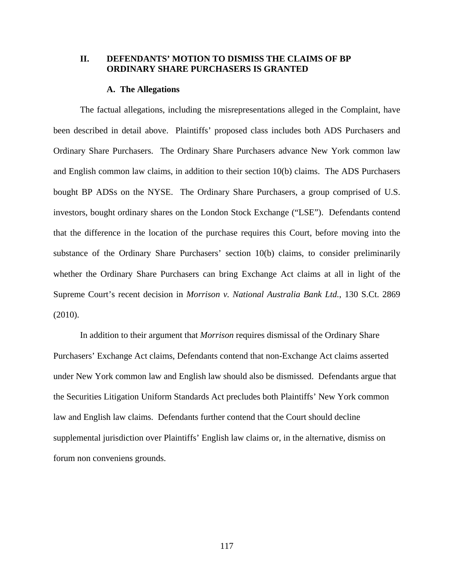## **II. DEFENDANTS' MOTION TO DISMISS THE CLAIMS OF BP ORDINARY SHARE PURCHASERS IS GRANTED**

## **A. The Allegations**

 The factual allegations, including the misrepresentations alleged in the Complaint, have been described in detail above. Plaintiffs' proposed class includes both ADS Purchasers and Ordinary Share Purchasers. The Ordinary Share Purchasers advance New York common law and English common law claims, in addition to their section 10(b) claims. The ADS Purchasers bought BP ADSs on the NYSE. The Ordinary Share Purchasers, a group comprised of U.S. investors, bought ordinary shares on the London Stock Exchange ("LSE"). Defendants contend that the difference in the location of the purchase requires this Court, before moving into the substance of the Ordinary Share Purchasers' section 10(b) claims, to consider preliminarily whether the Ordinary Share Purchasers can bring Exchange Act claims at all in light of the Supreme Court's recent decision in *Morrison v. National Australia Bank Ltd.*, 130 S.Ct. 2869 (2010).

 In addition to their argument that *Morrison* requires dismissal of the Ordinary Share Purchasers' Exchange Act claims, Defendants contend that non-Exchange Act claims asserted under New York common law and English law should also be dismissed. Defendants argue that the Securities Litigation Uniform Standards Act precludes both Plaintiffs' New York common law and English law claims. Defendants further contend that the Court should decline supplemental jurisdiction over Plaintiffs' English law claims or, in the alternative, dismiss on forum non conveniens grounds.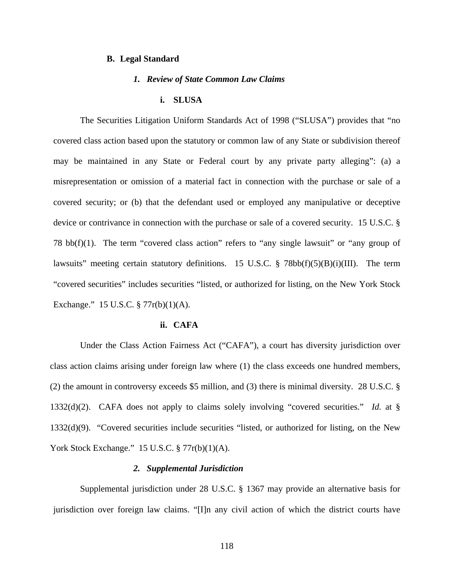## **B. Legal Standard**

### *1. Review of State Common Law Claims*

## **i. SLUSA**

The Securities Litigation Uniform Standards Act of 1998 ("SLUSA") provides that "no covered class action based upon the statutory or common law of any State or subdivision thereof may be maintained in any State or Federal court by any private party alleging": (a) a misrepresentation or omission of a material fact in connection with the purchase or sale of a covered security; or (b) that the defendant used or employed any manipulative or deceptive device or contrivance in connection with the purchase or sale of a covered security. 15 U.S.C. § 78 bb(f)(1). The term "covered class action" refers to "any single lawsuit" or "any group of lawsuits" meeting certain statutory definitions. 15 U.S.C. § 78bb(f)(5)(B)(i)(III). The term "covered securities" includes securities "listed, or authorized for listing, on the New York Stock Exchange." 15 U.S.C. § 77r(b)(1)(A).

#### **ii. CAFA**

 Under the Class Action Fairness Act ("CAFA"), a court has diversity jurisdiction over class action claims arising under foreign law where (1) the class exceeds one hundred members, (2) the amount in controversy exceeds \$5 million, and (3) there is minimal diversity. 28 U.S.C. § 1332(d)(2). CAFA does not apply to claims solely involving "covered securities." *Id.* at § 1332(d)(9). "Covered securities include securities "listed, or authorized for listing, on the New York Stock Exchange." 15 U.S.C. § 77r(b)(1)(A).

#### *2. Supplemental Jurisdiction*

 Supplemental jurisdiction under 28 U.S.C. § 1367 may provide an alternative basis for jurisdiction over foreign law claims. "[I]n any civil action of which the district courts have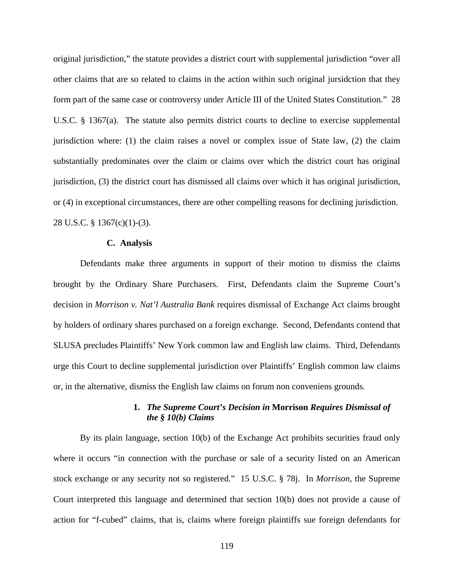original jurisdiction," the statute provides a district court with supplemental jurisdiction "over all other claims that are so related to claims in the action within such original jursidction that they form part of the same case or controversy under Article III of the United States Constitution." 28 U.S.C. § 1367(a). The statute also permits district courts to decline to exercise supplemental jurisdiction where: (1) the claim raises a novel or complex issue of State law, (2) the claim substantially predominates over the claim or claims over which the district court has original jurisdiction, (3) the district court has dismissed all claims over which it has original jurisdiction, or (4) in exceptional circumstances, there are other compelling reasons for declining jurisdiction. 28 U.S.C. § 1367(c)(1)-(3).

#### **C. Analysis**

Defendants make three arguments in support of their motion to dismiss the claims brought by the Ordinary Share Purchasers. First, Defendants claim the Supreme Court's decision in *Morrison v. Nat'l Australia Bank* requires dismissal of Exchange Act claims brought by holders of ordinary shares purchased on a foreign exchange. Second, Defendants contend that SLUSA precludes Plaintiffs' New York common law and English law claims. Third, Defendants urge this Court to decline supplemental jurisdiction over Plaintiffs' English common law claims or, in the alternative, dismiss the English law claims on forum non conveniens grounds.

## **1.** *The Supreme Court's Decision in* **Morrison** *Requires Dismissal of the § 10(b) Claims*

By its plain language, section 10(b) of the Exchange Act prohibits securities fraud only where it occurs "in connection with the purchase or sale of a security listed on an American stock exchange or any security not so registered." 15 U.S.C. § 78j. In *Morrison*, the Supreme Court interpreted this language and determined that section 10(b) does not provide a cause of action for "f-cubed" claims, that is, claims where foreign plaintiffs sue foreign defendants for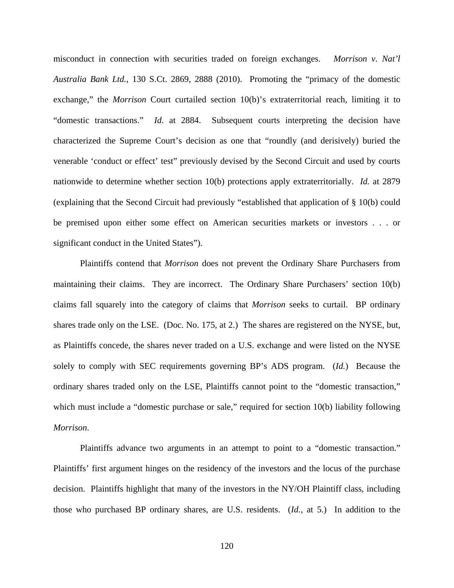misconduct in connection with securities traded on foreign exchanges. *Morrison v. Nat'l Australia Bank Ltd.*, 130 S.Ct. 2869, 2888 (2010). Promoting the "primacy of the domestic exchange," the *Morrison* Court curtailed section 10(b)'s extraterritorial reach, limiting it to "domestic transactions." *Id.* at 2884. Subsequent courts interpreting the decision have characterized the Supreme Court's decision as one that "roundly (and derisively) buried the venerable 'conduct or effect' test" previously devised by the Second Circuit and used by courts nationwide to determine whether section 10(b) protections apply extraterritorially. *Id.* at 2879 (explaining that the Second Circuit had previously "established that application of § 10(b) could be premised upon either some effect on American securities markets or investors . . . or significant conduct in the United States").

Plaintiffs contend that *Morrison* does not prevent the Ordinary Share Purchasers from maintaining their claims. They are incorrect. The Ordinary Share Purchasers' section 10(b) claims fall squarely into the category of claims that *Morrison* seeks to curtail. BP ordinary shares trade only on the LSE. (Doc. No. 175, at 2.) The shares are registered on the NYSE, but, as Plaintiffs concede, the shares never traded on a U.S. exchange and were listed on the NYSE solely to comply with SEC requirements governing BP's ADS program. (*Id.*) Because the ordinary shares traded only on the LSE, Plaintiffs cannot point to the "domestic transaction," which must include a "domestic purchase or sale," required for section 10(b) liability following *Morrison*.

Plaintiffs advance two arguments in an attempt to point to a "domestic transaction." Plaintiffs' first argument hinges on the residency of the investors and the locus of the purchase decision. Plaintiffs highlight that many of the investors in the NY/OH Plaintiff class, including those who purchased BP ordinary shares, are U.S. residents. (*Id.*, at 5.) In addition to the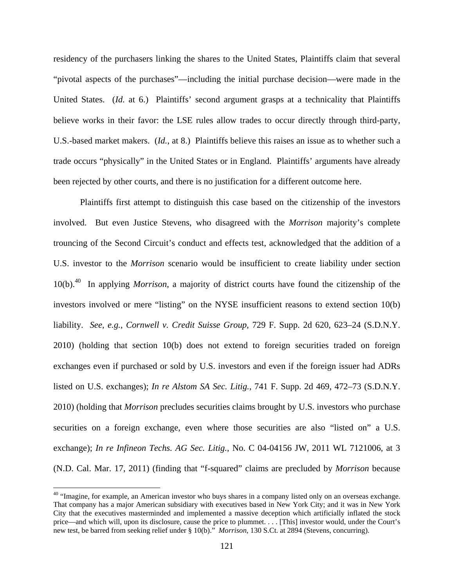residency of the purchasers linking the shares to the United States, Plaintiffs claim that several "pivotal aspects of the purchases"—including the initial purchase decision—were made in the United States. (*Id.* at 6.) Plaintiffs' second argument grasps at a technicality that Plaintiffs believe works in their favor: the LSE rules allow trades to occur directly through third-party, U.S.-based market makers. (*Id.*, at 8.) Plaintiffs believe this raises an issue as to whether such a trade occurs "physically" in the United States or in England. Plaintiffs' arguments have already been rejected by other courts, and there is no justification for a different outcome here.

Plaintiffs first attempt to distinguish this case based on the citizenship of the investors involved. But even Justice Stevens, who disagreed with the *Morrison* majority's complete trouncing of the Second Circuit's conduct and effects test, acknowledged that the addition of a U.S. investor to the *Morrison* scenario would be insufficient to create liability under section 10(b).40 In applying *Morrison*, a majority of district courts have found the citizenship of the investors involved or mere "listing" on the NYSE insufficient reasons to extend section 10(b) liability. *See*, *e.g.*, *Cornwell v. Credit Suisse Group*, 729 F. Supp. 2d 620, 623–24 (S.D.N.Y. 2010) (holding that section 10(b) does not extend to foreign securities traded on foreign exchanges even if purchased or sold by U.S. investors and even if the foreign issuer had ADRs listed on U.S. exchanges); *In re Alstom SA Sec. Litig.*, 741 F. Supp. 2d 469, 472–73 (S.D.N.Y. 2010) (holding that *Morrison* precludes securities claims brought by U.S. investors who purchase securities on a foreign exchange, even where those securities are also "listed on" a U.S. exchange); *In re Infineon Techs. AG Sec. Litig.*, No. C 04-04156 JW, 2011 WL 7121006, at 3 (N.D. Cal. Mar. 17, 2011) (finding that "f-squared" claims are precluded by *Morrison* because

1

<sup>&</sup>lt;sup>40</sup> "Imagine, for example, an American investor who buys shares in a company listed only on an overseas exchange. That company has a major American subsidiary with executives based in New York City; and it was in New York City that the executives masterminded and implemented a massive deception which artificially inflated the stock price—and which will, upon its disclosure, cause the price to plummet. . . . [This] investor would, under the Court's new test, be barred from seeking relief under § 10(b)." *Morrison*, 130 S.Ct. at 2894 (Stevens, concurring).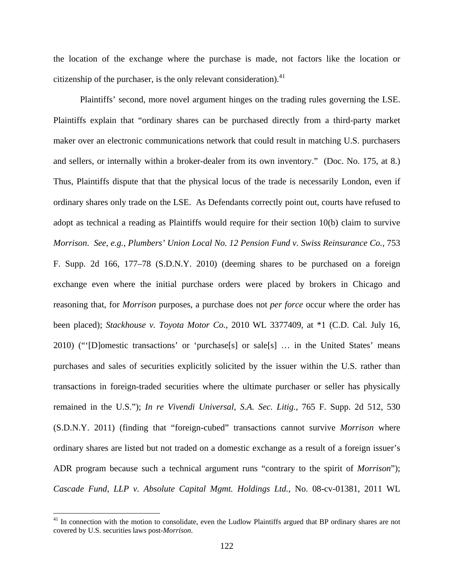the location of the exchange where the purchase is made, not factors like the location or citizenship of the purchaser, is the only relevant consideration).<sup>41</sup>

Plaintiffs' second, more novel argument hinges on the trading rules governing the LSE. Plaintiffs explain that "ordinary shares can be purchased directly from a third-party market maker over an electronic communications network that could result in matching U.S. purchasers and sellers, or internally within a broker-dealer from its own inventory." (Doc. No. 175, at 8.) Thus, Plaintiffs dispute that that the physical locus of the trade is necessarily London, even if ordinary shares only trade on the LSE. As Defendants correctly point out, courts have refused to adopt as technical a reading as Plaintiffs would require for their section 10(b) claim to survive *Morrison*. *See*, *e.g.*, *Plumbers' Union Local No. 12 Pension Fund v. Swiss Reinsurance Co.*, 753 F. Supp. 2d 166, 177–78 (S.D.N.Y. 2010) (deeming shares to be purchased on a foreign exchange even where the initial purchase orders were placed by brokers in Chicago and reasoning that, for *Morrison* purposes, a purchase does not *per force* occur where the order has been placed); *Stackhouse v. Toyota Motor Co.*, 2010 WL 3377409, at \*1 (C.D. Cal. July 16, 2010) ("'[D]omestic transactions' or 'purchase[s] or sale[s] … in the United States' means purchases and sales of securities explicitly solicited by the issuer within the U.S. rather than transactions in foreign-traded securities where the ultimate purchaser or seller has physically remained in the U.S."); *In re Vivendi Universal, S.A. Sec. Litig.*, 765 F. Supp. 2d 512, 530 (S.D.N.Y. 2011) (finding that "foreign-cubed" transactions cannot survive *Morrison* where ordinary shares are listed but not traded on a domestic exchange as a result of a foreign issuer's ADR program because such a technical argument runs "contrary to the spirit of *Morrison*"); *Cascade Fund, LLP v. Absolute Capital Mgmt. Holdings Ltd.*, No. 08-cv-01381, 2011 WL

 $\overline{a}$ 

<sup>&</sup>lt;sup>41</sup> In connection with the motion to consolidate, even the Ludlow Plaintiffs argued that BP ordinary shares are not covered by U.S. securities laws post-*Morrison*.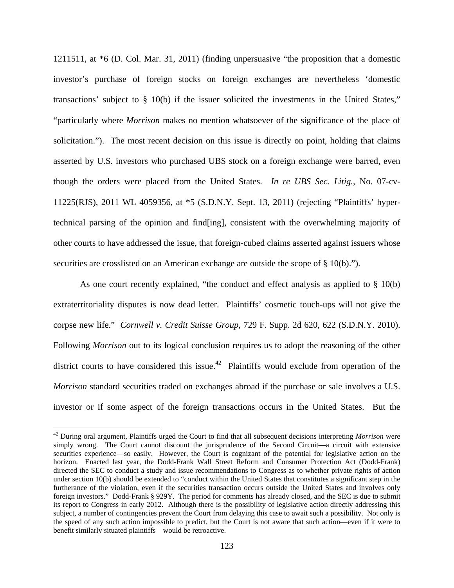1211511, at \*6 (D. Col. Mar. 31, 2011) (finding unpersuasive "the proposition that a domestic investor's purchase of foreign stocks on foreign exchanges are nevertheless 'domestic transactions' subject to § 10(b) if the issuer solicited the investments in the United States," "particularly where *Morrison* makes no mention whatsoever of the significance of the place of solicitation."). The most recent decision on this issue is directly on point, holding that claims asserted by U.S. investors who purchased UBS stock on a foreign exchange were barred, even though the orders were placed from the United States. *In re UBS Sec. Litig.*, No. 07-cv-11225(RJS), 2011 WL 4059356, at \*5 (S.D.N.Y. Sept. 13, 2011) (rejecting "Plaintiffs' hypertechnical parsing of the opinion and find[ing], consistent with the overwhelming majority of other courts to have addressed the issue, that foreign-cubed claims asserted against issuers whose securities are crosslisted on an American exchange are outside the scope of § 10(b).").

As one court recently explained, "the conduct and effect analysis as applied to § 10(b) extraterritoriality disputes is now dead letter. Plaintiffs' cosmetic touch-ups will not give the corpse new life." *Cornwell v. Credit Suisse Group*, 729 F. Supp. 2d 620, 622 (S.D.N.Y. 2010). Following *Morrison* out to its logical conclusion requires us to adopt the reasoning of the other district courts to have considered this issue.<sup>42</sup> Plaintiffs would exclude from operation of the *Morrison* standard securities traded on exchanges abroad if the purchase or sale involves a U.S. investor or if some aspect of the foreign transactions occurs in the United States. But the

 $\overline{a}$ 

<sup>42</sup> During oral argument, Plaintiffs urged the Court to find that all subsequent decisions interpreting *Morrison* were simply wrong. The Court cannot discount the jurisprudence of the Second Circuit—a circuit with extensive securities experience—so easily. However, the Court is cognizant of the potential for legislative action on the horizon. Enacted last year, the Dodd-Frank Wall Street Reform and Consumer Protection Act (Dodd-Frank) directed the SEC to conduct a study and issue recommendations to Congress as to whether private rights of action under section 10(b) should be extended to "conduct within the United States that constitutes a significant step in the furtherance of the violation, even if the securities transaction occurs outside the United States and involves only foreign investors." Dodd-Frank § 929Y. The period for comments has already closed, and the SEC is due to submit its report to Congress in early 2012. Although there is the possibility of legislative action directly addressing this subject, a number of contingencies prevent the Court from delaying this case to await such a possibility. Not only is the speed of any such action impossible to predict, but the Court is not aware that such action—even if it were to benefit similarly situated plaintiffs—would be retroactive.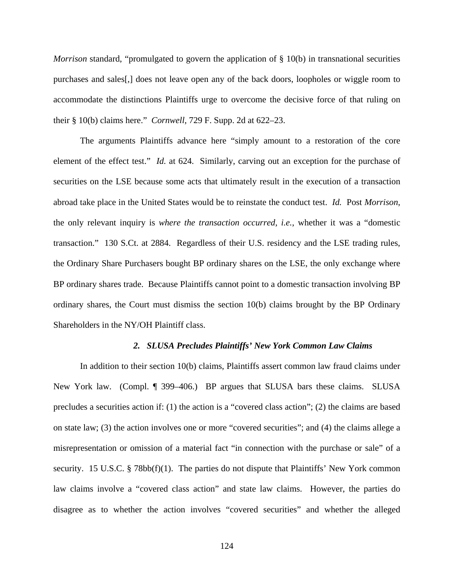*Morrison* standard, "promulgated to govern the application of § 10(b) in transnational securities purchases and sales[,] does not leave open any of the back doors, loopholes or wiggle room to accommodate the distinctions Plaintiffs urge to overcome the decisive force of that ruling on their § 10(b) claims here." *Cornwell*, 729 F. Supp. 2d at 622–23.

The arguments Plaintiffs advance here "simply amount to a restoration of the core element of the effect test." *Id.* at 624. Similarly, carving out an exception for the purchase of securities on the LSE because some acts that ultimately result in the execution of a transaction abroad take place in the United States would be to reinstate the conduct test. *Id.* Post *Morrison*, the only relevant inquiry is *where the transaction occurred*, *i.e.*, whether it was a "domestic transaction." 130 S.Ct. at 2884. Regardless of their U.S. residency and the LSE trading rules, the Ordinary Share Purchasers bought BP ordinary shares on the LSE, the only exchange where BP ordinary shares trade. Because Plaintiffs cannot point to a domestic transaction involving BP ordinary shares, the Court must dismiss the section 10(b) claims brought by the BP Ordinary Shareholders in the NY/OH Plaintiff class.

### *2. SLUSA Precludes Plaintiffs' New York Common Law Claims*

In addition to their section 10(b) claims, Plaintiffs assert common law fraud claims under New York law. (Compl. ¶ 399–406.) BP argues that SLUSA bars these claims. SLUSA precludes a securities action if: (1) the action is a "covered class action"; (2) the claims are based on state law; (3) the action involves one or more "covered securities"; and (4) the claims allege a misrepresentation or omission of a material fact "in connection with the purchase or sale" of a security. 15 U.S.C. § 78bb(f)(1). The parties do not dispute that Plaintiffs' New York common law claims involve a "covered class action" and state law claims. However, the parties do disagree as to whether the action involves "covered securities" and whether the alleged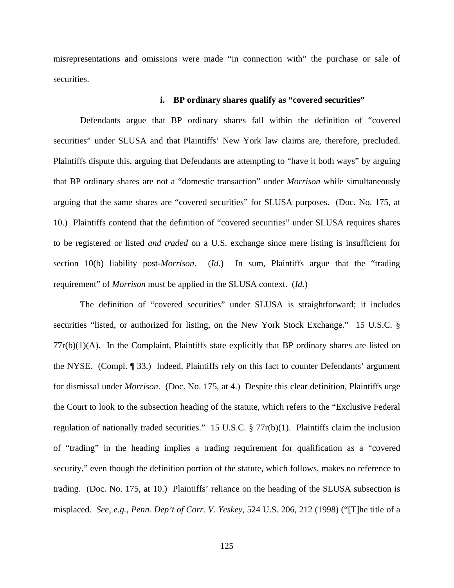misrepresentations and omissions were made "in connection with" the purchase or sale of securities.

## **i. BP ordinary shares qualify as "covered securities"**

Defendants argue that BP ordinary shares fall within the definition of "covered securities" under SLUSA and that Plaintiffs' New York law claims are, therefore, precluded. Plaintiffs dispute this, arguing that Defendants are attempting to "have it both ways" by arguing that BP ordinary shares are not a "domestic transaction" under *Morrison* while simultaneously arguing that the same shares are "covered securities" for SLUSA purposes. (Doc. No. 175, at 10.) Plaintiffs contend that the definition of "covered securities" under SLUSA requires shares to be registered or listed *and traded* on a U.S. exchange since mere listing is insufficient for section 10(b) liability post-*Morrison*. (*Id.*) In sum, Plaintiffs argue that the "trading requirement" of *Morrison* must be applied in the SLUSA context. (*Id.*)

The definition of "covered securities" under SLUSA is straightforward; it includes securities "listed, or authorized for listing, on the New York Stock Exchange." 15 U.S.C. §  $77r(b)(1)(A)$ . In the Complaint, Plaintiffs state explicitly that BP ordinary shares are listed on the NYSE. (Compl. ¶ 33.) Indeed, Plaintiffs rely on this fact to counter Defendants' argument for dismissal under *Morrison*. (Doc. No. 175, at 4.) Despite this clear definition, Plaintiffs urge the Court to look to the subsection heading of the statute, which refers to the "Exclusive Federal regulation of nationally traded securities." 15 U.S.C.  $\S 77r(b)(1)$ . Plaintiffs claim the inclusion of "trading" in the heading implies a trading requirement for qualification as a "covered security," even though the definition portion of the statute, which follows, makes no reference to trading. (Doc. No. 175, at 10.) Plaintiffs' reliance on the heading of the SLUSA subsection is misplaced. *See*, *e.g.*, *Penn. Dep't of Corr. V. Yeskey*, 524 U.S. 206, 212 (1998) ("[T]he title of a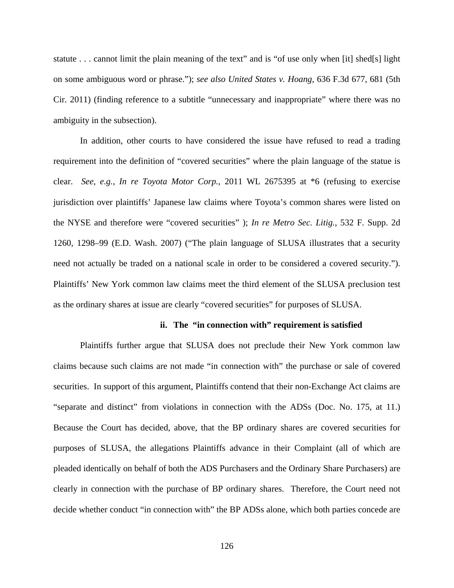statute . . . cannot limit the plain meaning of the text" and is "of use only when [it] shed[s] light on some ambiguous word or phrase."); *see also United States v. Hoang*, 636 F.3d 677, 681 (5th Cir. 2011) (finding reference to a subtitle "unnecessary and inappropriate" where there was no ambiguity in the subsection).

In addition, other courts to have considered the issue have refused to read a trading requirement into the definition of "covered securities" where the plain language of the statue is clear. *See*, *e.g.*, *In re Toyota Motor Corp.*, 2011 WL 2675395 at \*6 (refusing to exercise jurisdiction over plaintiffs' Japanese law claims where Toyota's common shares were listed on the NYSE and therefore were "covered securities" ); *In re Metro Sec. Litig.*, 532 F. Supp. 2d 1260, 1298–99 (E.D. Wash. 2007) ("The plain language of SLUSA illustrates that a security need not actually be traded on a national scale in order to be considered a covered security."). Plaintiffs' New York common law claims meet the third element of the SLUSA preclusion test as the ordinary shares at issue are clearly "covered securities" for purposes of SLUSA.

## **ii. The "in connection with" requirement is satisfied**

Plaintiffs further argue that SLUSA does not preclude their New York common law claims because such claims are not made "in connection with" the purchase or sale of covered securities. In support of this argument, Plaintiffs contend that their non-Exchange Act claims are "separate and distinct" from violations in connection with the ADSs (Doc. No. 175, at 11.) Because the Court has decided, above, that the BP ordinary shares are covered securities for purposes of SLUSA, the allegations Plaintiffs advance in their Complaint (all of which are pleaded identically on behalf of both the ADS Purchasers and the Ordinary Share Purchasers) are clearly in connection with the purchase of BP ordinary shares. Therefore, the Court need not decide whether conduct "in connection with" the BP ADSs alone, which both parties concede are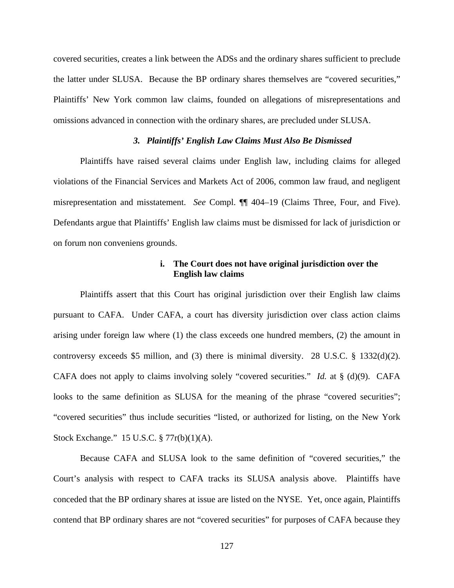covered securities, creates a link between the ADSs and the ordinary shares sufficient to preclude the latter under SLUSA. Because the BP ordinary shares themselves are "covered securities," Plaintiffs' New York common law claims, founded on allegations of misrepresentations and omissions advanced in connection with the ordinary shares, are precluded under SLUSA.

## *3. Plaintiffs' English Law Claims Must Also Be Dismissed*

Plaintiffs have raised several claims under English law, including claims for alleged violations of the Financial Services and Markets Act of 2006, common law fraud, and negligent misrepresentation and misstatement. *See* Compl. ¶¶ 404–19 (Claims Three, Four, and Five). Defendants argue that Plaintiffs' English law claims must be dismissed for lack of jurisdiction or on forum non conveniens grounds.

## **i. The Court does not have original jurisdiction over the English law claims**

Plaintiffs assert that this Court has original jurisdiction over their English law claims pursuant to CAFA. Under CAFA, a court has diversity jurisdiction over class action claims arising under foreign law where (1) the class exceeds one hundred members, (2) the amount in controversy exceeds \$5 million, and (3) there is minimal diversity. 28 U.S.C. § 1332(d)(2). CAFA does not apply to claims involving solely "covered securities." *Id.* at § (d)(9). CAFA looks to the same definition as SLUSA for the meaning of the phrase "covered securities"; "covered securities" thus include securities "listed, or authorized for listing, on the New York Stock Exchange." 15 U.S.C. § 77r(b)(1)(A).

Because CAFA and SLUSA look to the same definition of "covered securities," the Court's analysis with respect to CAFA tracks its SLUSA analysis above. Plaintiffs have conceded that the BP ordinary shares at issue are listed on the NYSE. Yet, once again, Plaintiffs contend that BP ordinary shares are not "covered securities" for purposes of CAFA because they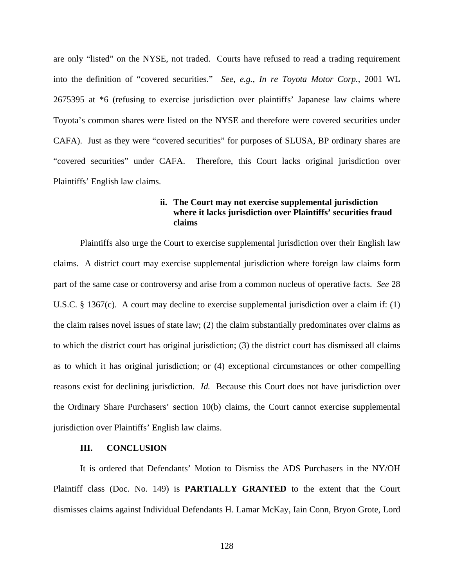are only "listed" on the NYSE, not traded. Courts have refused to read a trading requirement into the definition of "covered securities." *See*, *e.g.*, *In re Toyota Motor Corp.*, 2001 WL 2675395 at \*6 (refusing to exercise jurisdiction over plaintiffs' Japanese law claims where Toyota's common shares were listed on the NYSE and therefore were covered securities under CAFA). Just as they were "covered securities" for purposes of SLUSA, BP ordinary shares are "covered securities" under CAFA. Therefore, this Court lacks original jurisdiction over Plaintiffs' English law claims.

# **ii. The Court may not exercise supplemental jurisdiction where it lacks jurisdiction over Plaintiffs' securities fraud claims**

Plaintiffs also urge the Court to exercise supplemental jurisdiction over their English law claims. A district court may exercise supplemental jurisdiction where foreign law claims form part of the same case or controversy and arise from a common nucleus of operative facts. *See* 28 U.S.C. § 1367(c). A court may decline to exercise supplemental jurisdiction over a claim if: (1) the claim raises novel issues of state law; (2) the claim substantially predominates over claims as to which the district court has original jurisdiction; (3) the district court has dismissed all claims as to which it has original jurisdiction; or (4) exceptional circumstances or other compelling reasons exist for declining jurisdiction. *Id.* Because this Court does not have jurisdiction over the Ordinary Share Purchasers' section 10(b) claims, the Court cannot exercise supplemental jurisdiction over Plaintiffs' English law claims.

## **III. CONCLUSION**

It is ordered that Defendants' Motion to Dismiss the ADS Purchasers in the NY/OH Plaintiff class (Doc. No. 149) is **PARTIALLY GRANTED** to the extent that the Court dismisses claims against Individual Defendants H. Lamar McKay, Iain Conn, Bryon Grote, Lord